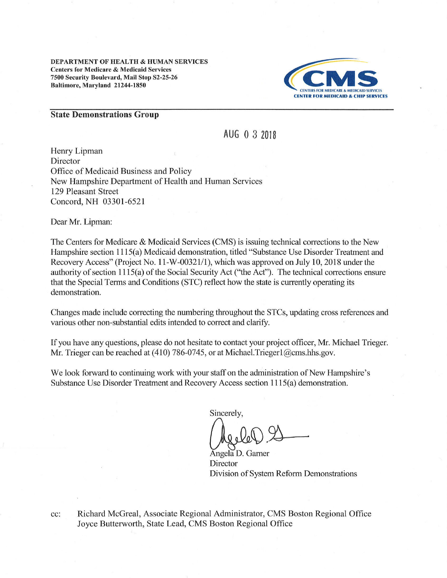DEPARTMENT OF HEALTH & HUMAN SERVICES Centers for Medicare & Medicaid Services 7500 Security Boulevard, Mail Stop 32-25-26 Baltimore, Maryland 21244-1850



#### State Demonstrations Group

AUG 0 3 <sup>2018</sup>

Henry Lipman Director Office of Medicaid Business and Policy New Hampshire Department of Health and Human Services 129 Pleasant Street Concord, NH 03301-6521

Dear Mr. Lipman:

The Centers for Medicare & Medicaid Services (CMS) is issuing technical corections to the New Hampshire section 1115(a) Medicaid demonstration, titled "Substance Use Disorder Treatment and Recovery Access" (Project No. 11-W-00321/1), which was approved on July 10, 2018 under the authority of section I115(a) of the Social Security Act ("the Act"). The technical corections ensure that the Special Terms and Conditions (STC) reflect how the state is currently operating its demonstration.

Changes made include correcting the numbering throughout the STCs, updating cross references and various other non-substantial edits intended to correct and clarify.

If you have any questions, please do not hesitate to contact your project officer, Mr. Michael Trieger Mr. Trieger can be reached at  $(410)$  786-0745, or at Michael. Trieger $1$  ( $\partial$ cms.hhs.gov.

We look forward to continuing work with your staff on the administration of New Hampshire's Substance Use Disorder Treatment and Recovery Access section I I 15(a) demonstration.

Sincerely.

Angela D. Garner **Director** Division of System Reform Demonstrations

Richard McGreal, Associate Regional Administrator, CMS Boston Regional Office Joyce Butterworth, State Lead, CMS Boston Regional Office cc: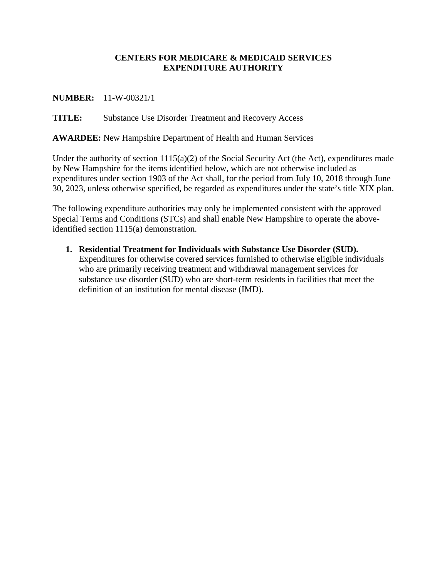### **CENTERS FOR MEDICARE & MEDICAID SERVICES EXPENDITURE AUTHORITY**

### **NUMBER:** 11-W-00321/1

### **TITLE:** Substance Use Disorder Treatment and Recovery Access

**AWARDEE:** New Hampshire Department of Health and Human Services

Under the authority of section 1115(a)(2) of the Social Security Act (the Act), expenditures made by New Hampshire for the items identified below, which are not otherwise included as expenditures under section 1903 of the Act shall, for the period from July 10, 2018 through June 30, 2023, unless otherwise specified, be regarded as expenditures under the state's title XIX plan.

The following expenditure authorities may only be implemented consistent with the approved Special Terms and Conditions (STCs) and shall enable New Hampshire to operate the aboveidentified section 1115(a) demonstration.

**1. Residential Treatment for Individuals with Substance Use Disorder (SUD).**  Expenditures for otherwise covered services furnished to otherwise eligible individuals who are primarily receiving treatment and withdrawal management services for substance use disorder (SUD) who are short-term residents in facilities that meet the definition of an institution for mental disease (IMD).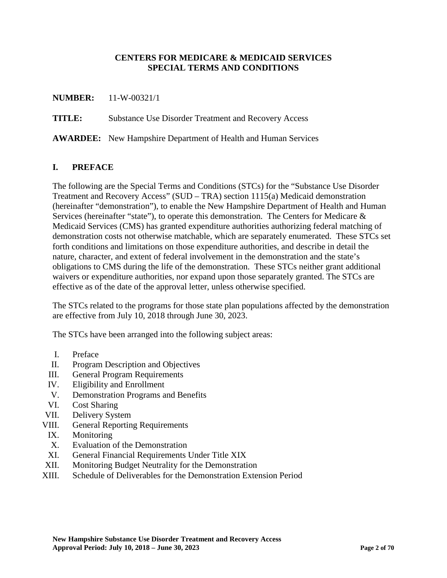### **CENTERS FOR MEDICARE & MEDICAID SERVICES SPECIAL TERMS AND CONDITIONS**

#### **NUMBER:** 11-W-00321/1

**TITLE:** Substance Use Disorder Treatment and Recovery Access

**AWARDEE:** New Hampshire Department of Health and Human Services

### **I. PREFACE**

The following are the Special Terms and Conditions (STCs) for the "Substance Use Disorder Treatment and Recovery Access" (SUD – TRA) section 1115(a) Medicaid demonstration (hereinafter "demonstration"), to enable the New Hampshire Department of Health and Human Services (hereinafter "state"), to operate this demonstration. The Centers for Medicare  $\&$ Medicaid Services (CMS) has granted expenditure authorities authorizing federal matching of demonstration costs not otherwise matchable, which are separately enumerated. These STCs set forth conditions and limitations on those expenditure authorities, and describe in detail the nature, character, and extent of federal involvement in the demonstration and the state's obligations to CMS during the life of the demonstration. These STCs neither grant additional waivers or expenditure authorities, nor expand upon those separately granted. The STCs are effective as of the date of the approval letter, unless otherwise specified.

The STCs related to the programs for those state plan populations affected by the demonstration are effective from July 10, 2018 through June 30, 2023.

The STCs have been arranged into the following subject areas:

- I. Preface
- II. Program Description and Objectives
- III. General Program Requirements
- IV. Eligibility and Enrollment
- <span id="page-2-0"></span>V. Demonstration Programs and Benefits
- VI. Cost Sharing
- VII. Delivery System
- VIII. General Reporting Requirements
- IX. Monitoring
- X. Evaluation of the Demonstration
- <span id="page-2-1"></span>XI. General Financial Requirements Under Title XIX
- <span id="page-2-2"></span>XII. Monitoring Budget Neutrality for the Demonstration
- XIII. Schedule of Deliverables for the Demonstration Extension Period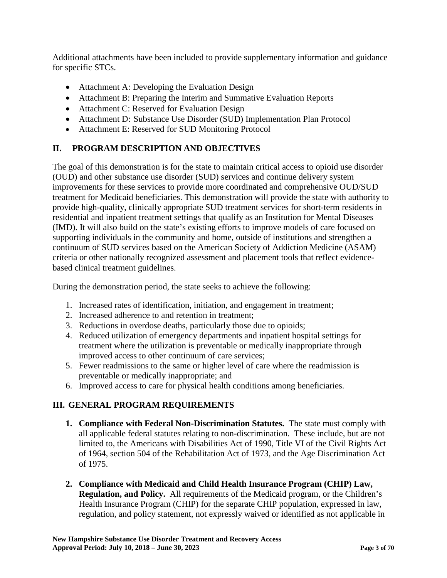Additional attachments have been included to provide supplementary information and guidance for specific STCs.

- Attachment A: Developing the Evaluation Design
- Attachment B: Preparing the Interim and Summative Evaluation Reports
- Attachment C: Reserved for Evaluation Design
- Attachment D: Substance Use Disorder (SUD) Implementation Plan Protocol
- Attachment E: Reserved for SUD Monitoring Protocol

## **II. PROGRAM DESCRIPTION AND OBJECTIVES**

The goal of this demonstration is for the state to maintain critical access to opioid use disorder (OUD) and other substance use disorder (SUD) services and continue delivery system improvements for these services to provide more coordinated and comprehensive OUD/SUD treatment for Medicaid beneficiaries. This demonstration will provide the state with authority to provide high-quality, clinically appropriate SUD treatment services for short-term residents in residential and inpatient treatment settings that qualify as an Institution for Mental Diseases (IMD). It will also build on the state's existing efforts to improve models of care focused on supporting individuals in the community and home, outside of institutions and strengthen a continuum of SUD services based on the American Society of Addiction Medicine (ASAM) criteria or other nationally recognized assessment and placement tools that reflect evidencebased clinical treatment guidelines.

During the demonstration period, the state seeks to achieve the following:

- 1. Increased rates of identification, initiation, and engagement in treatment;
- 2. Increased adherence to and retention in treatment;
- 3. Reductions in overdose deaths, particularly those due to opioids;
- 4. Reduced utilization of emergency departments and inpatient hospital settings for treatment where the utilization is preventable or medically inappropriate through improved access to other continuum of care services;
- 5. Fewer readmissions to the same or higher level of care where the readmission is preventable or medically inappropriate; and
- 6. Improved access to care for physical health conditions among beneficiaries.

## **III. GENERAL PROGRAM REQUIREMENTS**

- **1. Compliance with Federal Non-Discrimination Statutes.** The state must comply with all applicable federal statutes relating to non-discrimination. These include, but are not limited to, the Americans with Disabilities Act of 1990, Title VI of the Civil Rights Act of 1964, section 504 of the Rehabilitation Act of 1973, and the Age Discrimination Act of 1975.
- **2. Compliance with Medicaid and Child Health Insurance Program (CHIP) Law, Regulation, and Policy.** All requirements of the Medicaid program, or the Children's Health Insurance Program (CHIP) for the separate CHIP population, expressed in law, regulation, and policy statement, not expressly waived or identified as not applicable in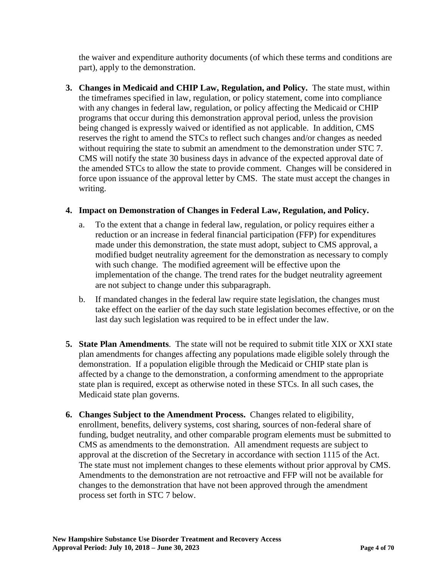the waiver and expenditure authority documents (of which these terms and conditions are part), apply to the demonstration.

**3. Changes in Medicaid and CHIP Law, Regulation, and Policy.** The state must, within the timeframes specified in law, regulation, or policy statement, come into compliance with any changes in federal law, regulation, or policy affecting the Medicaid or CHIP programs that occur during this demonstration approval period, unless the provision being changed is expressly waived or identified as not applicable. In addition, CMS reserves the right to amend the STCs to reflect such changes and/or changes as needed without requiring the state to submit an amendment to the demonstration under STC 7. CMS will notify the state 30 business days in advance of the expected approval date of the amended STCs to allow the state to provide comment. Changes will be considered in force upon issuance of the approval letter by CMS. The state must accept the changes in writing.

### **4. Impact on Demonstration of Changes in Federal Law, Regulation, and Policy.**

- a. To the extent that a change in federal law, regulation, or policy requires either a reduction or an increase in federal financial participation (FFP) for expenditures made under this demonstration, the state must adopt, subject to CMS approval, a modified budget neutrality agreement for the demonstration as necessary to comply with such change. The modified agreement will be effective upon the implementation of the change. The trend rates for the budget neutrality agreement are not subject to change under this subparagraph.
- b. If mandated changes in the federal law require state legislation, the changes must take effect on the earlier of the day such state legislation becomes effective, or on the last day such legislation was required to be in effect under the law.
- **5. State Plan Amendments**. The state will not be required to submit title XIX or XXI state plan amendments for changes affecting any populations made eligible solely through the demonstration. If a population eligible through the Medicaid or CHIP state plan is affected by a change to the demonstration, a conforming amendment to the appropriate state plan is required, except as otherwise noted in these STCs. In all such cases, the Medicaid state plan governs.
- **6. Changes Subject to the Amendment Process.** Changes related to eligibility, enrollment, benefits, delivery systems, cost sharing, sources of non-federal share of funding, budget neutrality, and other comparable program elements must be submitted to CMS as amendments to the demonstration. All amendment requests are subject to approval at the discretion of the Secretary in accordance with section 1115 of the Act. The state must not implement changes to these elements without prior approval by CMS. Amendments to the demonstration are not retroactive and FFP will not be available for changes to the demonstration that have not been approved through the amendment process set forth in STC 7 below.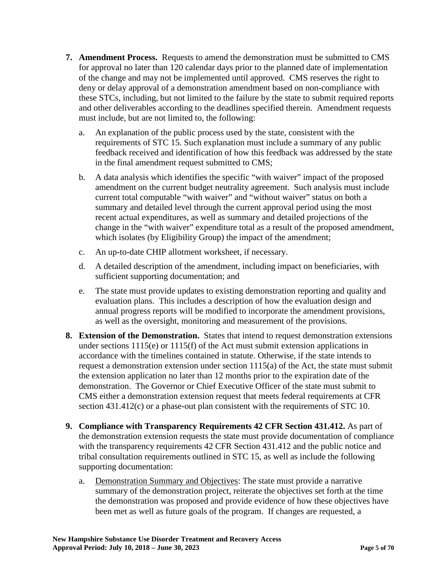- **7. Amendment Process.** Requests to amend the demonstration must be submitted to CMS for approval no later than 120 calendar days prior to the planned date of implementation of the change and may not be implemented until approved. CMS reserves the right to deny or delay approval of a demonstration amendment based on non-compliance with these STCs, including, but not limited to the failure by the state to submit required reports and other deliverables according to the deadlines specified therein. Amendment requests must include, but are not limited to, the following:
	- a. An explanation of the public process used by the state, consistent with the requirements of STC 15. Such explanation must include a summary of any public feedback received and identification of how this feedback was addressed by the state in the final amendment request submitted to CMS;
	- b. A data analysis which identifies the specific "with waiver" impact of the proposed amendment on the current budget neutrality agreement. Such analysis must include current total computable "with waiver" and "without waiver" status on both a summary and detailed level through the current approval period using the most recent actual expenditures, as well as summary and detailed projections of the change in the "with waiver" expenditure total as a result of the proposed amendment, which isolates (by Eligibility Group) the impact of the amendment;
	- c. An up-to-date CHIP allotment worksheet, if necessary.
	- d. A detailed description of the amendment, including impact on beneficiaries, with sufficient supporting documentation; and
	- e. The state must provide updates to existing demonstration reporting and quality and evaluation plans. This includes a description of how the evaluation design and annual progress reports will be modified to incorporate the amendment provisions, as well as the oversight, monitoring and measurement of the provisions.
- **8. Extension of the Demonstration.** States that intend to request demonstration extensions under sections 1115(e) or 1115(f) of the Act must submit extension applications in accordance with the timelines contained in statute. Otherwise, if the state intends to request a demonstration extension under section 1115(a) of the Act, the state must submit the extension application no later than 12 months prior to the expiration date of the demonstration. The Governor or Chief Executive Officer of the state must submit to CMS either a demonstration extension request that meets federal requirements at CFR section 431.412(c) or a phase-out plan consistent with the requirements of STC 10.
- **9. Compliance with Transparency Requirements 42 CFR Section 431.412.** As part of the demonstration extension requests the state must provide documentation of compliance with the transparency requirements 42 CFR Section 431.412 and the public notice and tribal consultation requirements outlined in STC 15, as well as include the following supporting documentation:
	- a. Demonstration Summary and Objectives: The state must provide a narrative summary of the demonstration project, reiterate the objectives set forth at the time the demonstration was proposed and provide evidence of how these objectives have been met as well as future goals of the program. If changes are requested, a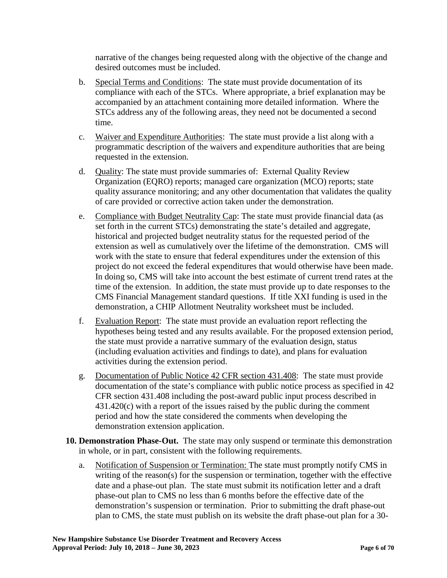narrative of the changes being requested along with the objective of the change and desired outcomes must be included.

- b. Special Terms and Conditions: The state must provide documentation of its compliance with each of the STCs. Where appropriate, a brief explanation may be accompanied by an attachment containing more detailed information. Where the STCs address any of the following areas, they need not be documented a second time.
- c. Waiver and Expenditure Authorities: The state must provide a list along with a programmatic description of the waivers and expenditure authorities that are being requested in the extension.
- d. Quality: The state must provide summaries of: External Quality Review Organization (EQRO) reports; managed care organization (MCO) reports; state quality assurance monitoring; and any other documentation that validates the quality of care provided or corrective action taken under the demonstration.
- e. Compliance with Budget Neutrality Cap: The state must provide financial data (as set forth in the current STCs) demonstrating the state's detailed and aggregate, historical and projected budget neutrality status for the requested period of the extension as well as cumulatively over the lifetime of the demonstration. CMS will work with the state to ensure that federal expenditures under the extension of this project do not exceed the federal expenditures that would otherwise have been made. In doing so, CMS will take into account the best estimate of current trend rates at the time of the extension. In addition, the state must provide up to date responses to the CMS Financial Management standard questions. If title XXI funding is used in the demonstration, a CHIP Allotment Neutrality worksheet must be included.
- f. Evaluation Report: The state must provide an evaluation report reflecting the hypotheses being tested and any results available. For the proposed extension period, the state must provide a narrative summary of the evaluation design, status (including evaluation activities and findings to date), and plans for evaluation activities during the extension period.
- g. Documentation of Public Notice 42 CFR section 431.408: The state must provide documentation of the state's compliance with public notice process as specified in 42 CFR section 431.408 including the post-award public input process described in 431.420(c) with a report of the issues raised by the public during the comment period and how the state considered the comments when developing the demonstration extension application.
- **10. Demonstration Phase-Out.** The state may only suspend or terminate this demonstration in whole, or in part, consistent with the following requirements.
	- a. Notification of Suspension or Termination: The state must promptly notify CMS in writing of the reason(s) for the suspension or termination, together with the effective date and a phase-out plan. The state must submit its notification letter and a draft phase-out plan to CMS no less than 6 months before the effective date of the demonstration's suspension or termination. Prior to submitting the draft phase-out plan to CMS, the state must publish on its website the draft phase-out plan for a 30-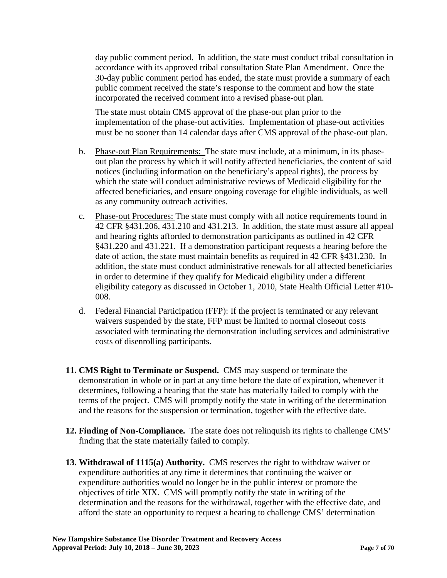day public comment period. In addition, the state must conduct tribal consultation in accordance with its approved tribal consultation State Plan Amendment. Once the 30-day public comment period has ended, the state must provide a summary of each public comment received the state's response to the comment and how the state incorporated the received comment into a revised phase-out plan.

The state must obtain CMS approval of the phase-out plan prior to the implementation of the phase-out activities. Implementation of phase-out activities must be no sooner than 14 calendar days after CMS approval of the phase-out plan.

- b. Phase-out Plan Requirements: The state must include, at a minimum, in its phaseout plan the process by which it will notify affected beneficiaries, the content of said notices (including information on the beneficiary's appeal rights), the process by which the state will conduct administrative reviews of Medicaid eligibility for the affected beneficiaries, and ensure ongoing coverage for eligible individuals, as well as any community outreach activities.
- c. Phase-out Procedures: The state must comply with all notice requirements found in 42 CFR §431.206, 431.210 and 431.213. In addition, the state must assure all appeal and hearing rights afforded to demonstration participants as outlined in 42 CFR §431.220 and 431.221. If a demonstration participant requests a hearing before the date of action, the state must maintain benefits as required in 42 CFR §431.230. In addition, the state must conduct administrative renewals for all affected beneficiaries in order to determine if they qualify for Medicaid eligibility under a different eligibility category as discussed in October 1, 2010, State Health Official Letter #10- 008.
- d. Federal Financial Participation (FFP): If the project is terminated or any relevant waivers suspended by the state, FFP must be limited to normal closeout costs associated with terminating the demonstration including services and administrative costs of disenrolling participants.
- **11. CMS Right to Terminate or Suspend.** CMS may suspend or terminate the demonstration in whole or in part at any time before the date of expiration, whenever it determines, following a hearing that the state has materially failed to comply with the terms of the project. CMS will promptly notify the state in writing of the determination and the reasons for the suspension or termination, together with the effective date.
- **12. Finding of Non-Compliance.** The state does not relinquish its rights to challenge CMS' finding that the state materially failed to comply.
- **13. Withdrawal of 1115(a) Authority.** CMS reserves the right to withdraw waiver or expenditure authorities at any time it determines that continuing the waiver or expenditure authorities would no longer be in the public interest or promote the objectives of title XIX. CMS will promptly notify the state in writing of the determination and the reasons for the withdrawal, together with the effective date, and afford the state an opportunity to request a hearing to challenge CMS' determination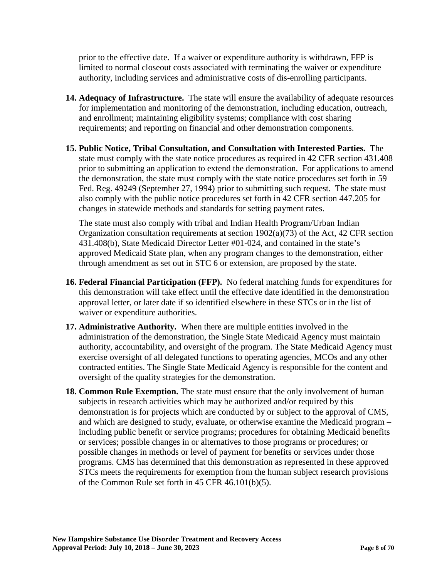prior to the effective date. If a waiver or expenditure authority is withdrawn, FFP is limited to normal closeout costs associated with terminating the waiver or expenditure authority, including services and administrative costs of dis-enrolling participants.

- **14. Adequacy of Infrastructure.** The state will ensure the availability of adequate resources for implementation and monitoring of the demonstration, including education, outreach, and enrollment; maintaining eligibility systems; compliance with cost sharing requirements; and reporting on financial and other demonstration components.
- **15. Public Notice, Tribal Consultation, and Consultation with Interested Parties.** The state must comply with the state notice procedures as required in 42 CFR section 431.408 prior to submitting an application to extend the demonstration. For applications to amend the demonstration, the state must comply with the state notice procedures set forth in 59 Fed. Reg. 49249 (September 27, 1994) prior to submitting such request. The state must also comply with the public notice procedures set forth in 42 CFR section 447.205 for changes in statewide methods and standards for setting payment rates.

The state must also comply with tribal and Indian Health Program/Urban Indian Organization consultation requirements at section 1902(a)(73) of the Act, 42 CFR section 431.408(b), State Medicaid Director Letter #01-024, and contained in the state's approved Medicaid State plan, when any program changes to the demonstration, either through amendment as set out in STC 6 or extension, are proposed by the state.

- **16. Federal Financial Participation (FFP).** No federal matching funds for expenditures for this demonstration will take effect until the effective date identified in the demonstration approval letter, or later date if so identified elsewhere in these STCs or in the list of waiver or expenditure authorities.
- **17. Administrative Authority.** When there are multiple entities involved in the administration of the demonstration, the Single State Medicaid Agency must maintain authority, accountability, and oversight of the program. The State Medicaid Agency must exercise oversight of all delegated functions to operating agencies, MCOs and any other contracted entities. The Single State Medicaid Agency is responsible for the content and oversight of the quality strategies for the demonstration.
- **18. Common Rule Exemption.** The state must ensure that the only involvement of human subjects in research activities which may be authorized and/or required by this demonstration is for projects which are conducted by or subject to the approval of CMS, and which are designed to study, evaluate, or otherwise examine the Medicaid program – including public benefit or service programs; procedures for obtaining Medicaid benefits or services; possible changes in or alternatives to those programs or procedures; or possible changes in methods or level of payment for benefits or services under those programs. CMS has determined that this demonstration as represented in these approved STCs meets the requirements for exemption from the human subject research provisions of the Common Rule set forth in 45 CFR 46.101(b)(5).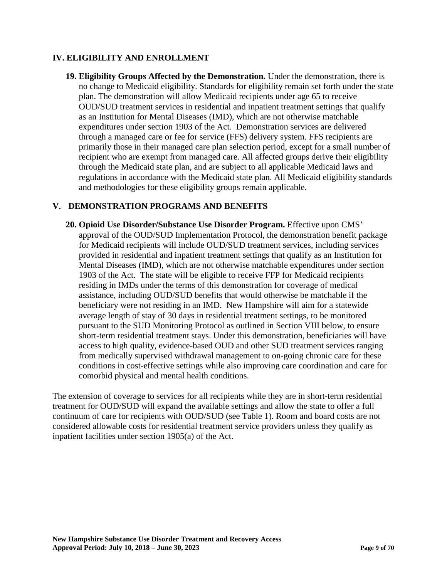### **IV. ELIGIBILITY AND ENROLLMENT**

**19. Eligibility Groups Affected by the Demonstration.** Under the demonstration, there is no change to Medicaid eligibility. Standards for eligibility remain set forth under the state plan. The demonstration will allow Medicaid recipients under age 65 to receive OUD/SUD treatment services in residential and inpatient treatment settings that qualify as an Institution for Mental Diseases (IMD), which are not otherwise matchable expenditures under section 1903 of the Act. Demonstration services are delivered through a managed care or fee for service (FFS) delivery system. FFS recipients are primarily those in their managed care plan selection period, except for a small number of recipient who are exempt from managed care. All affected groups derive their eligibility through the Medicaid state plan, and are subject to all applicable Medicaid laws and regulations in accordance with the Medicaid state plan. All Medicaid eligibility standards and methodologies for these eligibility groups remain applicable.

### **[V.](#page-2-0) DEMONSTRATION PROGRAMS AND BENEFITS**

**20. Opioid Use Disorder/Substance Use Disorder Program.** Effective upon CMS' approval of the OUD/SUD Implementation Protocol, the demonstration benefit package for Medicaid recipients will include OUD/SUD treatment services, including services provided in residential and inpatient treatment settings that qualify as an Institution for Mental Diseases (IMD), which are not otherwise matchable expenditures under section 1903 of the Act. The state will be eligible to receive FFP for Medicaid recipients residing in IMDs under the terms of this demonstration for coverage of medical assistance, including OUD/SUD benefits that would otherwise be matchable if the beneficiary were not residing in an IMD. New Hampshire will aim for a statewide average length of stay of 30 days in residential treatment settings, to be monitored pursuant to the SUD Monitoring Protocol as outlined in Section VIII below, to ensure short-term residential treatment stays. Under this demonstration, beneficiaries will have access to high quality, evidence-based OUD and other SUD treatment services ranging from medically supervised withdrawal management to on-going chronic care for these conditions in cost-effective settings while also improving care coordination and care for comorbid physical and mental health conditions.

The extension of coverage to services for all recipients while they are in short-term residential treatment for OUD/SUD will expand the available settings and allow the state to offer a full continuum of care for recipients with OUD/SUD (see Table 1). Room and board costs are not considered allowable costs for residential treatment service providers unless they qualify as inpatient facilities under section 1905(a) of the Act.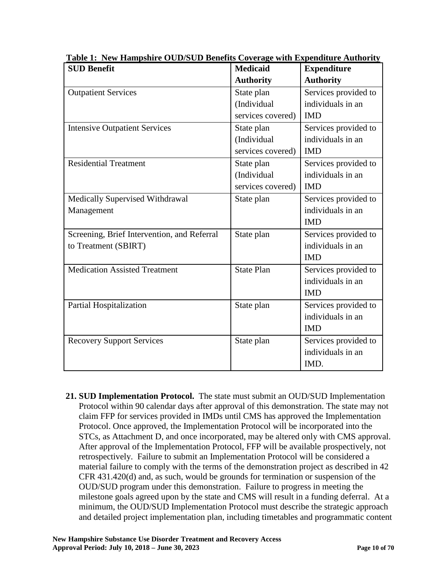| <b>SUD Benefit</b>                          | <b>Medicaid</b>   | <b>Expenditure</b>   |
|---------------------------------------------|-------------------|----------------------|
|                                             | <b>Authority</b>  | <b>Authority</b>     |
| <b>Outpatient Services</b>                  | State plan        | Services provided to |
|                                             | (Individual       | individuals in an    |
|                                             | services covered) | <b>IMD</b>           |
| <b>Intensive Outpatient Services</b>        | State plan        | Services provided to |
|                                             | (Individual       | individuals in an    |
|                                             | services covered) | <b>IMD</b>           |
| <b>Residential Treatment</b>                | State plan        | Services provided to |
|                                             | (Individual       | individuals in an    |
|                                             | services covered) | <b>IMD</b>           |
| Medically Supervised Withdrawal             | State plan        | Services provided to |
| Management                                  |                   | individuals in an    |
|                                             |                   | <b>IMD</b>           |
| Screening, Brief Intervention, and Referral | State plan        | Services provided to |
| to Treatment (SBIRT)                        |                   | individuals in an    |
|                                             |                   | <b>IMD</b>           |
| <b>Medication Assisted Treatment</b>        | <b>State Plan</b> | Services provided to |
|                                             |                   | individuals in an    |
|                                             |                   | <b>IMD</b>           |
| Partial Hospitalization                     | State plan        | Services provided to |
|                                             |                   | individuals in an    |
|                                             |                   | <b>IMD</b>           |
| <b>Recovery Support Services</b>            | State plan        | Services provided to |
|                                             |                   | individuals in an    |
|                                             |                   | IMD.                 |

**Table 1: New Hampshire OUD/SUD Benefits Coverage with Expenditure Authority**

**21. SUD Implementation Protocol.** The state must submit an OUD/SUD Implementation Protocol within 90 calendar days after approval of this demonstration. The state may not claim FFP for services provided in IMDs until CMS has approved the Implementation Protocol. Once approved, the Implementation Protocol will be incorporated into the STCs, as Attachment D, and once incorporated, may be altered only with CMS approval. After approval of the Implementation Protocol, FFP will be available prospectively, not retrospectively. Failure to submit an Implementation Protocol will be considered a material failure to comply with the terms of the demonstration project as described in 42 CFR 431.420(d) and, as such, would be grounds for termination or suspension of the OUD/SUD program under this demonstration. Failure to progress in meeting the milestone goals agreed upon by the state and CMS will result in a funding deferral. At a minimum, the OUD/SUD Implementation Protocol must describe the strategic approach and detailed project implementation plan, including timetables and programmatic content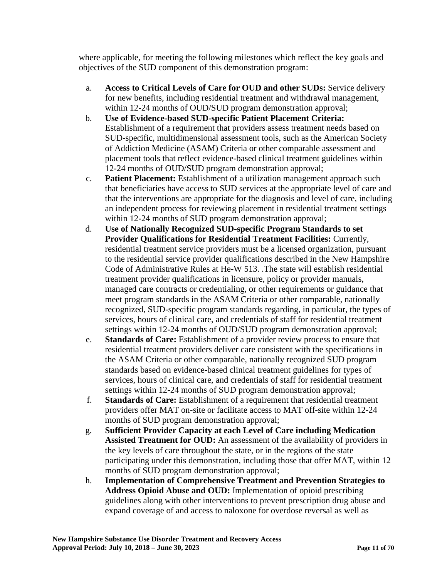where applicable, for meeting the following milestones which reflect the key goals and objectives of the SUD component of this demonstration program:

- a. **Access to Critical Levels of Care for OUD and other SUDs:** Service delivery for new benefits, including residential treatment and withdrawal management, within 12-24 months of OUD/SUD program demonstration approval;
- b. **Use of Evidence-based SUD-specific Patient Placement Criteria:** Establishment of a requirement that providers assess treatment needs based on SUD-specific, multidimensional assessment tools, such as the American Society of Addiction Medicine (ASAM) Criteria or other comparable assessment and placement tools that reflect evidence-based clinical treatment guidelines within 12-24 months of OUD/SUD program demonstration approval;
- c. **Patient Placement:** Establishment of a utilization management approach such that beneficiaries have access to SUD services at the appropriate level of care and that the interventions are appropriate for the diagnosis and level of care, including an independent process for reviewing placement in residential treatment settings within 12-24 months of SUD program demonstration approval;
- d. **Use of Nationally Recognized SUD-specific Program Standards to set Provider Qualifications for Residential Treatment Facilities:** Currently, residential treatment service providers must be a licensed organization, pursuant to the residential service provider qualifications described in the New Hampshire Code of Administrative Rules at He-W 513. .The state will establish residential treatment provider qualifications in licensure, policy or provider manuals, managed care contracts or credentialing, or other requirements or guidance that meet program standards in the ASAM Criteria or other comparable, nationally recognized, SUD-specific program standards regarding, in particular, the types of services, hours of clinical care, and credentials of staff for residential treatment settings within 12-24 months of OUD/SUD program demonstration approval;
- e. **Standards of Care:** Establishment of a provider review process to ensure that residential treatment providers deliver care consistent with the specifications in the ASAM Criteria or other comparable, nationally recognized SUD program standards based on evidence-based clinical treatment guidelines for types of services, hours of clinical care, and credentials of staff for residential treatment settings within 12-24 months of SUD program demonstration approval;
- f. **Standards of Care:** Establishment of a requirement that residential treatment providers offer MAT on-site or facilitate access to MAT off-site within 12-24 months of SUD program demonstration approval;
- g. **Sufficient Provider Capacity at each Level of Care including Medication Assisted Treatment for OUD:** An assessment of the availability of providers in the key levels of care throughout the state, or in the regions of the state participating under this demonstration, including those that offer MAT, within 12 months of SUD program demonstration approval;
- h. **Implementation of Comprehensive Treatment and Prevention Strategies to Address Opioid Abuse and OUD:** Implementation of opioid prescribing guidelines along with other interventions to prevent prescription drug abuse and expand coverage of and access to naloxone for overdose reversal as well as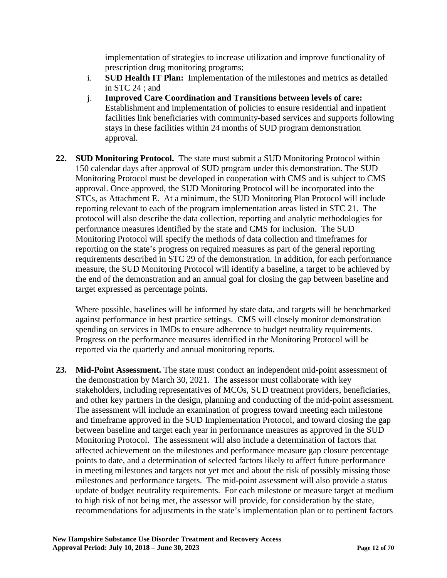implementation of strategies to increase utilization and improve functionality of prescription drug monitoring programs;

- i. **SUD Health IT Plan:** Implementation of the milestones and metrics as detailed in STC 24 ; and
- j. **Improved Care Coordination and Transitions between levels of care:** Establishment and implementation of policies to ensure residential and inpatient facilities link beneficiaries with community-based services and supports following stays in these facilities within 24 months of SUD program demonstration approval.
- **22. SUD Monitoring Protocol.** The state must submit a SUD Monitoring Protocol within 150 calendar days after approval of SUD program under this demonstration. The SUD Monitoring Protocol must be developed in cooperation with CMS and is subject to CMS approval. Once approved, the SUD Monitoring Protocol will be incorporated into the STCs, as Attachment E. At a minimum, the SUD Monitoring Plan Protocol will include reporting relevant to each of the program implementation areas listed in STC 21. The protocol will also describe the data collection, reporting and analytic methodologies for performance measures identified by the state and CMS for inclusion. The SUD Monitoring Protocol will specify the methods of data collection and timeframes for reporting on the state's progress on required measures as part of the general reporting requirements described in STC 29 of the demonstration. In addition, for each performance measure, the SUD Monitoring Protocol will identify a baseline, a target to be achieved by the end of the demonstration and an annual goal for closing the gap between baseline and target expressed as percentage points.

Where possible, baselines will be informed by state data, and targets will be benchmarked against performance in best practice settings. CMS will closely monitor demonstration spending on services in IMDs to ensure adherence to budget neutrality requirements. Progress on the performance measures identified in the Monitoring Protocol will be reported via the quarterly and annual monitoring reports.

**23. Mid-Point Assessment.** The state must conduct an independent mid-point assessment of the demonstration by March 30, 2021. The assessor must collaborate with key stakeholders, including representatives of MCOs, SUD treatment providers, beneficiaries, and other key partners in the design, planning and conducting of the mid-point assessment. The assessment will include an examination of progress toward meeting each milestone and timeframe approved in the SUD Implementation Protocol, and toward closing the gap between baseline and target each year in performance measures as approved in the SUD Monitoring Protocol.The assessment will also include a determination of factors that affected achievement on the milestones and performance measure gap closure percentage points to date, and a determination of selected factors likely to affect future performance in meeting milestones and targets not yet met and about the risk of possibly missing those milestones and performance targets. The mid-point assessment will also provide a status update of budget neutrality requirements. For each milestone or measure target at medium to high risk of not being met, the assessor will provide, for consideration by the state, recommendations for adjustments in the state's implementation plan or to pertinent factors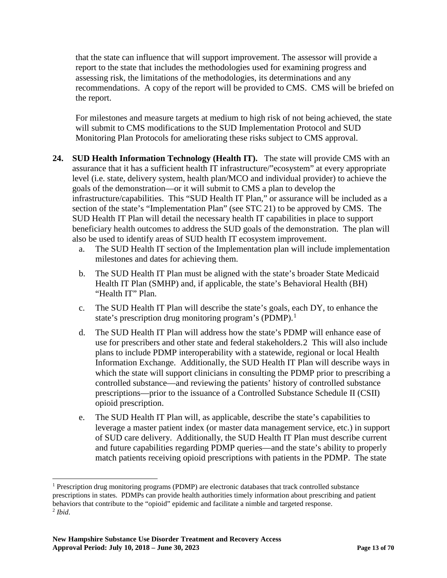that the state can influence that will support improvement. The assessor will provide a report to the state that includes the methodologies used for examining progress and assessing risk, the limitations of the methodologies, its determinations and any recommendations. A copy of the report will be provided to CMS. CMS will be briefed on the report.

For milestones and measure targets at medium to high risk of not being achieved, the state will submit to CMS modifications to the SUD Implementation Protocol and SUD Monitoring Plan Protocols for ameliorating these risks subject to CMS approval.

- **24. SUD Health Information Technology (Health IT).** The state will provide CMS with an assurance that it has a sufficient health IT infrastructure/"ecosystem" at every appropriate level (i.e. state, delivery system, health plan/MCO and individual provider) to achieve the goals of the demonstration—or it will submit to CMS a plan to develop the infrastructure/capabilities. This "SUD Health IT Plan," or assurance will be included as a section of the state's "Implementation Plan" (see STC 21) to be approved by CMS. The SUD Health IT Plan will detail the necessary health IT capabilities in place to support beneficiary health outcomes to address the SUD goals of the demonstration. The plan will also be used to identify areas of SUD health IT ecosystem improvement.
	- a. The SUD Health IT section of the Implementation plan will include implementation milestones and dates for achieving them.
	- b. The SUD Health IT Plan must be aligned with the state's broader State Medicaid Health IT Plan (SMHP) and, if applicable, the state's Behavioral Health (BH) "Health IT" Plan.
	- c. The SUD Health IT Plan will describe the state's goals, each DY, to enhance the state's prescription drug monitoring program's (PDMP).<sup>[1](#page-13-0)</sup>
	- d. The SUD Health IT Plan will address how the state's PDMP will enhance ease of use for prescribers and other state and federal stakeholders.[2](#page-13-1) This will also include plans to include PDMP interoperability with a statewide, regional or local Health Information Exchange. Additionally, the SUD Health IT Plan will describe ways in which the state will support clinicians in consulting the PDMP prior to prescribing a controlled substance—and reviewing the patients' history of controlled substance prescriptions—prior to the issuance of a Controlled Substance Schedule II (CSII) opioid prescription.
	- e. The SUD Health IT Plan will, as applicable, describe the state's capabilities to leverage a master patient index (or master data management service, etc.) in support of SUD care delivery. Additionally, the SUD Health IT Plan must describe current and future capabilities regarding PDMP queries—and the state's ability to properly match patients receiving opioid prescriptions with patients in the PDMP. The state

<span id="page-13-1"></span><span id="page-13-0"></span> <sup>1</sup> Prescription drug monitoring programs (PDMP) are electronic databases that track controlled substance prescriptions in states. PDMPs can provide health authorities timely information about prescribing and patient behaviors that contribute to the "opioid" epidemic and facilitate a nimble and targeted response. <sup>2</sup> *Ibid*.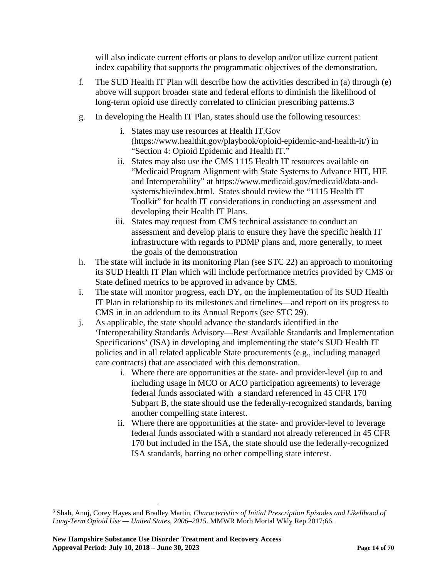will also indicate current efforts or plans to develop and/or utilize current patient index capability that supports the programmatic objectives of the demonstration.

- f. The SUD Health IT Plan will describe how the activities described in (a) through (e) above will support broader state and federal efforts to diminish the likelihood of long-term opioid use directly correlated to clinician prescribing patterns.[3](#page-14-0)
- g. In developing the Health IT Plan, states should use the following resources:
	- i. States may use resources at Health IT.Gov (https://www.healthit.gov/playbook/opioid-epidemic-and-health-it/) in "Section 4: Opioid Epidemic and Health IT."
	- ii. States may also use the CMS 1115 Health IT resources available on "Medicaid Program Alignment with State Systems to Advance HIT, HIE and Interoperability" at https://www.medicaid.gov/medicaid/data-andsystems/hie/index.html. States should review the "1115 Health IT Toolkit" for health IT considerations in conducting an assessment and developing their Health IT Plans.
	- iii. States may request from CMS technical assistance to conduct an assessment and develop plans to ensure they have the specific health IT infrastructure with regards to PDMP plans and, more generally, to meet the goals of the demonstration
- h. The state will include in its monitoring Plan (see STC 22) an approach to monitoring its SUD Health IT Plan which will include performance metrics provided by CMS or State defined metrics to be approved in advance by CMS.
- i. The state will monitor progress, each DY, on the implementation of its SUD Health IT Plan in relationship to its milestones and timelines—and report on its progress to CMS in in an addendum to its Annual Reports (see STC 29).
- j. As applicable, the state should advance the standards identified in the 'Interoperability Standards Advisory—Best Available Standards and Implementation Specifications' (ISA) in developing and implementing the state's SUD Health IT policies and in all related applicable State procurements (e.g., including managed care contracts) that are associated with this demonstration.
	- i. Where there are opportunities at the state- and provider-level (up to and including usage in MCO or ACO participation agreements) to leverage federal funds associated with a standard referenced in 45 CFR 170 Subpart B, the state should use the federally-recognized standards, barring another compelling state interest.
	- ii. Where there are opportunities at the state- and provider-level to leverage federal funds associated with a standard not already referenced in 45 CFR 170 but included in the ISA, the state should use the federally-recognized ISA standards, barring no other compelling state interest.

<span id="page-14-0"></span> <sup>3</sup> Shah, Anuj, Corey Hayes and Bradley Martin. *Characteristics of Initial Prescription Episodes and Likelihood of Long-Term Opioid Use — United States, 2006–2015*. MMWR Morb Mortal Wkly Rep 2017;66.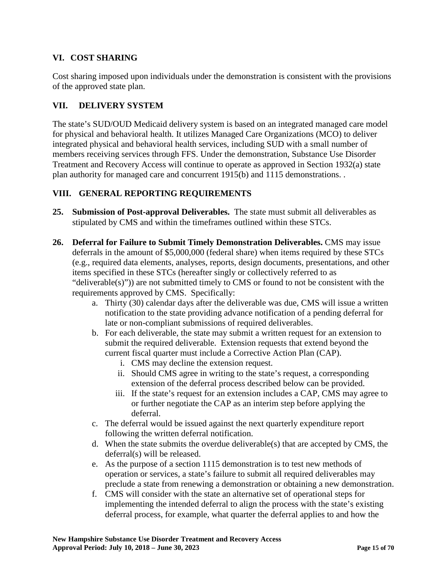## **VI. COST SHARING**

Cost sharing imposed upon individuals under the demonstration is consistent with the provisions of the approved state plan.

## **VII. DELIVERY SYSTEM**

The state's SUD/OUD Medicaid delivery system is based on an integrated managed care model for physical and behavioral health. It utilizes Managed Care Organizations (MCO) to deliver integrated physical and behavioral health services, including SUD with a small number of members receiving services through FFS. Under the demonstration, Substance Use Disorder Treatment and Recovery Access will continue to operate as approved in Section 1932(a) state plan authority for managed care and concurrent 1915(b) and 1115 demonstrations. .

## **VIII. GENERAL REPORTING REQUIREMENTS**

- **25. Submission of Post-approval Deliverables.** The state must submit all deliverables as stipulated by CMS and within the timeframes outlined within these STCs.
- **26. Deferral for Failure to Submit Timely Demonstration Deliverables.** CMS may issue deferrals in the amount of \$5,000,000 (federal share) when items required by these STCs (e.g., required data elements, analyses, reports, design documents, presentations, and other items specified in these STCs (hereafter singly or collectively referred to as "deliverable $(s)$ ")) are not submitted timely to CMS or found to not be consistent with the requirements approved by CMS. Specifically:
	- a. Thirty (30) calendar days after the deliverable was due, CMS will issue a written notification to the state providing advance notification of a pending deferral for late or non-compliant submissions of required deliverables.
	- b. For each deliverable, the state may submit a written request for an extension to submit the required deliverable. Extension requests that extend beyond the current fiscal quarter must include a Corrective Action Plan (CAP).
		- i. CMS may decline the extension request.
		- ii. Should CMS agree in writing to the state's request, a corresponding extension of the deferral process described below can be provided.
		- iii. If the state's request for an extension includes a CAP, CMS may agree to or further negotiate the CAP as an interim step before applying the deferral.
	- c. The deferral would be issued against the next quarterly expenditure report following the written deferral notification.
	- d. When the state submits the overdue deliverable(s) that are accepted by CMS, the deferral(s) will be released.
	- e. As the purpose of a section 1115 demonstration is to test new methods of operation or services, a state's failure to submit all required deliverables may preclude a state from renewing a demonstration or obtaining a new demonstration.
	- f. CMS will consider with the state an alternative set of operational steps for implementing the intended deferral to align the process with the state's existing deferral process, for example, what quarter the deferral applies to and how the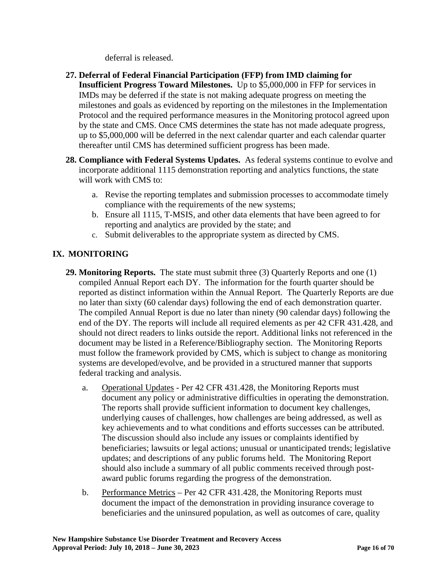deferral is released.

- **27. Deferral of Federal Financial Participation (FFP) from IMD claiming for Insufficient Progress Toward Milestones.** Up to \$5,000,000 in FFP for services in IMDs may be deferred if the state is not making adequate progress on meeting the milestones and goals as evidenced by reporting on the milestones in the Implementation Protocol and the required performance measures in the Monitoring protocol agreed upon by the state and CMS. Once CMS determines the state has not made adequate progress, up to \$5,000,000 will be deferred in the next calendar quarter and each calendar quarter thereafter until CMS has determined sufficient progress has been made.
- **28. Compliance with Federal Systems Updates.** As federal systems continue to evolve and incorporate additional 1115 demonstration reporting and analytics functions, the state will work with CMS to:
	- a. Revise the reporting templates and submission processes to accommodate timely compliance with the requirements of the new systems;
	- b. Ensure all 1115, T-MSIS, and other data elements that have been agreed to for reporting and analytics are provided by the state; and
	- c. Submit deliverables to the appropriate system as directed by CMS.

## **IX. MONITORING**

- **29. Monitoring Reports.** The state must submit three (3) Quarterly Reports and one (1) compiled Annual Report each DY. The information for the fourth quarter should be reported as distinct information within the Annual Report. The Quarterly Reports are due no later than sixty (60 calendar days) following the end of each demonstration quarter. The compiled Annual Report is due no later than ninety (90 calendar days) following the end of the DY. The reports will include all required elements as per 42 CFR 431.428, and should not direct readers to links outside the report. Additional links not referenced in the document may be listed in a Reference/Bibliography section. The Monitoring Reports must follow the framework provided by CMS, which is subject to change as monitoring systems are developed/evolve, and be provided in a structured manner that supports federal tracking and analysis.
	- a. Operational Updates Per 42 CFR 431.428, the Monitoring Reports must document any policy or administrative difficulties in operating the demonstration. The reports shall provide sufficient information to document key challenges, underlying causes of challenges, how challenges are being addressed, as well as key achievements and to what conditions and efforts successes can be attributed. The discussion should also include any issues or complaints identified by beneficiaries; lawsuits or legal actions; unusual or unanticipated trends; legislative updates; and descriptions of any public forums held. The Monitoring Report should also include a summary of all public comments received through postaward public forums regarding the progress of the demonstration.
	- b. Performance Metrics Per 42 CFR 431.428, the Monitoring Reports must document the impact of the demonstration in providing insurance coverage to beneficiaries and the uninsured population, as well as outcomes of care, quality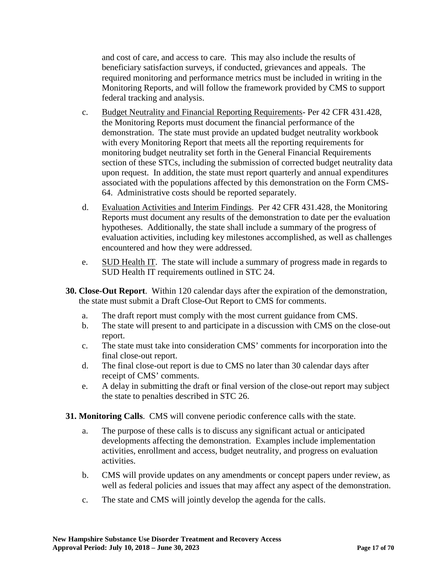and cost of care, and access to care. This may also include the results of beneficiary satisfaction surveys, if conducted, grievances and appeals. The required monitoring and performance metrics must be included in writing in the Monitoring Reports, and will follow the framework provided by CMS to support federal tracking and analysis.

- c. Budget Neutrality and Financial Reporting Requirements- Per 42 CFR 431.428, the Monitoring Reports must document the financial performance of the demonstration. The state must provide an updated budget neutrality workbook with every Monitoring Report that meets all the reporting requirements for monitoring budget neutrality set forth in the General Financial Requirements section of these STCs, including the submission of corrected budget neutrality data upon request. In addition, the state must report quarterly and annual expenditures associated with the populations affected by this demonstration on the Form CMS-64. Administrative costs should be reported separately.
- d. Evaluation Activities and Interim Findings. Per 42 CFR 431.428, the Monitoring Reports must document any results of the demonstration to date per the evaluation hypotheses. Additionally, the state shall include a summary of the progress of evaluation activities, including key milestones accomplished, as well as challenges encountered and how they were addressed.
- e. SUD Health IT. The state will include a summary of progress made in regards to SUD Health IT requirements outlined in STC 24.
- **30. Close-Out Report**. Within 120 calendar days after the expiration of the demonstration, the state must submit a Draft Close-Out Report to CMS for comments.
	- a. The draft report must comply with the most current guidance from CMS.
	- b. The state will present to and participate in a discussion with CMS on the close-out report.
	- c. The state must take into consideration CMS' comments for incorporation into the final close-out report.
	- d. The final close-out report is due to CMS no later than 30 calendar days after receipt of CMS' comments.
	- e. A delay in submitting the draft or final version of the close-out report may subject the state to penalties described in STC 26.
- **31. Monitoring Calls**. CMS will convene periodic conference calls with the state.
	- a. The purpose of these calls is to discuss any significant actual or anticipated developments affecting the demonstration. Examples include implementation activities, enrollment and access, budget neutrality, and progress on evaluation activities.
	- b. CMS will provide updates on any amendments or concept papers under review, as well as federal policies and issues that may affect any aspect of the demonstration.
	- c. The state and CMS will jointly develop the agenda for the calls.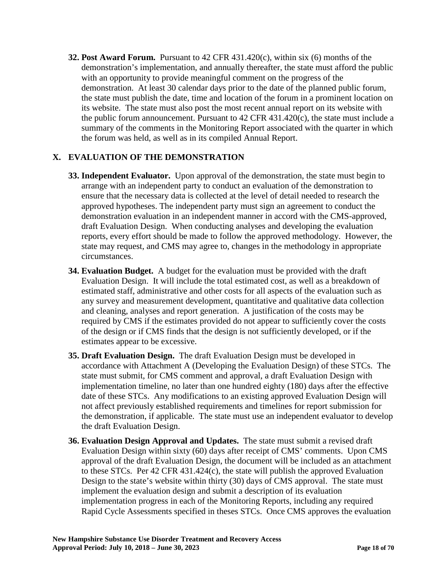**32. Post Award Forum.** Pursuant to 42 CFR 431.420(c), within six (6) months of the demonstration's implementation, and annually thereafter, the state must afford the public with an opportunity to provide meaningful comment on the progress of the demonstration. At least 30 calendar days prior to the date of the planned public forum, the state must publish the date, time and location of the forum in a prominent location on its website. The state must also post the most recent annual report on its website with the public forum announcement. Pursuant to 42 CFR 431.420(c), the state must include a summary of the comments in the Monitoring Report associated with the quarter in which the forum was held, as well as in its compiled Annual Report.

## **X. EVALUATION OF THE DEMONSTRATION**

- **33. Independent Evaluator.** Upon approval of the demonstration, the state must begin to arrange with an independent party to conduct an evaluation of the demonstration to ensure that the necessary data is collected at the level of detail needed to research the approved hypotheses. The independent party must sign an agreement to conduct the demonstration evaluation in an independent manner in accord with the CMS-approved, draft Evaluation Design. When conducting analyses and developing the evaluation reports, every effort should be made to follow the approved methodology. However, the state may request, and CMS may agree to, changes in the methodology in appropriate circumstances.
- **34. Evaluation Budget.** A budget for the evaluation must be provided with the draft Evaluation Design. It will include the total estimated cost, as well as a breakdown of estimated staff, administrative and other costs for all aspects of the evaluation such as any survey and measurement development, quantitative and qualitative data collection and cleaning, analyses and report generation. A justification of the costs may be required by CMS if the estimates provided do not appear to sufficiently cover the costs of the design or if CMS finds that the design is not sufficiently developed, or if the estimates appear to be excessive.
- **35. Draft Evaluation Design.** The draft Evaluation Design must be developed in accordance with Attachment A (Developing the Evaluation Design) of these STCs. The state must submit, for CMS comment and approval, a draft Evaluation Design with implementation timeline, no later than one hundred eighty (180) days after the effective date of these STCs. Any modifications to an existing approved Evaluation Design will not affect previously established requirements and timelines for report submission for the demonstration, if applicable. The state must use an independent evaluator to develop the draft Evaluation Design.
- **36. Evaluation Design Approval and Updates.** The state must submit a revised draft Evaluation Design within sixty (60) days after receipt of CMS' comments. Upon CMS approval of the draft Evaluation Design, the document will be included as an attachment to these STCs. Per 42 CFR 431.424(c), the state will publish the approved Evaluation Design to the state's website within thirty (30) days of CMS approval. The state must implement the evaluation design and submit a description of its evaluation implementation progress in each of the Monitoring Reports, including any required Rapid Cycle Assessments specified in theses STCs. Once CMS approves the evaluation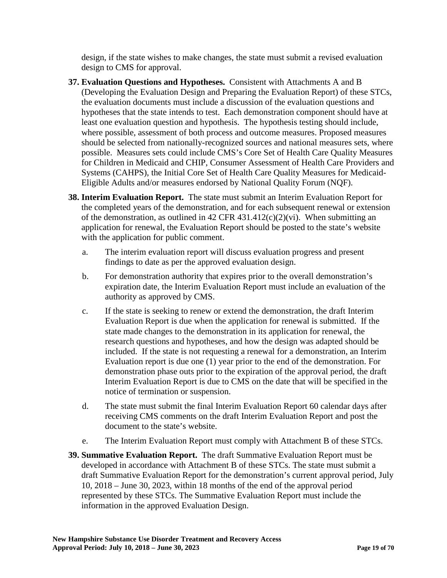design, if the state wishes to make changes, the state must submit a revised evaluation design to CMS for approval.

- **37. Evaluation Questions and Hypotheses.** Consistent with Attachments A and B (Developing the Evaluation Design and Preparing the Evaluation Report) of these STCs, the evaluation documents must include a discussion of the evaluation questions and hypotheses that the state intends to test. Each demonstration component should have at least one evaluation question and hypothesis. The hypothesis testing should include, where possible, assessment of both process and outcome measures. Proposed measures should be selected from nationally-recognized sources and national measures sets, where possible. Measures sets could include CMS's Core Set of Health Care Quality Measures for Children in Medicaid and CHIP, Consumer Assessment of Health Care Providers and Systems (CAHPS), the Initial Core Set of Health Care Quality Measures for Medicaid-Eligible Adults and/or measures endorsed by National Quality Forum (NQF).
- **38. Interim Evaluation Report.** The state must submit an Interim Evaluation Report for the completed years of the demonstration, and for each subsequent renewal or extension of the demonstration, as outlined in 42 CFR 431.412(c)(2)(vi). When submitting an application for renewal, the Evaluation Report should be posted to the state's website with the application for public comment.
	- a. The interim evaluation report will discuss evaluation progress and present findings to date as per the approved evaluation design.
	- b. For demonstration authority that expires prior to the overall demonstration's expiration date, the Interim Evaluation Report must include an evaluation of the authority as approved by CMS.
	- c. If the state is seeking to renew or extend the demonstration, the draft Interim Evaluation Report is due when the application for renewal is submitted. If the state made changes to the demonstration in its application for renewal, the research questions and hypotheses, and how the design was adapted should be included. If the state is not requesting a renewal for a demonstration, an Interim Evaluation report is due one (1) year prior to the end of the demonstration. For demonstration phase outs prior to the expiration of the approval period, the draft Interim Evaluation Report is due to CMS on the date that will be specified in the notice of termination or suspension.
	- d. The state must submit the final Interim Evaluation Report 60 calendar days after receiving CMS comments on the draft Interim Evaluation Report and post the document to the state's website.
	- e. The Interim Evaluation Report must comply with Attachment B of these STCs.
- **39. Summative Evaluation Report.** The draft Summative Evaluation Report must be developed in accordance with Attachment B of these STCs. The state must submit a draft Summative Evaluation Report for the demonstration's current approval period, July 10, 2018 – June 30, 2023, within 18 months of the end of the approval period represented by these STCs. The Summative Evaluation Report must include the information in the approved Evaluation Design.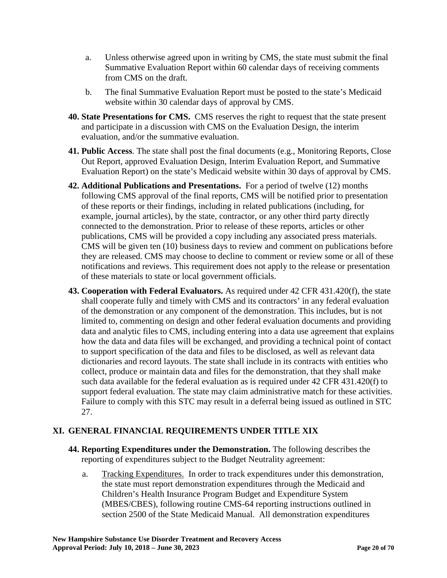- a. Unless otherwise agreed upon in writing by CMS, the state must submit the final Summative Evaluation Report within 60 calendar days of receiving comments from CMS on the draft.
- b. The final Summative Evaluation Report must be posted to the state's Medicaid website within 30 calendar days of approval by CMS.
- **40. State Presentations for CMS.** CMS reserves the right to request that the state present and participate in a discussion with CMS on the Evaluation Design, the interim evaluation, and/or the summative evaluation.
- **41. Public Access**. The state shall post the final documents (e.g., Monitoring Reports, Close Out Report, approved Evaluation Design, Interim Evaluation Report, and Summative Evaluation Report) on the state's Medicaid website within 30 days of approval by CMS.
- **42. Additional Publications and Presentations.** For a period of twelve (12) months following CMS approval of the final reports, CMS will be notified prior to presentation of these reports or their findings, including in related publications (including, for example, journal articles), by the state, contractor, or any other third party directly connected to the demonstration. Prior to release of these reports, articles or other publications, CMS will be provided a copy including any associated press materials. CMS will be given ten (10) business days to review and comment on publications before they are released. CMS may choose to decline to comment or review some or all of these notifications and reviews. This requirement does not apply to the release or presentation of these materials to state or local government officials.
- **43. Cooperation with Federal Evaluators.** As required under 42 CFR 431.420(f), the state shall cooperate fully and timely with CMS and its contractors' in any federal evaluation of the demonstration or any component of the demonstration. This includes, but is not limited to, commenting on design and other federal evaluation documents and providing data and analytic files to CMS, including entering into a data use agreement that explains how the data and data files will be exchanged, and providing a technical point of contact to support specification of the data and files to be disclosed, as well as relevant data dictionaries and record layouts. The state shall include in its contracts with entities who collect, produce or maintain data and files for the demonstration, that they shall make such data available for the federal evaluation as is required under 42 CFR 431.420(f) to support federal evaluation. The state may claim administrative match for these activities. Failure to comply with this STC may result in a deferral being issued as outlined in STC 27.

### **[XI.](#page-2-1) GENERAL FINANCIAL REQUIREMENTS UNDER TITLE XIX**

- **44. Reporting Expenditures under the Demonstration.** The following describes the reporting of expenditures subject to the Budget Neutrality agreement:
	- a. Tracking Expenditures. In order to track expenditures under this demonstration, the state must report demonstration expenditures through the Medicaid and Children's Health Insurance Program Budget and Expenditure System (MBES/CBES), following routine CMS-64 reporting instructions outlined in section 2500 of the State Medicaid Manual. All demonstration expenditures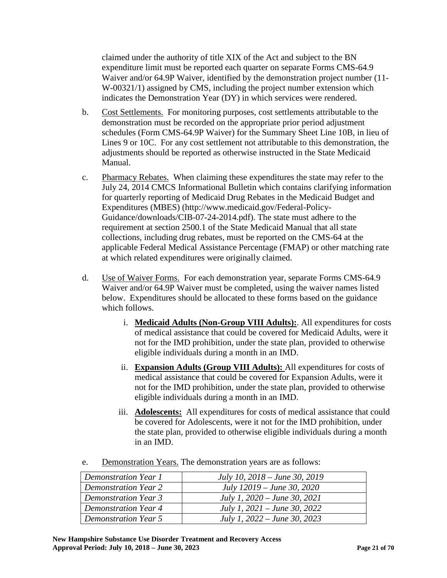claimed under the authority of title XIX of the Act and subject to the BN expenditure limit must be reported each quarter on separate Forms CMS-64.9 Waiver and/or 64.9P Waiver, identified by the demonstration project number (11- W-00321/1) assigned by CMS, including the project number extension which indicates the Demonstration Year (DY) in which services were rendered.

- b. Cost Settlements. For monitoring purposes, cost settlements attributable to the demonstration must be recorded on the appropriate prior period adjustment schedules (Form CMS-64.9P Waiver) for the Summary Sheet Line 10B, in lieu of Lines 9 or 10C. For any cost settlement not attributable to this demonstration, the adjustments should be reported as otherwise instructed in the State Medicaid Manual.
- c. Pharmacy Rebates. When claiming these expenditures the state may refer to the July 24, 2014 CMCS Informational Bulletin which contains clarifying information for quarterly reporting of Medicaid Drug Rebates in the Medicaid Budget and Expenditures (MBES) (http://www.medicaid.gov/Federal-Policy-Guidance/downloads/CIB-07-24-2014.pdf). The state must adhere to the requirement at section 2500.1 of the State Medicaid Manual that all state collections, including drug rebates, must be reported on the CMS-64 at the applicable Federal Medical Assistance Percentage (FMAP) or other matching rate at which related expenditures were originally claimed.
- d. Use of Waiver Forms. For each demonstration year, separate Forms CMS-64.9 Waiver and/or 64.9P Waiver must be completed, using the waiver names listed below. Expenditures should be allocated to these forms based on the guidance which follows.
	- i. **Medicaid Adults (Non-Group VIII Adults):**. All expenditures for costs of medical assistance that could be covered for Medicaid Adults, were it not for the IMD prohibition, under the state plan, provided to otherwise eligible individuals during a month in an IMD.
	- ii. **Expansion Adults (Group VIII Adults):** All expenditures for costs of medical assistance that could be covered for Expansion Adults, were it not for the IMD prohibition, under the state plan, provided to otherwise eligible individuals during a month in an IMD.
	- iii. **Adolescents:** All expenditures for costs of medical assistance that could be covered for Adolescents, were it not for the IMD prohibition, under the state plan, provided to otherwise eligible individuals during a month in an IMD.

| <b>Demonstration Year 1</b> | July 10, 2018 – June 30, 2019  |
|-----------------------------|--------------------------------|
| <b>Demonstration Year 2</b> | July 12019 – June 30, 2020     |
| <b>Demonstration Year 3</b> | July 1, $2020 - June 30, 2021$ |
| <b>Demonstration Year 4</b> | July 1, $2021 - June 30, 2022$ |
| <b>Demonstration Year 5</b> | July 1, $2022 - June 30, 2023$ |

e. Demonstration Years. The demonstration years are as follows: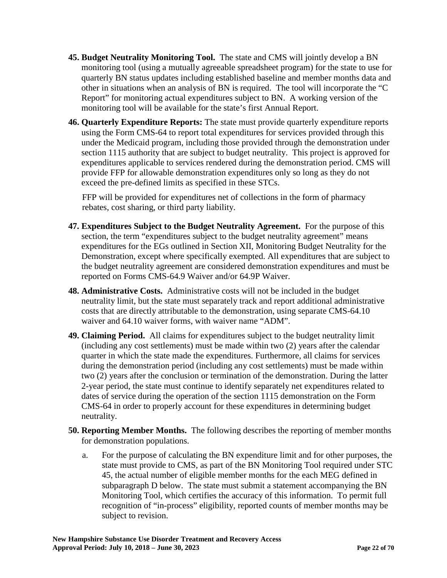- **45. Budget Neutrality Monitoring Tool.** The state and CMS will jointly develop a BN monitoring tool (using a mutually agreeable spreadsheet program) for the state to use for quarterly BN status updates including established baseline and member months data and other in situations when an analysis of BN is required. The tool will incorporate the "C Report" for monitoring actual expenditures subject to BN. A working version of the monitoring tool will be available for the state's first Annual Report.
- **46. Quarterly Expenditure Reports:** The state must provide quarterly expenditure reports using the Form CMS-64 to report total expenditures for services provided through this under the Medicaid program, including those provided through the demonstration under section 1115 authority that are subject to budget neutrality. This project is approved for expenditures applicable to services rendered during the demonstration period. CMS will provide FFP for allowable demonstration expenditures only so long as they do not exceed the pre-defined limits as specified in these STCs.

FFP will be provided for expenditures net of collections in the form of pharmacy rebates, cost sharing, or third party liability.

- **47. Expenditures Subject to the Budget Neutrality Agreement.** For the purpose of this section, the term "expenditures subject to the budget neutrality agreement" means expenditures for the EGs outlined in Section XII, Monitoring Budget Neutrality for the Demonstration, except where specifically exempted. All expenditures that are subject to the budget neutrality agreement are considered demonstration expenditures and must be reported on Forms CMS-64.9 Waiver and/or 64.9P Waiver.
- **48. Administrative Costs.** Administrative costs will not be included in the budget neutrality limit, but the state must separately track and report additional administrative costs that are directly attributable to the demonstration, using separate CMS-64.10 waiver and 64.10 waiver forms, with waiver name "ADM".
- **49. Claiming Period.** All claims for expenditures subject to the budget neutrality limit (including any cost settlements) must be made within two (2) years after the calendar quarter in which the state made the expenditures. Furthermore, all claims for services during the demonstration period (including any cost settlements) must be made within two (2) years after the conclusion or termination of the demonstration. During the latter 2-year period, the state must continue to identify separately net expenditures related to dates of service during the operation of the section 1115 demonstration on the Form CMS-64 in order to properly account for these expenditures in determining budget neutrality.
- **50. Reporting Member Months.** The following describes the reporting of member months for demonstration populations.
	- a. For the purpose of calculating the BN expenditure limit and for other purposes, the state must provide to CMS, as part of the BN Monitoring Tool required under STC 45, the actual number of eligible member months for the each MEG defined in subparagraph D below. The state must submit a statement accompanying the BN Monitoring Tool, which certifies the accuracy of this information. To permit full recognition of "in-process" eligibility, reported counts of member months may be subject to revision.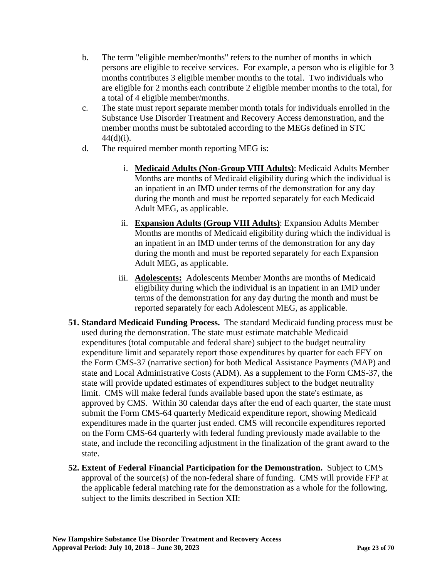- b. The term "eligible member/months" refers to the number of months in which persons are eligible to receive services. For example, a person who is eligible for 3 months contributes 3 eligible member months to the total. Two individuals who are eligible for 2 months each contribute 2 eligible member months to the total, for a total of 4 eligible member/months.
- c. The state must report separate member month totals for individuals enrolled in the Substance Use Disorder Treatment and Recovery Access demonstration, and the member months must be subtotaled according to the MEGs defined in STC  $44(d)(i)$ .
- d. The required member month reporting MEG is:
	- i. **Medicaid Adults (Non-Group VIII Adults)**: Medicaid Adults Member Months are months of Medicaid eligibility during which the individual is an inpatient in an IMD under terms of the demonstration for any day during the month and must be reported separately for each Medicaid Adult MEG, as applicable.
	- ii. **Expansion Adults (Group VIII Adults)**: Expansion Adults Member Months are months of Medicaid eligibility during which the individual is an inpatient in an IMD under terms of the demonstration for any day during the month and must be reported separately for each Expansion Adult MEG, as applicable.
	- iii. **Adolescents:** Adolescents Member Months are months of Medicaid eligibility during which the individual is an inpatient in an IMD under terms of the demonstration for any day during the month and must be reported separately for each Adolescent MEG, as applicable.
- **51. Standard Medicaid Funding Process.** The standard Medicaid funding process must be used during the demonstration. The state must estimate matchable Medicaid expenditures (total computable and federal share) subject to the budget neutrality expenditure limit and separately report those expenditures by quarter for each FFY on the Form CMS-37 (narrative section) for both Medical Assistance Payments (MAP) and state and Local Administrative Costs (ADM). As a supplement to the Form CMS-37, the state will provide updated estimates of expenditures subject to the budget neutrality limit. CMS will make federal funds available based upon the state's estimate, as approved by CMS. Within 30 calendar days after the end of each quarter, the state must submit the Form CMS-64 quarterly Medicaid expenditure report, showing Medicaid expenditures made in the quarter just ended. CMS will reconcile expenditures reported on the Form CMS-64 quarterly with federal funding previously made available to the state, and include the reconciling adjustment in the finalization of the grant award to the state.
- **52. Extent of Federal Financial Participation for the Demonstration.** Subject to CMS approval of the source(s) of the non-federal share of funding. CMS will provide FFP at the applicable federal matching rate for the demonstration as a whole for the following, subject to the limits described in Section XII: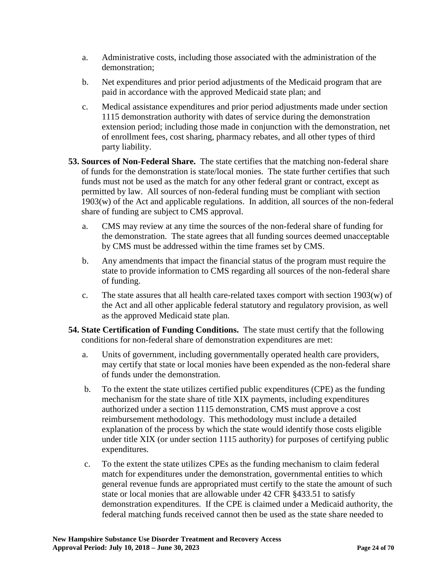- a. Administrative costs, including those associated with the administration of the demonstration;
- b. Net expenditures and prior period adjustments of the Medicaid program that are paid in accordance with the approved Medicaid state plan; and
- c. Medical assistance expenditures and prior period adjustments made under section 1115 demonstration authority with dates of service during the demonstration extension period; including those made in conjunction with the demonstration, net of enrollment fees, cost sharing, pharmacy rebates, and all other types of third party liability.
- **53. Sources of Non-Federal Share.** The state certifies that the matching non-federal share of funds for the demonstration is state/local monies. The state further certifies that such funds must not be used as the match for any other federal grant or contract, except as permitted by law. All sources of non-federal funding must be compliant with section 1903(w) of the Act and applicable regulations. In addition, all sources of the non-federal share of funding are subject to CMS approval.
	- a. CMS may review at any time the sources of the non-federal share of funding for the demonstration. The state agrees that all funding sources deemed unacceptable by CMS must be addressed within the time frames set by CMS.
	- b. Any amendments that impact the financial status of the program must require the state to provide information to CMS regarding all sources of the non-federal share of funding.
	- c. The state assures that all health care-related taxes comport with section 1903(w) of the Act and all other applicable federal statutory and regulatory provision, as well as the approved Medicaid state plan.
- **54. State Certification of Funding Conditions.** The state must certify that the following conditions for non-federal share of demonstration expenditures are met:
	- a. Units of government, including governmentally operated health care providers, may certify that state or local monies have been expended as the non-federal share of funds under the demonstration.
	- b. To the extent the state utilizes certified public expenditures (CPE) as the funding mechanism for the state share of title XIX payments, including expenditures authorized under a section 1115 demonstration, CMS must approve a cost reimbursement methodology. This methodology must include a detailed explanation of the process by which the state would identify those costs eligible under title XIX (or under section 1115 authority) for purposes of certifying public expenditures.
	- c. To the extent the state utilizes CPEs as the funding mechanism to claim federal match for expenditures under the demonstration, governmental entities to which general revenue funds are appropriated must certify to the state the amount of such state or local monies that are allowable under 42 CFR §433.51 to satisfy demonstration expenditures. If the CPE is claimed under a Medicaid authority, the federal matching funds received cannot then be used as the state share needed to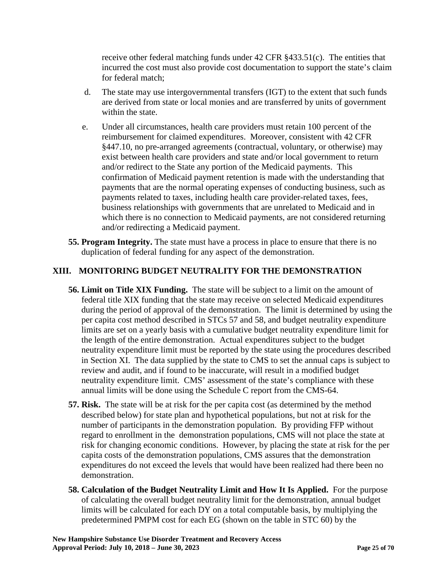receive other federal matching funds under  $42$  CFR  $\S 433.51(c)$ . The entities that incurred the cost must also provide cost documentation to support the state's claim for federal match;

- d. The state may use intergovernmental transfers (IGT) to the extent that such funds are derived from state or local monies and are transferred by units of government within the state.
- e. Under all circumstances, health care providers must retain 100 percent of the reimbursement for claimed expenditures. Moreover, consistent with 42 CFR §447.10, no pre-arranged agreements (contractual, voluntary, or otherwise) may exist between health care providers and state and/or local government to return and/or redirect to the State any portion of the Medicaid payments. This confirmation of Medicaid payment retention is made with the understanding that payments that are the normal operating expenses of conducting business, such as payments related to taxes, including health care provider-related taxes, fees, business relationships with governments that are unrelated to Medicaid and in which there is no connection to Medicaid payments, are not considered returning and/or redirecting a Medicaid payment.
- **55. Program Integrity.** The state must have a process in place to ensure that there is no duplication of federal funding for any aspect of the demonstration.

## **[XIII](#page-2-2). MONITORING BUDGET NEUTRALITY FOR THE DEMONSTRATION**

- **56. Limit on Title XIX Funding.** The state will be subject to a limit on the amount of federal title XIX funding that the state may receive on selected Medicaid expenditures during the period of approval of the demonstration. The limit is determined by using the per capita cost method described in STCs 57 and 58, and budget neutrality expenditure limits are set on a yearly basis with a cumulative budget neutrality expenditure limit for the length of the entire demonstration. Actual expenditures subject to the budget neutrality expenditure limit must be reported by the state using the procedures described in Section XI. The data supplied by the state to CMS to set the annual caps is subject to review and audit, and if found to be inaccurate, will result in a modified budget neutrality expenditure limit. CMS' assessment of the state's compliance with these annual limits will be done using the Schedule C report from the CMS-64.
- **57. Risk.** The state will be at risk for the per capita cost (as determined by the method described below) for state plan and hypothetical populations, but not at risk for the number of participants in the demonstration population. By providing FFP without regard to enrollment in the demonstration populations, CMS will not place the state at risk for changing economic conditions. However, by placing the state at risk for the per capita costs of the demonstration populations, CMS assures that the demonstration expenditures do not exceed the levels that would have been realized had there been no demonstration.
- **58. Calculation of the Budget Neutrality Limit and How It Is Applied.** For the purpose of calculating the overall budget neutrality limit for the demonstration, annual budget limits will be calculated for each DY on a total computable basis, by multiplying the predetermined PMPM cost for each EG (shown on the table in STC 60) by the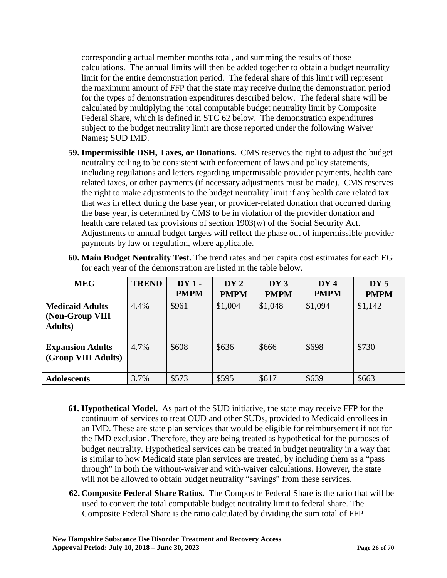corresponding actual member months total, and summing the results of those calculations. The annual limits will then be added together to obtain a budget neutrality limit for the entire demonstration period. The federal share of this limit will represent the maximum amount of FFP that the state may receive during the demonstration period for the types of demonstration expenditures described below. The federal share will be calculated by multiplying the total computable budget neutrality limit by Composite Federal Share, which is defined in STC 62 below. The demonstration expenditures subject to the budget neutrality limit are those reported under the following Waiver Names; SUD IMD.

- **59. Impermissible DSH, Taxes, or Donations.** CMS reserves the right to adjust the budget neutrality ceiling to be consistent with enforcement of laws and policy statements, including regulations and letters regarding impermissible provider payments, health care related taxes, or other payments (if necessary adjustments must be made). CMS reserves the right to make adjustments to the budget neutrality limit if any health care related tax that was in effect during the base year, or provider-related donation that occurred during the base year, is determined by CMS to be in violation of the provider donation and health care related tax provisions of section 1903(w) of the Social Security Act. Adjustments to annual budget targets will reflect the phase out of impermissible provider payments by law or regulation, where applicable.
- **60. Main Budget Neutrality Test.** The trend rates and per capita cost estimates for each EG for each year of the demonstration are listed in the table below.

| <b>MEG</b>                                                   | <b>TREND</b> | $DY1 -$     | DY2         | DY3         | DY4         | DY5         |
|--------------------------------------------------------------|--------------|-------------|-------------|-------------|-------------|-------------|
|                                                              |              | <b>PMPM</b> | <b>PMPM</b> | <b>PMPM</b> | <b>PMPM</b> | <b>PMPM</b> |
| <b>Medicaid Adults</b><br>(Non-Group VIII<br><b>Adults</b> ) | 4.4%         | \$961       | \$1,004     | \$1,048     | \$1,094     | \$1,142     |
| <b>Expansion Adults</b><br>(Group VIII Adults)               | 4.7%         | \$608       | \$636       | \$666       | \$698       | \$730       |
| <b>Adolescents</b>                                           | 3.7%         | \$573       | \$595       | \$617       | \$639       | \$663       |

- **61. Hypothetical Model.** As part of the SUD initiative, the state may receive FFP for the continuum of services to treat OUD and other SUDs, provided to Medicaid enrollees in an IMD. These are state plan services that would be eligible for reimbursement if not for the IMD exclusion. Therefore, they are being treated as hypothetical for the purposes of budget neutrality. Hypothetical services can be treated in budget neutrality in a way that is similar to how Medicaid state plan services are treated, by including them as a "pass through" in both the without-waiver and with-waiver calculations. However, the state will not be allowed to obtain budget neutrality "savings" from these services.
- **62. Composite Federal Share Ratios.** The Composite Federal Share is the ratio that will be used to convert the total computable budget neutrality limit to federal share. The Composite Federal Share is the ratio calculated by dividing the sum total of FFP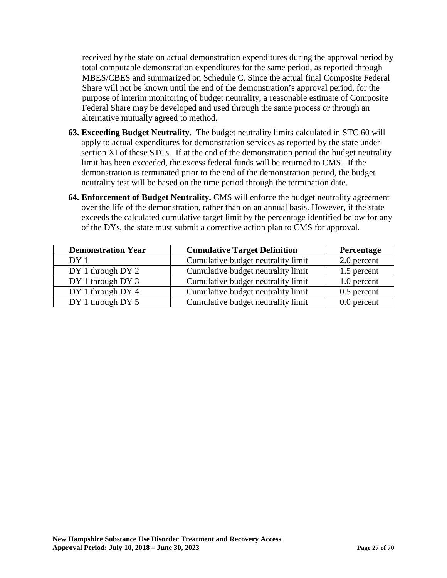received by the state on actual demonstration expenditures during the approval period by total computable demonstration expenditures for the same period, as reported through MBES/CBES and summarized on Schedule C. Since the actual final Composite Federal Share will not be known until the end of the demonstration's approval period, for the purpose of interim monitoring of budget neutrality, a reasonable estimate of Composite Federal Share may be developed and used through the same process or through an alternative mutually agreed to method.

- **63. Exceeding Budget Neutrality.** The budget neutrality limits calculated in STC 60 will apply to actual expenditures for demonstration services as reported by the state under section XI of these STCs. If at the end of the demonstration period the budget neutrality limit has been exceeded, the excess federal funds will be returned to CMS. If the demonstration is terminated prior to the end of the demonstration period, the budget neutrality test will be based on the time period through the termination date.
- **64. Enforcement of Budget Neutrality.** CMS will enforce the budget neutrality agreement over the life of the demonstration, rather than on an annual basis. However, if the state exceeds the calculated cumulative target limit by the percentage identified below for any of the DYs, the state must submit a corrective action plan to CMS for approval.

| <b>Demonstration Year</b> | <b>Cumulative Target Definition</b> | Percentage    |
|---------------------------|-------------------------------------|---------------|
| DY <sub>1</sub>           | Cumulative budget neutrality limit  | 2.0 percent   |
| DY 1 through DY 2         | Cumulative budget neutrality limit  | 1.5 percent   |
| DY 1 through DY 3         | Cumulative budget neutrality limit  | 1.0 percent   |
| DY 1 through DY 4         | Cumulative budget neutrality limit  | $0.5$ percent |
| DY 1 through DY 5         | Cumulative budget neutrality limit  | 0.0 percent   |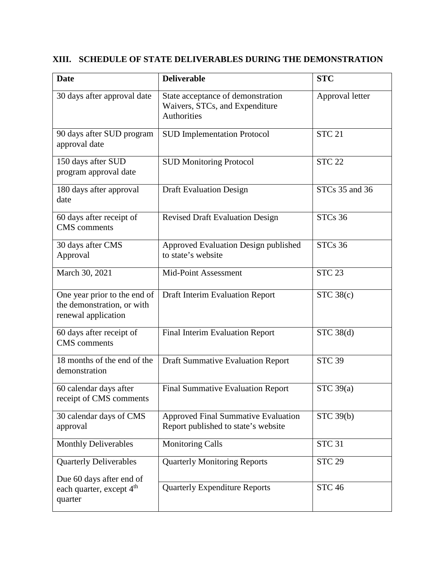## **XIII. SCHEDULE OF STATE DELIVERABLES DURING THE DEMONSTRATION**

| <b>Date</b>                                                                       | <b>Deliverable</b>                                                                        | <b>STC</b>      |
|-----------------------------------------------------------------------------------|-------------------------------------------------------------------------------------------|-----------------|
| 30 days after approval date                                                       | State acceptance of demonstration<br>Waivers, STCs, and Expenditure<br><b>Authorities</b> | Approval letter |
| 90 days after SUD program<br>approval date                                        | <b>SUD Implementation Protocol</b>                                                        | <b>STC 21</b>   |
| 150 days after SUD<br>program approval date                                       | <b>SUD Monitoring Protocol</b>                                                            | <b>STC 22</b>   |
| 180 days after approval<br>date                                                   | <b>Draft Evaluation Design</b>                                                            | STCs 35 and 36  |
| 60 days after receipt of<br><b>CMS</b> comments                                   | <b>Revised Draft Evaluation Design</b>                                                    | <b>STCs 36</b>  |
| 30 days after CMS<br>Approval                                                     | Approved Evaluation Design published<br>to state's website                                | <b>STCs 36</b>  |
| March 30, 2021                                                                    | Mid-Point Assessment                                                                      | <b>STC 23</b>   |
| One year prior to the end of<br>the demonstration, or with<br>renewal application | Draft Interim Evaluation Report                                                           | STC 38(c)       |
| 60 days after receipt of<br><b>CMS</b> comments                                   | Final Interim Evaluation Report                                                           | STC 38(d)       |
| 18 months of the end of the<br>demonstration                                      | <b>Draft Summative Evaluation Report</b>                                                  | <b>STC 39</b>   |
| 60 calendar days after<br>receipt of CMS comments                                 | <b>Final Summative Evaluation Report</b>                                                  | STC $39(a)$     |
| 30 calendar days of CMS<br>approval                                               | <b>Approved Final Summative Evaluation</b><br>Report published to state's website         | STC 39(b)       |
| <b>Monthly Deliverables</b>                                                       | <b>Monitoring Calls</b>                                                                   | <b>STC 31</b>   |
| <b>Quarterly Deliverables</b><br>Due 60 days after end of                         | <b>Quarterly Monitoring Reports</b>                                                       | <b>STC 29</b>   |
| each quarter, except 4 <sup>th</sup><br>quarter                                   | <b>Quarterly Expenditure Reports</b>                                                      | <b>STC 46</b>   |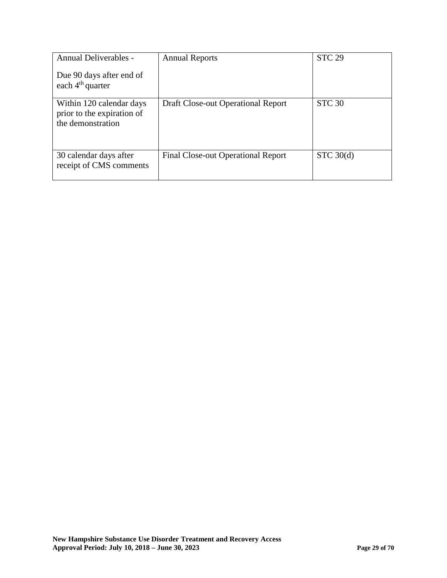| Annual Deliverables -                                                       | <b>Annual Reports</b>                     | <b>STC 29</b> |
|-----------------------------------------------------------------------------|-------------------------------------------|---------------|
| Due 90 days after end of<br>each $4th$ quarter                              |                                           |               |
| Within 120 calendar days<br>prior to the expiration of<br>the demonstration | Draft Close-out Operational Report        | <b>STC 30</b> |
| 30 calendar days after<br>receipt of CMS comments                           | <b>Final Close-out Operational Report</b> | STC 30(d)     |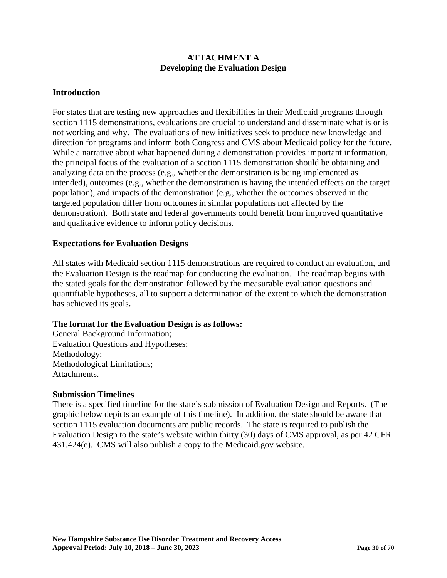### **ATTACHMENT A Developing the Evaluation Design**

### **Introduction**

For states that are testing new approaches and flexibilities in their Medicaid programs through section 1115 demonstrations, evaluations are crucial to understand and disseminate what is or is not working and why. The evaluations of new initiatives seek to produce new knowledge and direction for programs and inform both Congress and CMS about Medicaid policy for the future. While a narrative about what happened during a demonstration provides important information, the principal focus of the evaluation of a section 1115 demonstration should be obtaining and analyzing data on the process (e.g., whether the demonstration is being implemented as intended), outcomes (e.g., whether the demonstration is having the intended effects on the target population), and impacts of the demonstration (e.g., whether the outcomes observed in the targeted population differ from outcomes in similar populations not affected by the demonstration). Both state and federal governments could benefit from improved quantitative and qualitative evidence to inform policy decisions.

### **Expectations for Evaluation Designs**

All states with Medicaid section 1115 demonstrations are required to conduct an evaluation, and the Evaluation Design is the roadmap for conducting the evaluation. The roadmap begins with the stated goals for the demonstration followed by the measurable evaluation questions and quantifiable hypotheses, all to support a determination of the extent to which the demonstration has achieved its goals**.** 

### **The format for the Evaluation Design is as follows:**

General Background Information; Evaluation Questions and Hypotheses; Methodology; Methodological Limitations; Attachments.

### **Submission Timelines**

There is a specified timeline for the state's submission of Evaluation Design and Reports. (The graphic below depicts an example of this timeline). In addition, the state should be aware that section 1115 evaluation documents are public records. The state is required to publish the Evaluation Design to the state's website within thirty (30) days of CMS approval, as per 42 CFR 431.424(e). CMS will also publish a copy to the Medicaid.gov website.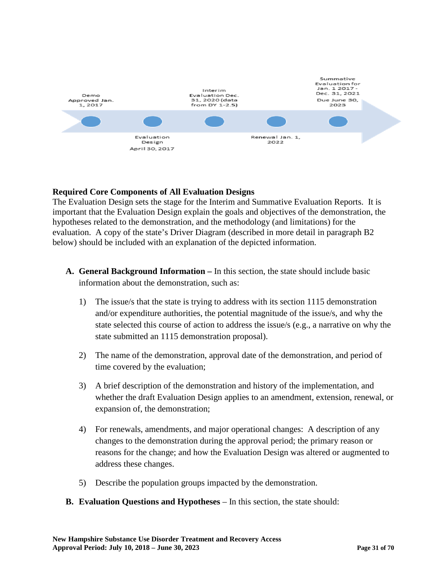

### **Required Core Components of All Evaluation Designs**

The Evaluation Design sets the stage for the Interim and Summative Evaluation Reports. It is important that the Evaluation Design explain the goals and objectives of the demonstration, the hypotheses related to the demonstration, and the methodology (and limitations) for the evaluation. A copy of the state's Driver Diagram (described in more detail in paragraph B2 below) should be included with an explanation of the depicted information.

- **A. General Background Information –** In this section, the state should include basic information about the demonstration, such as:
	- 1) The issue/s that the state is trying to address with its section 1115 demonstration and/or expenditure authorities, the potential magnitude of the issue/s, and why the state selected this course of action to address the issue/s (e.g., a narrative on why the state submitted an 1115 demonstration proposal).
	- 2) The name of the demonstration, approval date of the demonstration, and period of time covered by the evaluation;
	- 3) A brief description of the demonstration and history of the implementation, and whether the draft Evaluation Design applies to an amendment, extension, renewal, or expansion of, the demonstration;
	- 4) For renewals, amendments, and major operational changes: A description of any changes to the demonstration during the approval period; the primary reason or reasons for the change; and how the Evaluation Design was altered or augmented to address these changes.
	- 5) Describe the population groups impacted by the demonstration.
- **B. Evaluation Questions and Hypotheses** In this section, the state should: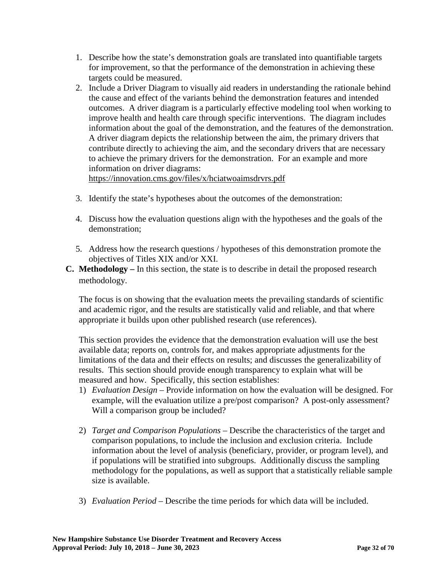- 1. Describe how the state's demonstration goals are translated into quantifiable targets for improvement, so that the performance of the demonstration in achieving these targets could be measured.
- 2. Include a Driver Diagram to visually aid readers in understanding the rationale behind the cause and effect of the variants behind the demonstration features and intended outcomes. A driver diagram is a particularly effective modeling tool when working to improve health and health care through specific interventions. The diagram includes information about the goal of the demonstration, and the features of the demonstration. A driver diagram depicts the relationship between the aim, the primary drivers that contribute directly to achieving the aim, and the secondary drivers that are necessary to achieve the primary drivers for the demonstration. For an example and more information on driver diagrams:

<https://innovation.cms.gov/files/x/hciatwoaimsdrvrs.pdf>

- 3. Identify the state's hypotheses about the outcomes of the demonstration:
- 4. Discuss how the evaluation questions align with the hypotheses and the goals of the demonstration;
- 5. Address how the research questions / hypotheses of this demonstration promote the objectives of Titles XIX and/or XXI.
- **C. Methodology –** In this section, the state is to describe in detail the proposed research methodology.

The focus is on showing that the evaluation meets the prevailing standards of scientific and academic rigor, and the results are statistically valid and reliable, and that where appropriate it builds upon other published research (use references).

This section provides the evidence that the demonstration evaluation will use the best available data; reports on, controls for, and makes appropriate adjustments for the limitations of the data and their effects on results; and discusses the generalizability of results. This section should provide enough transparency to explain what will be measured and how. Specifically, this section establishes:

- 1) *Evaluation Design –* Provide information on how the evaluation will be designed. For example, will the evaluation utilize a pre/post comparison? A post-only assessment? Will a comparison group be included?
- 2) *Target and Comparison Populations* Describe the characteristics of the target and comparison populations, to include the inclusion and exclusion criteria. Include information about the level of analysis (beneficiary, provider, or program level), and if populations will be stratified into subgroups. Additionally discuss the sampling methodology for the populations, as well as support that a statistically reliable sample size is available.
- 3) *Evaluation Period –* Describe the time periods for which data will be included.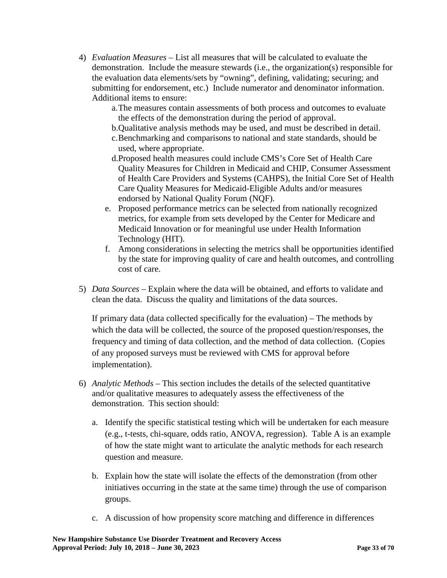- 4) *Evaluation Measures –* List all measures that will be calculated to evaluate the demonstration. Include the measure stewards (i.e., the organization(s) responsible for the evaluation data elements/sets by "owning", defining, validating; securing; and submitting for endorsement, etc.) Include numerator and denominator information. Additional items to ensure:
	- a.The measures contain assessments of both process and outcomes to evaluate the effects of the demonstration during the period of approval.
	- b.Qualitative analysis methods may be used, and must be described in detail.
	- c.Benchmarking and comparisons to national and state standards, should be used, where appropriate.
	- d.Proposed health measures could include CMS's Core Set of Health Care Quality Measures for Children in Medicaid and CHIP, Consumer Assessment of Health Care Providers and Systems (CAHPS), the Initial Core Set of Health Care Quality Measures for Medicaid-Eligible Adults and/or measures endorsed by National Quality Forum (NQF).
	- e. Proposed performance metrics can be selected from nationally recognized metrics, for example from sets developed by the Center for Medicare and Medicaid Innovation or for meaningful use under Health Information Technology (HIT).
	- f. Among considerations in selecting the metrics shall be opportunities identified by the state for improving quality of care and health outcomes, and controlling cost of care.
- 5) *Data Sources –* Explain where the data will be obtained, and efforts to validate and clean the data. Discuss the quality and limitations of the data sources.

If primary data (data collected specifically for the evaluation) – The methods by which the data will be collected, the source of the proposed question/responses, the frequency and timing of data collection, and the method of data collection. (Copies of any proposed surveys must be reviewed with CMS for approval before implementation).

- 6) *Analytic Methods –* This section includes the details of the selected quantitative and/or qualitative measures to adequately assess the effectiveness of the demonstration. This section should:
	- a. Identify the specific statistical testing which will be undertaken for each measure (e.g., t-tests, chi-square, odds ratio, ANOVA, regression). Table A is an example of how the state might want to articulate the analytic methods for each research question and measure.
	- b. Explain how the state will isolate the effects of the demonstration (from other initiatives occurring in the state at the same time) through the use of comparison groups.
	- c. A discussion of how propensity score matching and difference in differences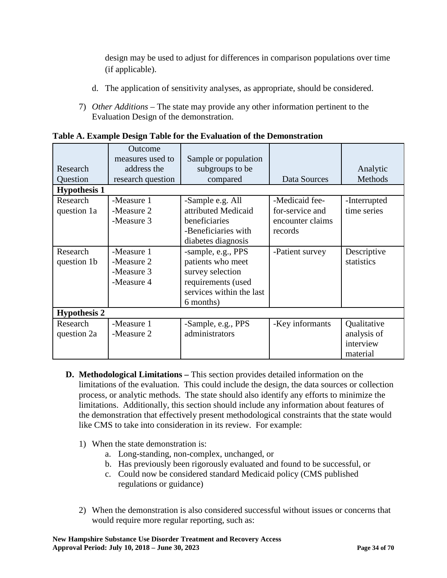design may be used to adjust for differences in comparison populations over time (if applicable).

- d. The application of sensitivity analyses, as appropriate, should be considered.
- 7) *Other Additions –* The state may provide any other information pertinent to the Evaluation Design of the demonstration.

| Research<br>Question    | Outcome<br>measures used to<br>address the<br>research question | Sample or population<br>subgroups to be<br>compared                                                                        | Data Sources                                                     | Analytic<br>Methods                                 |
|-------------------------|-----------------------------------------------------------------|----------------------------------------------------------------------------------------------------------------------------|------------------------------------------------------------------|-----------------------------------------------------|
| <b>Hypothesis 1</b>     |                                                                 |                                                                                                                            |                                                                  |                                                     |
| Research<br>question 1a | -Measure 1<br>-Measure 2<br>-Measure 3                          | -Sample e.g. All<br>attributed Medicaid<br>beneficiaries<br>-Beneficiaries with<br>diabetes diagnosis                      | -Medicaid fee-<br>for-service and<br>encounter claims<br>records | -Interrupted<br>time series                         |
| Research<br>question 1b | -Measure 1<br>-Measure 2<br>-Measure 3<br>-Measure 4            | -sample, e.g., PPS<br>patients who meet<br>survey selection<br>requirements (used<br>services within the last<br>6 months) | -Patient survey                                                  | Descriptive<br>statistics                           |
| <b>Hypothesis 2</b>     |                                                                 |                                                                                                                            |                                                                  |                                                     |
| Research<br>question 2a | -Measure 1<br>-Measure 2                                        | -Sample, e.g., PPS<br>administrators                                                                                       | -Key informants                                                  | Qualitative<br>analysis of<br>interview<br>material |

**Table A. Example Design Table for the Evaluation of the Demonstration**

- **D. Methodological Limitations –** This section provides detailed information on the limitations of the evaluation. This could include the design, the data sources or collection process, or analytic methods. The state should also identify any efforts to minimize the limitations. Additionally, this section should include any information about features of the demonstration that effectively present methodological constraints that the state would like CMS to take into consideration in its review. For example:
	- 1) When the state demonstration is:
		- a. Long-standing, non-complex, unchanged, or
		- b. Has previously been rigorously evaluated and found to be successful, or
		- c. Could now be considered standard Medicaid policy (CMS published regulations or guidance)
	- 2) When the demonstration is also considered successful without issues or concerns that would require more regular reporting, such as: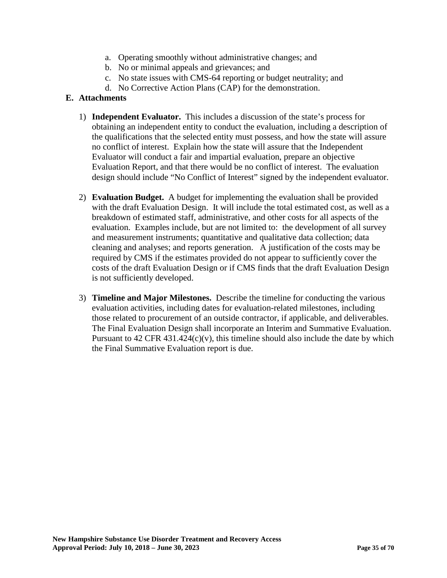- a. Operating smoothly without administrative changes; and
- b. No or minimal appeals and grievances; and
- c. No state issues with CMS-64 reporting or budget neutrality; and
- d. No Corrective Action Plans (CAP) for the demonstration.

## **E. Attachments**

- 1) **Independent Evaluator.** This includes a discussion of the state's process for obtaining an independent entity to conduct the evaluation, including a description of the qualifications that the selected entity must possess, and how the state will assure no conflict of interest. Explain how the state will assure that the Independent Evaluator will conduct a fair and impartial evaluation, prepare an objective Evaluation Report, and that there would be no conflict of interest. The evaluation design should include "No Conflict of Interest" signed by the independent evaluator.
- 2) **Evaluation Budget.** A budget for implementing the evaluation shall be provided with the draft Evaluation Design. It will include the total estimated cost, as well as a breakdown of estimated staff, administrative, and other costs for all aspects of the evaluation. Examples include, but are not limited to: the development of all survey and measurement instruments; quantitative and qualitative data collection; data cleaning and analyses; and reports generation. A justification of the costs may be required by CMS if the estimates provided do not appear to sufficiently cover the costs of the draft Evaluation Design or if CMS finds that the draft Evaluation Design is not sufficiently developed.
- 3) **Timeline and Major Milestones.** Describe the timeline for conducting the various evaluation activities, including dates for evaluation-related milestones, including those related to procurement of an outside contractor, if applicable, and deliverables. The Final Evaluation Design shall incorporate an Interim and Summative Evaluation. Pursuant to 42 CFR 431.424 $(c)(v)$ , this timeline should also include the date by which the Final Summative Evaluation report is due.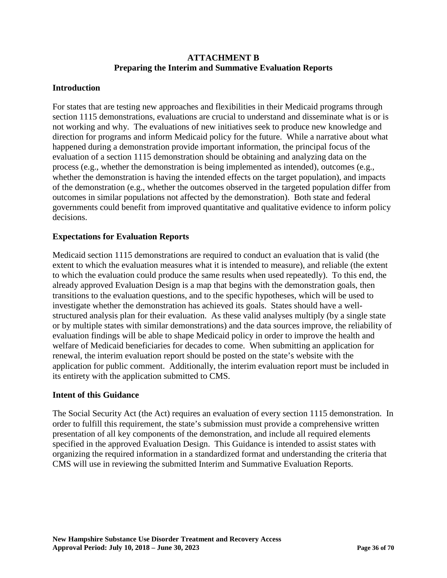### **ATTACHMENT B Preparing the Interim and Summative Evaluation Reports**

### **Introduction**

For states that are testing new approaches and flexibilities in their Medicaid programs through section 1115 demonstrations, evaluations are crucial to understand and disseminate what is or is not working and why. The evaluations of new initiatives seek to produce new knowledge and direction for programs and inform Medicaid policy for the future. While a narrative about what happened during a demonstration provide important information, the principal focus of the evaluation of a section 1115 demonstration should be obtaining and analyzing data on the process (e.g., whether the demonstration is being implemented as intended), outcomes (e.g., whether the demonstration is having the intended effects on the target population), and impacts of the demonstration (e.g., whether the outcomes observed in the targeted population differ from outcomes in similar populations not affected by the demonstration). Both state and federal governments could benefit from improved quantitative and qualitative evidence to inform policy decisions.

### **Expectations for Evaluation Reports**

Medicaid section 1115 demonstrations are required to conduct an evaluation that is valid (the extent to which the evaluation measures what it is intended to measure), and reliable (the extent to which the evaluation could produce the same results when used repeatedly). To this end, the already approved Evaluation Design is a map that begins with the demonstration goals, then transitions to the evaluation questions, and to the specific hypotheses, which will be used to investigate whether the demonstration has achieved its goals. States should have a wellstructured analysis plan for their evaluation. As these valid analyses multiply (by a single state or by multiple states with similar demonstrations) and the data sources improve, the reliability of evaluation findings will be able to shape Medicaid policy in order to improve the health and welfare of Medicaid beneficiaries for decades to come. When submitting an application for renewal, the interim evaluation report should be posted on the state's website with the application for public comment. Additionally, the interim evaluation report must be included in its entirety with the application submitted to CMS.

### **Intent of this Guidance**

The Social Security Act (the Act) requires an evaluation of every section 1115 demonstration. In order to fulfill this requirement, the state's submission must provide a comprehensive written presentation of all key components of the demonstration, and include all required elements specified in the approved Evaluation Design. This Guidance is intended to assist states with organizing the required information in a standardized format and understanding the criteria that CMS will use in reviewing the submitted Interim and Summative Evaluation Reports.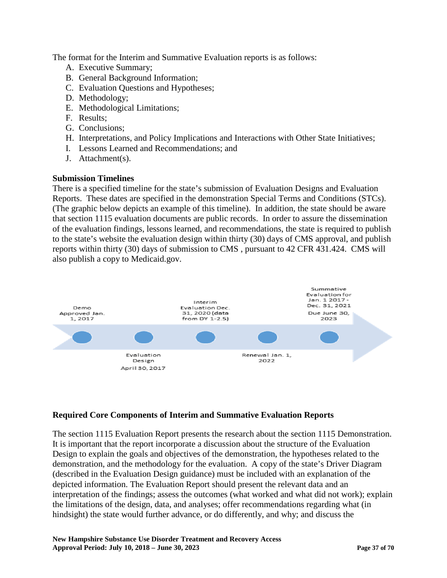The format for the Interim and Summative Evaluation reports is as follows:

- A. Executive Summary;
- B. General Background Information;
- C. Evaluation Questions and Hypotheses;
- D. Methodology;
- E. Methodological Limitations;
- F. Results;
- G. Conclusions;
- H. Interpretations, and Policy Implications and Interactions with Other State Initiatives;
- I. Lessons Learned and Recommendations; and
- J. Attachment(s).

## **Submission Timelines**

There is a specified timeline for the state's submission of Evaluation Designs and Evaluation Reports. These dates are specified in the demonstration Special Terms and Conditions (STCs). (The graphic below depicts an example of this timeline). In addition, the state should be aware that section 1115 evaluation documents are public records. In order to assure the dissemination of the evaluation findings, lessons learned, and recommendations, the state is required to publish to the state's website the evaluation design within thirty (30) days of CMS approval, and publish reports within thirty (30) days of submission to CMS , pursuant to 42 CFR 431.424. CMS will also publish a copy to Medicaid.gov.



## **Required Core Components of Interim and Summative Evaluation Reports**

The section 1115 Evaluation Report presents the research about the section 1115 Demonstration. It is important that the report incorporate a discussion about the structure of the Evaluation Design to explain the goals and objectives of the demonstration, the hypotheses related to the demonstration, and the methodology for the evaluation. A copy of the state's Driver Diagram (described in the Evaluation Design guidance) must be included with an explanation of the depicted information. The Evaluation Report should present the relevant data and an interpretation of the findings; assess the outcomes (what worked and what did not work); explain the limitations of the design, data, and analyses; offer recommendations regarding what (in hindsight) the state would further advance, or do differently, and why; and discuss the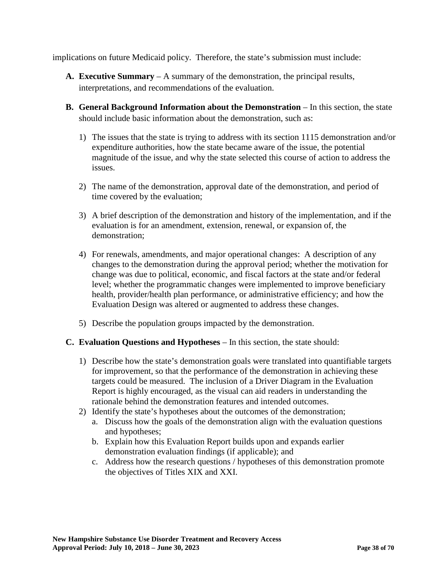implications on future Medicaid policy. Therefore, the state's submission must include:

- **A. Executive Summary** A summary of the demonstration, the principal results, interpretations, and recommendations of the evaluation.
- **B.** General Background Information about the Demonstration In this section, the state should include basic information about the demonstration, such as:
	- 1) The issues that the state is trying to address with its section 1115 demonstration and/or expenditure authorities, how the state became aware of the issue, the potential magnitude of the issue, and why the state selected this course of action to address the issues.
	- 2) The name of the demonstration, approval date of the demonstration, and period of time covered by the evaluation;
	- 3) A brief description of the demonstration and history of the implementation, and if the evaluation is for an amendment, extension, renewal, or expansion of, the demonstration;
	- 4) For renewals, amendments, and major operational changes: A description of any changes to the demonstration during the approval period; whether the motivation for change was due to political, economic, and fiscal factors at the state and/or federal level; whether the programmatic changes were implemented to improve beneficiary health, provider/health plan performance, or administrative efficiency; and how the Evaluation Design was altered or augmented to address these changes.
	- 5) Describe the population groups impacted by the demonstration.

### **C. Evaluation Questions and Hypotheses** – In this section, the state should:

- 1) Describe how the state's demonstration goals were translated into quantifiable targets for improvement, so that the performance of the demonstration in achieving these targets could be measured. The inclusion of a Driver Diagram in the Evaluation Report is highly encouraged, as the visual can aid readers in understanding the rationale behind the demonstration features and intended outcomes.
- 2) Identify the state's hypotheses about the outcomes of the demonstration;
	- a. Discuss how the goals of the demonstration align with the evaluation questions and hypotheses;
	- b. Explain how this Evaluation Report builds upon and expands earlier demonstration evaluation findings (if applicable); and
	- c. Address how the research questions / hypotheses of this demonstration promote the objectives of Titles XIX and XXI.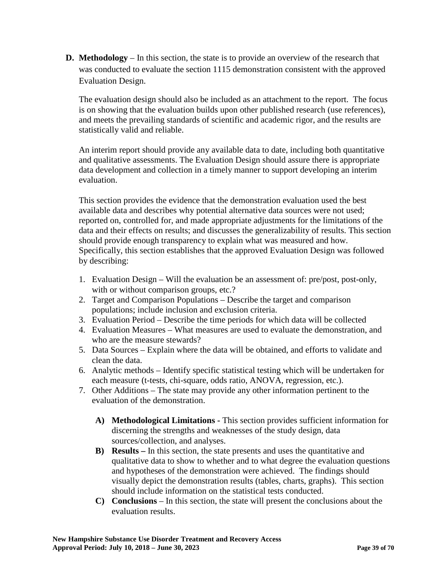**D. Methodology** – In this section, the state is to provide an overview of the research that was conducted to evaluate the section 1115 demonstration consistent with the approved Evaluation Design.

The evaluation design should also be included as an attachment to the report. The focus is on showing that the evaluation builds upon other published research (use references), and meets the prevailing standards of scientific and academic rigor, and the results are statistically valid and reliable.

An interim report should provide any available data to date, including both quantitative and qualitative assessments. The Evaluation Design should assure there is appropriate data development and collection in a timely manner to support developing an interim evaluation.

This section provides the evidence that the demonstration evaluation used the best available data and describes why potential alternative data sources were not used; reported on, controlled for, and made appropriate adjustments for the limitations of the data and their effects on results; and discusses the generalizability of results. This section should provide enough transparency to explain what was measured and how. Specifically, this section establishes that the approved Evaluation Design was followed by describing:

- 1. Evaluation Design Will the evaluation be an assessment of: pre/post, post-only, with or without comparison groups, etc.?
- 2. Target and Comparison Populations Describe the target and comparison populations; include inclusion and exclusion criteria.
- 3. Evaluation Period Describe the time periods for which data will be collected
- 4. Evaluation Measures What measures are used to evaluate the demonstration, and who are the measure stewards?
- 5. Data Sources Explain where the data will be obtained, and efforts to validate and clean the data.
- 6. Analytic methods Identify specific statistical testing which will be undertaken for each measure (t-tests, chi-square, odds ratio, ANOVA, regression, etc.).
- 7. Other Additions The state may provide any other information pertinent to the evaluation of the demonstration.
	- **A) Methodological Limitations -** This section provides sufficient information for discerning the strengths and weaknesses of the study design, data sources/collection, and analyses.
	- **B) Results –** In this section, the state presents and uses the quantitative and qualitative data to show to whether and to what degree the evaluation questions and hypotheses of the demonstration were achieved. The findings should visually depict the demonstration results (tables, charts, graphs). This section should include information on the statistical tests conducted.
	- **C) Conclusions**  In this section, the state will present the conclusions about the evaluation results.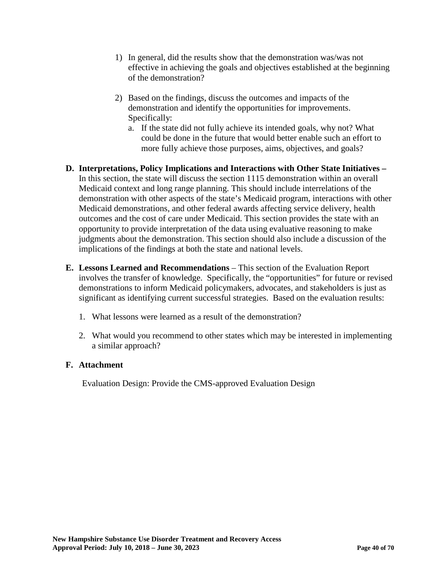- 1) In general, did the results show that the demonstration was/was not effective in achieving the goals and objectives established at the beginning of the demonstration?
- 2) Based on the findings, discuss the outcomes and impacts of the demonstration and identify the opportunities for improvements. Specifically:
	- a. If the state did not fully achieve its intended goals, why not? What could be done in the future that would better enable such an effort to more fully achieve those purposes, aims, objectives, and goals?
- **D. Interpretations, Policy Implications and Interactions with Other State Initiatives –** In this section, the state will discuss the section 1115 demonstration within an overall Medicaid context and long range planning. This should include interrelations of the demonstration with other aspects of the state's Medicaid program, interactions with other Medicaid demonstrations, and other federal awards affecting service delivery, health outcomes and the cost of care under Medicaid. This section provides the state with an opportunity to provide interpretation of the data using evaluative reasoning to make judgments about the demonstration. This section should also include a discussion of the implications of the findings at both the state and national levels.
- **E. Lessons Learned and Recommendations** This section of the Evaluation Report involves the transfer of knowledge. Specifically, the "opportunities" for future or revised demonstrations to inform Medicaid policymakers, advocates, and stakeholders is just as significant as identifying current successful strategies. Based on the evaluation results:
	- 1. What lessons were learned as a result of the demonstration?
	- 2. What would you recommend to other states which may be interested in implementing a similar approach?

## **F. Attachment**

Evaluation Design: Provide the CMS-approved Evaluation Design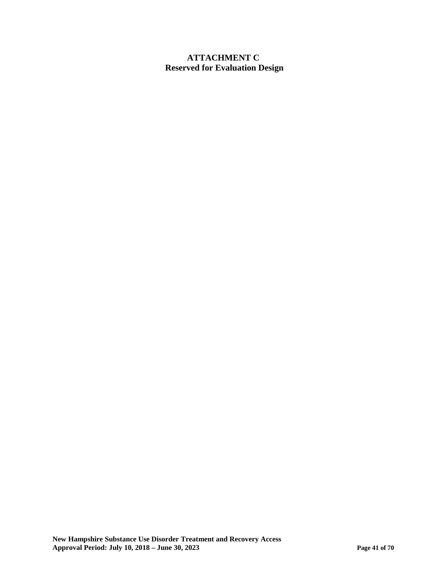## **ATTACHMENT C Reserved for Evaluation Design**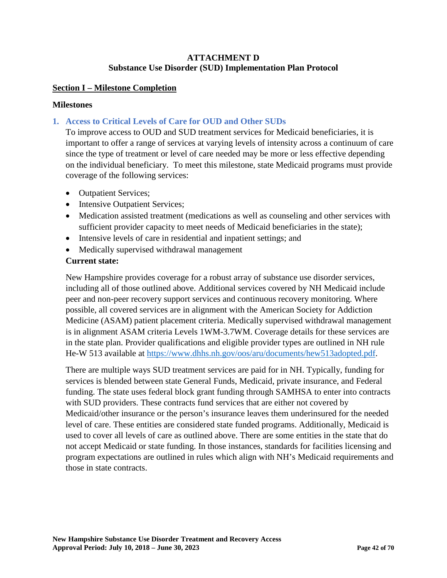### **ATTACHMENT D Substance Use Disorder (SUD) Implementation Plan Protocol**

### **Section I – Milestone Completion**

### **Milestones**

## **1. Access to Critical Levels of Care for OUD and Other SUDs**

To improve access to OUD and SUD treatment services for Medicaid beneficiaries, it is important to offer a range of services at varying levels of intensity across a continuum of care since the type of treatment or level of care needed may be more or less effective depending on the individual beneficiary. To meet this milestone, state Medicaid programs must provide coverage of the following services:

- Outpatient Services;
- Intensive Outpatient Services;
- Medication assisted treatment (medications as well as counseling and other services with sufficient provider capacity to meet needs of Medicaid beneficiaries in the state);
- Intensive levels of care in residential and inpatient settings; and
- Medically supervised withdrawal management

### **Current state:**

New Hampshire provides coverage for a robust array of substance use disorder services, including all of those outlined above. Additional services covered by NH Medicaid include peer and non-peer recovery support services and continuous recovery monitoring. Where possible, all covered services are in alignment with the American Society for Addiction Medicine (ASAM) patient placement criteria. Medically supervised withdrawal management is in alignment ASAM criteria Levels 1WM-3.7WM. Coverage details for these services are in the state plan. Provider qualifications and eligible provider types are outlined in NH rule He-W 513 available at [https://www.dhhs.nh.gov/oos/aru/documents/hew513adopted.pdf.](https://www.dhhs.nh.gov/oos/aru/documents/hew513adopted.pdf)

There are multiple ways SUD treatment services are paid for in NH. Typically, funding for services is blended between state General Funds, Medicaid, private insurance, and Federal funding. The state uses federal block grant funding through SAMHSA to enter into contracts with SUD providers. These contracts fund services that are either not covered by Medicaid/other insurance or the person's insurance leaves them underinsured for the needed level of care. These entities are considered state funded programs. Additionally, Medicaid is used to cover all levels of care as outlined above. There are some entities in the state that do not accept Medicaid or state funding. In those instances, standards for facilities licensing and program expectations are outlined in rules which align with NH's Medicaid requirements and those in state contracts.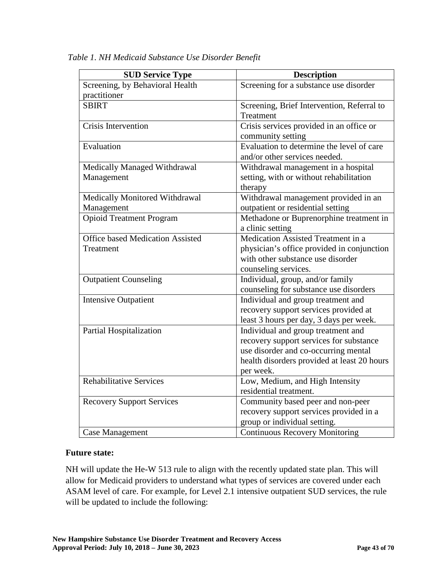| <b>SUD Service Type</b>                 | <b>Description</b>                                     |
|-----------------------------------------|--------------------------------------------------------|
| Screening, by Behavioral Health         | Screening for a substance use disorder                 |
| practitioner                            |                                                        |
| <b>SBIRT</b>                            | Screening, Brief Intervention, Referral to             |
|                                         | Treatment                                              |
| <b>Crisis Intervention</b>              | Crisis services provided in an office or               |
|                                         | community setting                                      |
| Evaluation                              | Evaluation to determine the level $\overline{of}$ care |
|                                         | and/or other services needed.                          |
| Medically Managed Withdrawal            | Withdrawal management in a hospital                    |
| Management                              | setting, with or without rehabilitation                |
|                                         | therapy                                                |
| Medically Monitored Withdrawal          | Withdrawal management provided in an                   |
| Management                              | outpatient or residential setting                      |
| <b>Opioid Treatment Program</b>         | Methadone or Buprenorphine treatment in                |
|                                         | a clinic setting                                       |
| <b>Office based Medication Assisted</b> | Medication Assisted Treatment in a                     |
| Treatment                               | physician's office provided in conjunction             |
|                                         | with other substance use disorder                      |
|                                         | counseling services.                                   |
| <b>Outpatient Counseling</b>            | Individual, group, and/or family                       |
|                                         | counseling for substance use disorders                 |
| <b>Intensive Outpatient</b>             | Individual and group treatment and                     |
|                                         | recovery support services provided at                  |
|                                         | least 3 hours per day, 3 days per week.                |
| <b>Partial Hospitalization</b>          | Individual and group treatment and                     |
|                                         | recovery support services for substance                |
|                                         | use disorder and co-occurring mental                   |
|                                         | health disorders provided at least 20 hours            |
|                                         | per week.                                              |
| <b>Rehabilitative Services</b>          | Low, Medium, and High Intensity                        |
|                                         | residential treatment.                                 |
| <b>Recovery Support Services</b>        | Community based peer and non-peer                      |
|                                         | recovery support services provided in a                |
|                                         | group or individual setting.                           |
| <b>Case Management</b>                  | <b>Continuous Recovery Monitoring</b>                  |

*Table 1. NH Medicaid Substance Use Disorder Benefit*

## **Future state:**

NH will update the He-W 513 rule to align with the recently updated state plan. This will allow for Medicaid providers to understand what types of services are covered under each ASAM level of care. For example, for Level 2.1 intensive outpatient SUD services, the rule will be updated to include the following: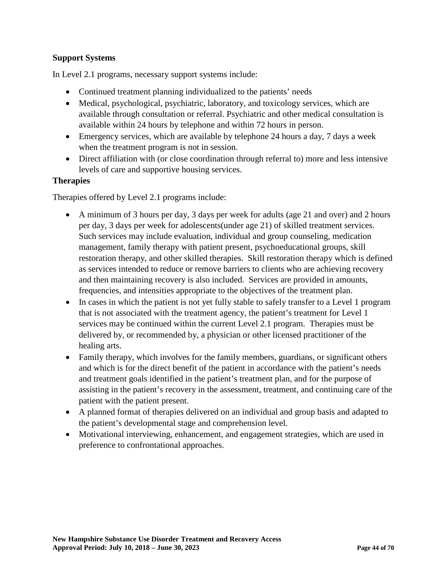## **Support Systems**

In Level 2.1 programs, necessary support systems include:

- Continued treatment planning individualized to the patients' needs
- Medical, psychological, psychiatric, laboratory, and toxicology services, which are available through consultation or referral. Psychiatric and other medical consultation is available within 24 hours by telephone and within 72 hours in person.
- Emergency services, which are available by telephone 24 hours a day, 7 days a week when the treatment program is not in session.
- Direct affiliation with (or close coordination through referral to) more and less intensive levels of care and supportive housing services.

### **Therapies**

Therapies offered by Level 2.1 programs include:

- A minimum of 3 hours per day, 3 days per week for adults (age 21 and over) and 2 hours per day, 3 days per week for adolescents(under age 21) of skilled treatment services. Such services may include evaluation, individual and group counseling, medication management, family therapy with patient present, psychoeducational groups, skill restoration therapy, and other skilled therapies. Skill restoration therapy which is defined as services intended to reduce or remove barriers to clients who are achieving recovery and then maintaining recovery is also included. Services are provided in amounts, frequencies, and intensities appropriate to the objectives of the treatment plan.
- In cases in which the patient is not yet fully stable to safely transfer to a Level 1 program that is not associated with the treatment agency, the patient's treatment for Level 1 services may be continued within the current Level 2.1 program. Therapies must be delivered by, or recommended by, a physician or other licensed practitioner of the healing arts.
- Family therapy, which involves for the family members, guardians, or significant others and which is for the direct benefit of the patient in accordance with the patient's needs and treatment goals identified in the patient's treatment plan, and for the purpose of assisting in the patient's recovery in the assessment, treatment, and continuing care of the patient with the patient present.
- A planned format of therapies delivered on an individual and group basis and adapted to the patient's developmental stage and comprehension level.
- Motivational interviewing, enhancement, and engagement strategies, which are used in preference to confrontational approaches.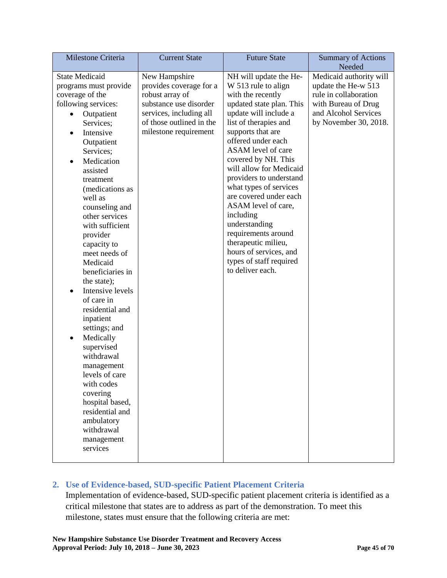| Milestone Criteria                                                                                                                                                                                                                                                                                                                                                                                                                                                                                                                                                                                                                                                                     | <b>Current State</b>                                                                                                                                                  | <b>Future State</b>                                                                                                                                                                                                                                                                                                                                                                                                                                                                                                            | <b>Summary of Actions</b><br>Needed                                                                                                             |
|----------------------------------------------------------------------------------------------------------------------------------------------------------------------------------------------------------------------------------------------------------------------------------------------------------------------------------------------------------------------------------------------------------------------------------------------------------------------------------------------------------------------------------------------------------------------------------------------------------------------------------------------------------------------------------------|-----------------------------------------------------------------------------------------------------------------------------------------------------------------------|--------------------------------------------------------------------------------------------------------------------------------------------------------------------------------------------------------------------------------------------------------------------------------------------------------------------------------------------------------------------------------------------------------------------------------------------------------------------------------------------------------------------------------|-------------------------------------------------------------------------------------------------------------------------------------------------|
| <b>State Medicaid</b><br>programs must provide<br>coverage of the<br>following services:<br>Outpatient<br>Services;<br>Intensive<br>$\bullet$<br>Outpatient<br>Services;<br>Medication<br>assisted<br>treatment<br>(medications as<br>well as<br>counseling and<br>other services<br>with sufficient<br>provider<br>capacity to<br>meet needs of<br>Medicaid<br>beneficiaries in<br>the state);<br>Intensive levels<br>of care in<br>residential and<br>inpatient<br>settings; and<br>Medically<br>٠<br>supervised<br>withdrawal<br>management<br>levels of care<br>with codes<br>covering<br>hospital based,<br>residential and<br>ambulatory<br>withdrawal<br>management<br>services | New Hampshire<br>provides coverage for a<br>robust array of<br>substance use disorder<br>services, including all<br>of those outlined in the<br>milestone requirement | NH will update the He-<br>W 513 rule to align<br>with the recently<br>updated state plan. This<br>update will include a<br>list of therapies and<br>supports that are<br>offered under each<br>ASAM level of care<br>covered by NH. This<br>will allow for Medicaid<br>providers to understand<br>what types of services<br>are covered under each<br>ASAM level of care,<br>including<br>understanding<br>requirements around<br>therapeutic milieu,<br>hours of services, and<br>types of staff required<br>to deliver each. | Medicaid authority will<br>update the He-w 513<br>rule in collaboration<br>with Bureau of Drug<br>and Alcohol Services<br>by November 30, 2018. |

## **2. Use of Evidence-based, SUD-specific Patient Placement Criteria**

Implementation of evidence-based, SUD-specific patient placement criteria is identified as a critical milestone that states are to address as part of the demonstration. To meet this milestone, states must ensure that the following criteria are met: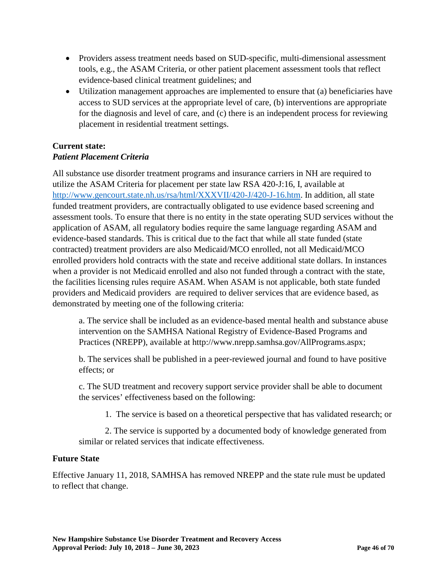- Providers assess treatment needs based on SUD-specific, multi-dimensional assessment tools, e.g., the ASAM Criteria, or other patient placement assessment tools that reflect evidence-based clinical treatment guidelines; and
- Utilization management approaches are implemented to ensure that (a) beneficiaries have access to SUD services at the appropriate level of care, (b) interventions are appropriate for the diagnosis and level of care, and (c) there is an independent process for reviewing placement in residential treatment settings.

# **Current state:**

## *Patient Placement Criteria*

All substance use disorder treatment programs and insurance carriers in NH are required to utilize the ASAM Criteria for placement per state law RSA 420-J:16, I, available at [http://www.gencourt.state.nh.us/rsa/html/XXXVII/420-J/420-J-16.htm.](http://www.gencourt.state.nh.us/rsa/html/XXXVII/420-J/420-J-16.htm) In addition, all state funded treatment providers, are contractually obligated to use evidence based screening and assessment tools. To ensure that there is no entity in the state operating SUD services without the application of ASAM, all regulatory bodies require the same language regarding ASAM and evidence-based standards. This is critical due to the fact that while all state funded (state contracted) treatment providers are also Medicaid/MCO enrolled, not all Medicaid/MCO enrolled providers hold contracts with the state and receive additional state dollars. In instances when a provider is not Medicaid enrolled and also not funded through a contract with the state, the facilities licensing rules require ASAM. When ASAM is not applicable, both state funded providers and Medicaid providers are required to deliver services that are evidence based, as demonstrated by meeting one of the following criteria:

a. The service shall be included as an evidence-based mental health and substance abuse intervention on the SAMHSA National Registry of Evidence-Based Programs and Practices (NREPP), available at http://www.nrepp.samhsa.gov/AllPrograms.aspx;

b. The services shall be published in a peer-reviewed journal and found to have positive effects; or

c. The SUD treatment and recovery support service provider shall be able to document the services' effectiveness based on the following:

1. The service is based on a theoretical perspective that has validated research; or

2. The service is supported by a documented body of knowledge generated from similar or related services that indicate effectiveness.

## **Future State**

Effective January 11, 2018, SAMHSA has removed NREPP and the state rule must be updated to reflect that change.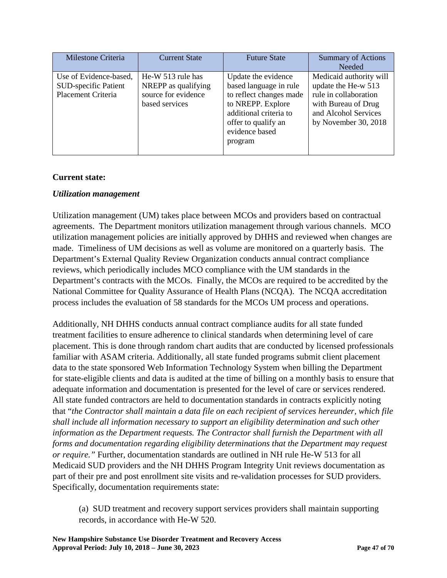| Milestone Criteria          | <b>Current State</b> | <b>Future State</b>     | <b>Summary of Actions</b> |
|-----------------------------|----------------------|-------------------------|---------------------------|
|                             |                      |                         | <b>Needed</b>             |
| Use of Evidence-based,      | He-W 513 rule has    | Update the evidence     | Medicaid authority will   |
| <b>SUD-specific Patient</b> | NREPP as qualifying  | based language in rule  | update the He-w 513       |
| Placement Criteria          | source for evidence  | to reflect changes made | rule in collaboration     |
|                             | based services       | to NREPP. Explore       | with Bureau of Drug       |
|                             |                      | additional criteria to  | and Alcohol Services      |
|                             |                      | offer to qualify an     | by November 30, 2018      |
|                             |                      | evidence based          |                           |
|                             |                      | program                 |                           |
|                             |                      |                         |                           |

## **Current state:**

### *Utilization management*

Utilization management (UM) takes place between MCOs and providers based on contractual agreements. The Department monitors utilization management through various channels. MCO utilization management policies are initially approved by DHHS and reviewed when changes are made. Timeliness of UM decisions as well as volume are monitored on a quarterly basis. The Department's External Quality Review Organization conducts annual contract compliance reviews, which periodically includes MCO compliance with the UM standards in the Department's contracts with the MCOs. Finally, the MCOs are required to be accredited by the National Committee for Quality Assurance of Health Plans (NCQA). The NCQA accreditation process includes the evaluation of 58 standards for the MCOs UM process and operations.

Additionally, NH DHHS conducts annual contract compliance audits for all state funded treatment facilities to ensure adherence to clinical standards when determining level of care placement. This is done through random chart audits that are conducted by licensed professionals familiar with ASAM criteria. Additionally, all state funded programs submit client placement data to the state sponsored Web Information Technology System when billing the Department for state-eligible clients and data is audited at the time of billing on a monthly basis to ensure that adequate information and documentation is presented for the level of care or services rendered. All state funded contractors are held to documentation standards in contracts explicitly noting that "*the Contractor shall maintain a data file on each recipient of services hereunder, which file shall include all information necessary to support an eligibility determination and such other information as the Department requests. The Contractor shall furnish the Department with all forms and documentation regarding eligibility determinations that the Department may request or require."* Further, documentation standards are outlined in NH rule He-W 513 for all Medicaid SUD providers and the NH DHHS Program Integrity Unit reviews documentation as part of their pre and post enrollment site visits and re-validation processes for SUD providers. Specifically, documentation requirements state:

(a) SUD treatment and recovery support services providers shall maintain supporting records, in accordance with He-W 520.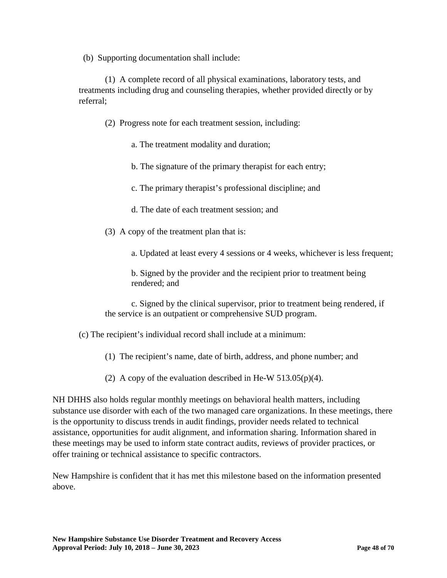(b) Supporting documentation shall include:

(1) A complete record of all physical examinations, laboratory tests, and treatments including drug and counseling therapies, whether provided directly or by referral;

- (2) Progress note for each treatment session, including:
	- a. The treatment modality and duration;
	- b. The signature of the primary therapist for each entry;
	- c. The primary therapist's professional discipline; and
	- d. The date of each treatment session; and
- (3) A copy of the treatment plan that is:

a. Updated at least every 4 sessions or 4 weeks, whichever is less frequent;

b. Signed by the provider and the recipient prior to treatment being rendered; and

c. Signed by the clinical supervisor, prior to treatment being rendered, if the service is an outpatient or comprehensive SUD program.

(c) The recipient's individual record shall include at a minimum:

- (1) The recipient's name, date of birth, address, and phone number; and
- (2) A copy of the evaluation described in He-W  $513.05(p)(4)$ .

NH DHHS also holds regular monthly meetings on behavioral health matters, including substance use disorder with each of the two managed care organizations. In these meetings, there is the opportunity to discuss trends in audit findings, provider needs related to technical assistance, opportunities for audit alignment, and information sharing. Information shared in these meetings may be used to inform state contract audits, reviews of provider practices, or offer training or technical assistance to specific contractors.

New Hampshire is confident that it has met this milestone based on the information presented above.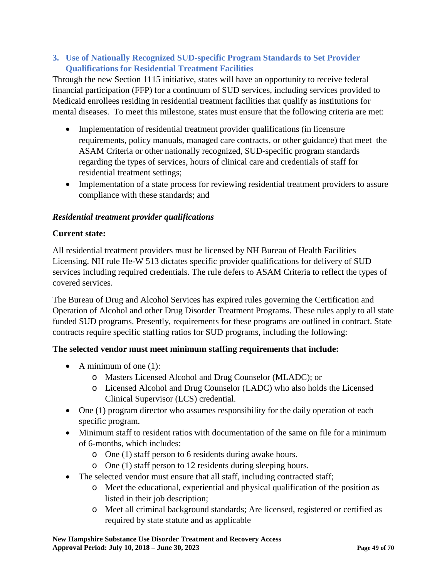## **3. Use of Nationally Recognized SUD-specific Program Standards to Set Provider Qualifications for Residential Treatment Facilities**

Through the new Section 1115 initiative, states will have an opportunity to receive federal financial participation (FFP) for a continuum of SUD services, including services provided to Medicaid enrollees residing in residential treatment facilities that qualify as institutions for mental diseases. To meet this milestone, states must ensure that the following criteria are met:

- Implementation of residential treatment provider qualifications (in licensure requirements, policy manuals, managed care contracts, or other guidance) that meet the ASAM Criteria or other nationally recognized, SUD-specific program standards regarding the types of services, hours of clinical care and credentials of staff for residential treatment settings;
- Implementation of a state process for reviewing residential treatment providers to assure compliance with these standards; and

## *Residential treatment provider qualifications*

## **Current state:**

All residential treatment providers must be licensed by NH Bureau of Health Facilities Licensing. NH rule He-W 513 dictates specific provider qualifications for delivery of SUD services including required credentials. The rule defers to ASAM Criteria to reflect the types of covered services.

The Bureau of Drug and Alcohol Services has expired rules governing the Certification and Operation of Alcohol and other Drug Disorder Treatment Programs. These rules apply to all state funded SUD programs. Presently, requirements for these programs are outlined in contract. State contracts require specific staffing ratios for SUD programs, including the following:

## **The selected vendor must meet minimum staffing requirements that include:**

- A minimum of one  $(1)$ :
	- o Masters Licensed Alcohol and Drug Counselor (MLADC); or
	- o Licensed Alcohol and Drug Counselor (LADC) who also holds the Licensed Clinical Supervisor (LCS) credential.
- One (1) program director who assumes responsibility for the daily operation of each specific program.
- Minimum staff to resident ratios with documentation of the same on file for a minimum of 6-months, which includes:
	- o One (1) staff person to 6 residents during awake hours.
	- o One (1) staff person to 12 residents during sleeping hours.
- The selected vendor must ensure that all staff, including contracted staff;
	- o Meet the educational, experiential and physical qualification of the position as listed in their job description;
	- o Meet all criminal background standards; Are licensed, registered or certified as required by state statute and as applicable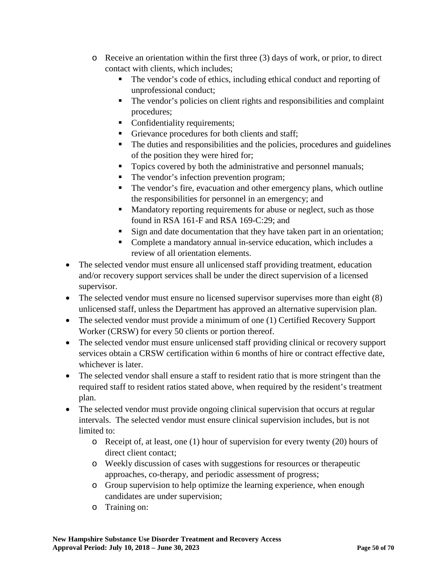- o Receive an orientation within the first three (3) days of work, or prior, to direct contact with clients, which includes;
	- The vendor's code of ethics, including ethical conduct and reporting of unprofessional conduct;
	- The vendor's policies on client rights and responsibilities and complaint procedures;
	- Confidentiality requirements;
	- Grievance procedures for both clients and staff;
	- The duties and responsibilities and the policies, procedures and guidelines of the position they were hired for;
	- Topics covered by both the administrative and personnel manuals;
	- The vendor's infection prevention program;
	- The vendor's fire, evacuation and other emergency plans, which outline the responsibilities for personnel in an emergency; and
	- Mandatory reporting requirements for abuse or neglect, such as those found in RSA 161-F and RSA 169-C:29; and
	- Sign and date documentation that they have taken part in an orientation;
	- Complete a mandatory annual in-service education, which includes a review of all orientation elements.
- The selected vendor must ensure all unlicensed staff providing treatment, education and/or recovery support services shall be under the direct supervision of a licensed supervisor.
- The selected vendor must ensure no licensed supervisor supervises more than eight (8) unlicensed staff, unless the Department has approved an alternative supervision plan.
- The selected vendor must provide a minimum of one (1) Certified Recovery Support Worker (CRSW) for every 50 clients or portion thereof.
- The selected vendor must ensure unlicensed staff providing clinical or recovery support services obtain a CRSW certification within 6 months of hire or contract effective date, whichever is later.
- The selected vendor shall ensure a staff to resident ratio that is more stringent than the required staff to resident ratios stated above, when required by the resident's treatment plan.
- The selected vendor must provide ongoing clinical supervision that occurs at regular intervals. The selected vendor must ensure clinical supervision includes, but is not limited to:
	- o Receipt of, at least, one (1) hour of supervision for every twenty (20) hours of direct client contact;
	- o Weekly discussion of cases with suggestions for resources or therapeutic approaches, co-therapy, and periodic assessment of progress;
	- o Group supervision to help optimize the learning experience, when enough candidates are under supervision;
	- o Training on: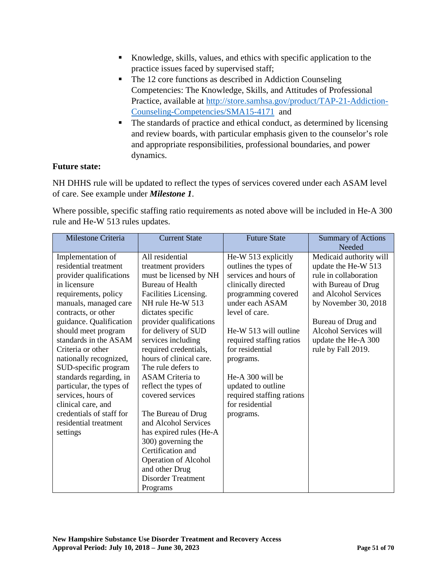- Knowledge, skills, values, and ethics with specific application to the practice issues faced by supervised staff;
- The 12 core functions as described in Addiction Counseling Competencies: The Knowledge, Skills, and Attitudes of Professional Practice, available at [http://store.samhsa.gov/product/TAP-21-Addiction-](http://store.samhsa.gov/product/TAP-21-Addiction-Counseling-Competencies/SMA15-4171)[Counseling-Competencies/SMA15-4171](http://store.samhsa.gov/product/TAP-21-Addiction-Counseling-Competencies/SMA15-4171) and
- The standards of practice and ethical conduct, as determined by licensing and review boards, with particular emphasis given to the counselor's role and appropriate responsibilities, professional boundaries, and power dynamics.

### **Future state:**

NH DHHS rule will be updated to reflect the types of services covered under each ASAM level of care. See example under *Milestone 1*.

Where possible, specific staffing ratio requirements as noted above will be included in He-A 300 rule and He-W 513 rules updates.

| Milestone Criteria                                                                                                                                                                                                                       | <b>Current State</b>                                                                                                                                                                                                                                                                             | <b>Future State</b>                                                                                                                                                                                           | <b>Summary of Actions</b><br>Needed                                                                                                                                                                                         |
|------------------------------------------------------------------------------------------------------------------------------------------------------------------------------------------------------------------------------------------|--------------------------------------------------------------------------------------------------------------------------------------------------------------------------------------------------------------------------------------------------------------------------------------------------|---------------------------------------------------------------------------------------------------------------------------------------------------------------------------------------------------------------|-----------------------------------------------------------------------------------------------------------------------------------------------------------------------------------------------------------------------------|
| Implementation of<br>residential treatment<br>provider qualifications<br>in licensure<br>requirements, policy<br>manuals, managed care<br>contracts, or other<br>guidance. Qualification<br>should meet program<br>standards in the ASAM | All residential<br>treatment providers<br>must be licensed by NH<br><b>Bureau of Health</b><br>Facilities Licensing.<br>NH rule He-W 513<br>dictates specific<br>provider qualifications<br>for delivery of SUD<br>services including                                                            | He-W 513 explicitly<br>outlines the types of<br>services and hours of<br>clinically directed<br>programming covered<br>under each ASAM<br>level of care.<br>He-W 513 will outline<br>required staffing ratios | Medicaid authority will<br>update the He-W 513<br>rule in collaboration<br>with Bureau of Drug<br>and Alcohol Services<br>by November 30, 2018<br>Bureau of Drug and<br><b>Alcohol Services will</b><br>update the He-A 300 |
| Criteria or other<br>nationally recognized,<br>SUD-specific program<br>standards regarding, in<br>particular, the types of<br>services, hours of<br>clinical care, and<br>credentials of staff for<br>residential treatment<br>settings  | required credentials,<br>hours of clinical care.<br>The rule defers to<br><b>ASAM</b> Criteria to<br>reflect the types of<br>covered services<br>The Bureau of Drug<br>and Alcohol Services<br>has expired rules (He-A<br>300) governing the<br>Certification and<br><b>Operation of Alcohol</b> | for residential<br>programs.<br>He-A 300 will be<br>updated to outline<br>required staffing rations<br>for residential<br>programs.                                                                           | rule by Fall 2019.                                                                                                                                                                                                          |
|                                                                                                                                                                                                                                          | and other Drug<br><b>Disorder Treatment</b><br>Programs                                                                                                                                                                                                                                          |                                                                                                                                                                                                               |                                                                                                                                                                                                                             |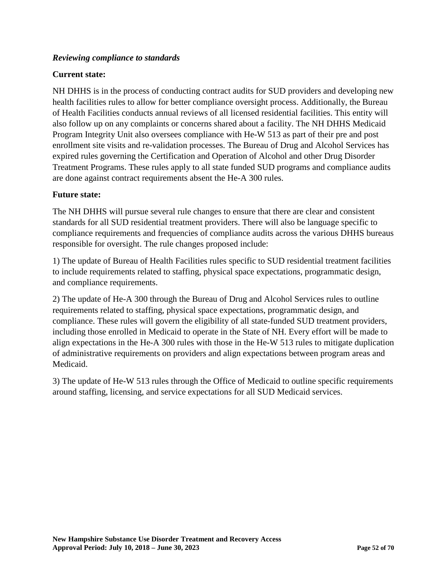## *Reviewing compliance to standards*

### **Current state:**

NH DHHS is in the process of conducting contract audits for SUD providers and developing new health facilities rules to allow for better compliance oversight process. Additionally, the Bureau of Health Facilities conducts annual reviews of all licensed residential facilities. This entity will also follow up on any complaints or concerns shared about a facility. The NH DHHS Medicaid Program Integrity Unit also oversees compliance with He-W 513 as part of their pre and post enrollment site visits and re-validation processes. The Bureau of Drug and Alcohol Services has expired rules governing the Certification and Operation of Alcohol and other Drug Disorder Treatment Programs. These rules apply to all state funded SUD programs and compliance audits are done against contract requirements absent the He-A 300 rules.

### **Future state:**

The NH DHHS will pursue several rule changes to ensure that there are clear and consistent standards for all SUD residential treatment providers. There will also be language specific to compliance requirements and frequencies of compliance audits across the various DHHS bureaus responsible for oversight. The rule changes proposed include:

1) The update of Bureau of Health Facilities rules specific to SUD residential treatment facilities to include requirements related to staffing, physical space expectations, programmatic design, and compliance requirements.

2) The update of He-A 300 through the Bureau of Drug and Alcohol Services rules to outline requirements related to staffing, physical space expectations, programmatic design, and compliance. These rules will govern the eligibility of all state-funded SUD treatment providers, including those enrolled in Medicaid to operate in the State of NH. Every effort will be made to align expectations in the He-A 300 rules with those in the He-W 513 rules to mitigate duplication of administrative requirements on providers and align expectations between program areas and Medicaid.

3) The update of He-W 513 rules through the Office of Medicaid to outline specific requirements around staffing, licensing, and service expectations for all SUD Medicaid services.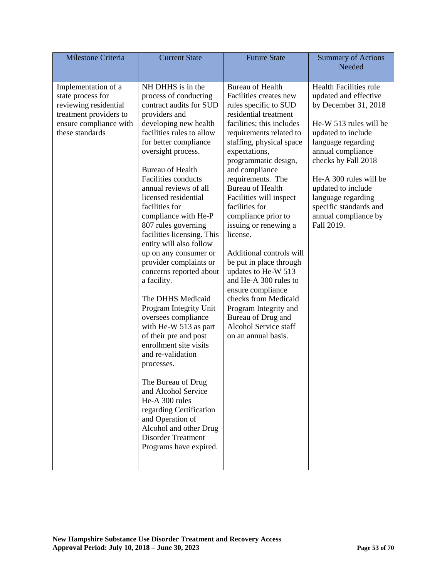| Milestone Criteria                                                                                                                       | <b>Current State</b>                                                                                                                                                                                                                                                                                                                                                                                                                                                                                                                                                                                                                                                                                                                                                                                                                                                                                      | <b>Future State</b>                                                                                                                                                                                                                                                                                                                                                                                                                                                                                                                                                                                                                                            | <b>Summary of Actions</b><br>Needed                                                                                                                                                                                                                                                                                                    |
|------------------------------------------------------------------------------------------------------------------------------------------|-----------------------------------------------------------------------------------------------------------------------------------------------------------------------------------------------------------------------------------------------------------------------------------------------------------------------------------------------------------------------------------------------------------------------------------------------------------------------------------------------------------------------------------------------------------------------------------------------------------------------------------------------------------------------------------------------------------------------------------------------------------------------------------------------------------------------------------------------------------------------------------------------------------|----------------------------------------------------------------------------------------------------------------------------------------------------------------------------------------------------------------------------------------------------------------------------------------------------------------------------------------------------------------------------------------------------------------------------------------------------------------------------------------------------------------------------------------------------------------------------------------------------------------------------------------------------------------|----------------------------------------------------------------------------------------------------------------------------------------------------------------------------------------------------------------------------------------------------------------------------------------------------------------------------------------|
| Implementation of a<br>state process for<br>reviewing residential<br>treatment providers to<br>ensure compliance with<br>these standards | NH DHHS is in the<br>process of conducting<br>contract audits for SUD<br>providers and<br>developing new health<br>facilities rules to allow<br>for better compliance<br>oversight process.<br><b>Bureau of Health</b><br>Facilities conducts<br>annual reviews of all<br>licensed residential<br>facilities for<br>compliance with He-P<br>807 rules governing<br>facilities licensing. This<br>entity will also follow<br>up on any consumer or<br>provider complaints or<br>concerns reported about<br>a facility.<br>The DHHS Medicaid<br>Program Integrity Unit<br>oversees compliance<br>with He-W 513 as part<br>of their pre and post<br>enrollment site visits<br>and re-validation<br>processes.<br>The Bureau of Drug<br>and Alcohol Service<br>He-A 300 rules<br>regarding Certification<br>and Operation of<br>Alcohol and other Drug<br><b>Disorder Treatment</b><br>Programs have expired. | <b>Bureau of Health</b><br>Facilities creates new<br>rules specific to SUD<br>residential treatment<br>facilities; this includes<br>requirements related to<br>staffing, physical space<br>expectations,<br>programmatic design,<br>and compliance<br>requirements. The<br><b>Bureau of Health</b><br>Facilities will inspect<br>facilities for<br>compliance prior to<br>issuing or renewing a<br>license.<br>Additional controls will<br>be put in place through<br>updates to He-W 513<br>and He-A 300 rules to<br>ensure compliance<br>checks from Medicaid<br>Program Integrity and<br>Bureau of Drug and<br>Alcohol Service staff<br>on an annual basis. | <b>Health Facilities rule</b><br>updated and effective<br>by December 31, 2018<br>He-W 513 rules will be<br>updated to include<br>language regarding<br>annual compliance<br>checks by Fall 2018<br>He-A 300 rules will be<br>updated to include<br>language regarding<br>specific standards and<br>annual compliance by<br>Fall 2019. |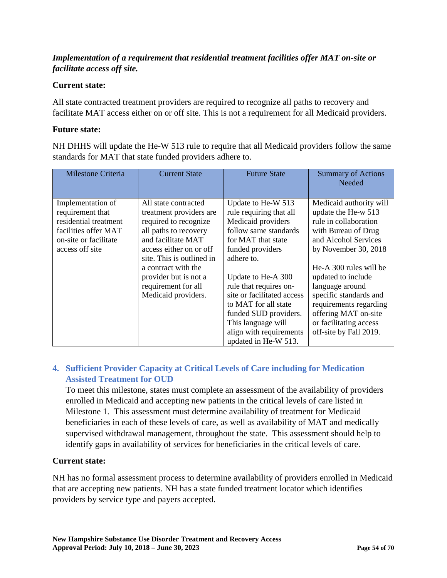## *Implementation of a requirement that residential treatment facilities offer MAT on-site or facilitate access off site.*

## **Current state:**

All state contracted treatment providers are required to recognize all paths to recovery and facilitate MAT access either on or off site. This is not a requirement for all Medicaid providers.

### **Future state:**

NH DHHS will update the He-W 513 rule to require that all Medicaid providers follow the same standards for MAT that state funded providers adhere to.

| <b>Milestone Criteria</b>                                                                                                          | <b>Current State</b>                                                                                                                                                                                                                                                          | <b>Future State</b>                                                                                                                                                                                                                                                                                                                                          | <b>Summary of Actions</b><br><b>Needed</b>                                                                                                                                                                                                                                                                                                        |
|------------------------------------------------------------------------------------------------------------------------------------|-------------------------------------------------------------------------------------------------------------------------------------------------------------------------------------------------------------------------------------------------------------------------------|--------------------------------------------------------------------------------------------------------------------------------------------------------------------------------------------------------------------------------------------------------------------------------------------------------------------------------------------------------------|---------------------------------------------------------------------------------------------------------------------------------------------------------------------------------------------------------------------------------------------------------------------------------------------------------------------------------------------------|
| Implementation of<br>requirement that<br>residential treatment<br>facilities offer MAT<br>on-site or facilitate<br>access off site | All state contracted<br>treatment providers are<br>required to recognize<br>all paths to recovery<br>and facilitate MAT<br>access either on or off<br>site. This is outlined in<br>a contract with the<br>provider but is not a<br>requirement for all<br>Medicaid providers. | Update to He-W 513<br>rule requiring that all<br>Medicaid providers<br>follow same standards<br>for MAT that state<br>funded providers<br>adhere to.<br>Update to He-A 300<br>rule that requires on-<br>site or facilitated access<br>to MAT for all state<br>funded SUD providers.<br>This language will<br>align with requirements<br>updated in He-W 513. | Medicaid authority will<br>update the He-w 513<br>rule in collaboration<br>with Bureau of Drug<br>and Alcohol Services<br>by November 30, 2018<br>He-A 300 rules will be<br>updated to include<br>language around<br>specific standards and<br>requirements regarding<br>offering MAT on-site<br>or facilitating access<br>off-site by Fall 2019. |

## **4. Sufficient Provider Capacity at Critical Levels of Care including for Medication Assisted Treatment for OUD**

To meet this milestone, states must complete an assessment of the availability of providers enrolled in Medicaid and accepting new patients in the critical levels of care listed in Milestone 1. This assessment must determine availability of treatment for Medicaid beneficiaries in each of these levels of care, as well as availability of MAT and medically supervised withdrawal management, throughout the state. This assessment should help to identify gaps in availability of services for beneficiaries in the critical levels of care.

## **Current state:**

NH has no formal assessment process to determine availability of providers enrolled in Medicaid that are accepting new patients. NH has a state funded treatment locator which identifies providers by service type and payers accepted.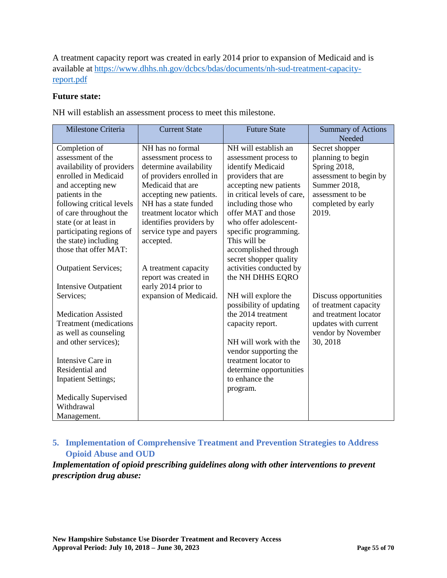A treatment capacity report was created in early 2014 prior to expansion of Medicaid and is available at [https://www.dhhs.nh.gov/dcbcs/bdas/documents/nh-sud-treatment-capacity](https://www.dhhs.nh.gov/dcbcs/bdas/documents/nh-sud-treatment-capacity-report.pdf)[report.pdf](https://www.dhhs.nh.gov/dcbcs/bdas/documents/nh-sud-treatment-capacity-report.pdf)

#### **Future state:**

NH will establish an assessment process to meet this milestone.

| Milestone Criteria                            | <b>Current State</b>     | <b>Future State</b>                            | <b>Summary of Actions</b><br>Needed |
|-----------------------------------------------|--------------------------|------------------------------------------------|-------------------------------------|
| Completion of                                 | NH has no formal         | NH will establish an                           | Secret shopper                      |
| assessment of the                             | assessment process to    | assessment process to                          | planning to begin                   |
| availability of providers                     | determine availability   | identify Medicaid                              | Spring 2018,                        |
| enrolled in Medicaid                          | of providers enrolled in | providers that are                             | assessment to begin by              |
| and accepting new                             | Medicaid that are        | accepting new patients                         | Summer 2018,                        |
| patients in the                               | accepting new patients.  | in critical levels of care.                    | assessment to be                    |
| following critical levels                     | NH has a state funded    | including those who                            | completed by early                  |
| of care throughout the                        | treatment locator which  | offer MAT and those                            | 2019.                               |
| state (or at least in                         | identifies providers by  | who offer adolescent-                          |                                     |
| participating regions of                      | service type and payers  | specific programming.                          |                                     |
| the state) including<br>those that offer MAT: | accepted.                | This will be                                   |                                     |
|                                               |                          | accomplished through<br>secret shopper quality |                                     |
| <b>Outpatient Services;</b>                   | A treatment capacity     | activities conducted by                        |                                     |
|                                               | report was created in    | the NH DHHS EQRO                               |                                     |
| <b>Intensive Outpatient</b>                   | early 2014 prior to      |                                                |                                     |
| Services;                                     | expansion of Medicaid.   | NH will explore the                            | Discuss opportunities               |
|                                               |                          | possibility of updating                        | of treatment capacity               |
| <b>Medication Assisted</b>                    |                          | the 2014 treatment                             | and treatment locator               |
| <b>Treatment</b> (medications                 |                          | capacity report.                               | updates with current                |
| as well as counseling                         |                          |                                                | vendor by November                  |
| and other services);                          |                          | NH will work with the                          | 30, 2018                            |
|                                               |                          | vendor supporting the                          |                                     |
| Intensive Care in                             |                          | treatment locator to                           |                                     |
| Residential and                               |                          | determine opportunities                        |                                     |
| <b>Inpatient Settings;</b>                    |                          | to enhance the                                 |                                     |
|                                               |                          | program.                                       |                                     |
| <b>Medically Supervised</b>                   |                          |                                                |                                     |
| Withdrawal                                    |                          |                                                |                                     |
| Management.                                   |                          |                                                |                                     |

## **5. Implementation of Comprehensive Treatment and Prevention Strategies to Address Opioid Abuse and OUD**

*Implementation of opioid prescribing guidelines along with other interventions to prevent prescription drug abuse:*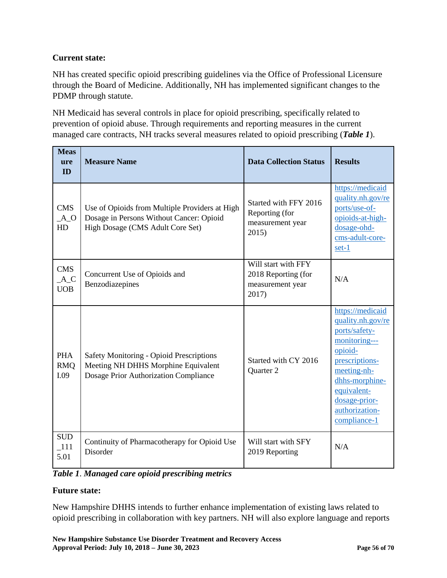## **Current state:**

NH has created specific opioid prescribing guidelines via the Office of Professional Licensure through the Board of Medicine. Additionally, NH has implemented significant changes to the PDMP through statute.

NH Medicaid has several controls in place for opioid prescribing, specifically related to prevention of opioid abuse. Through requirements and reporting measures in the current managed care contracts, NH tracks several measures related to opioid prescribing (*Table 1*).

| <b>Meas</b><br>ure<br>ID          | <b>Measure Name</b>                                                                                                            | <b>Data Collection Status</b>                                           | <b>Results</b>                                                                                                                                                                                          |
|-----------------------------------|--------------------------------------------------------------------------------------------------------------------------------|-------------------------------------------------------------------------|---------------------------------------------------------------------------------------------------------------------------------------------------------------------------------------------------------|
| <b>CMS</b><br>$A_0$<br>HD         | Use of Opioids from Multiple Providers at High<br>Dosage in Persons Without Cancer: Opioid<br>High Dosage (CMS Adult Core Set) | Started with FFY 2016<br>Reporting (for<br>measurement year<br>2015)    | https://medicaid<br>quality.nh.gov/re<br>ports/use-of-<br>opioids-at-high-<br>dosage-ohd-<br>cms-adult-core-<br>set-1                                                                                   |
| <b>CMS</b><br>$A_C$<br><b>UOB</b> | Concurrent Use of Opioids and<br>Benzodiazepines                                                                               | Will start with FFY<br>2018 Reporting (for<br>measurement year<br>2017) | N/A                                                                                                                                                                                                     |
| <b>PHA</b><br><b>RMO</b><br>I.09  | Safety Monitoring - Opioid Prescriptions<br>Meeting NH DHHS Morphine Equivalent<br>Dosage Prior Authorization Compliance       | Started with CY 2016<br>Quarter 2                                       | https://medicaid<br>quality.nh.gov/re<br>ports/safety-<br>monitoring---<br>opioid-<br>prescriptions-<br>meeting-nh-<br>dhhs-morphine-<br>equivalent-<br>dosage-prior-<br>authorization-<br>compliance-1 |
| <b>SUD</b><br>$\_111$<br>5.01     | Continuity of Pharmacotherapy for Opioid Use<br>Disorder                                                                       | Will start with SFY<br>2019 Reporting                                   | N/A                                                                                                                                                                                                     |

*Table 1*. *Managed care opioid prescribing metrics*

## **Future state:**

New Hampshire DHHS intends to further enhance implementation of existing laws related to opioid prescribing in collaboration with key partners. NH will also explore language and reports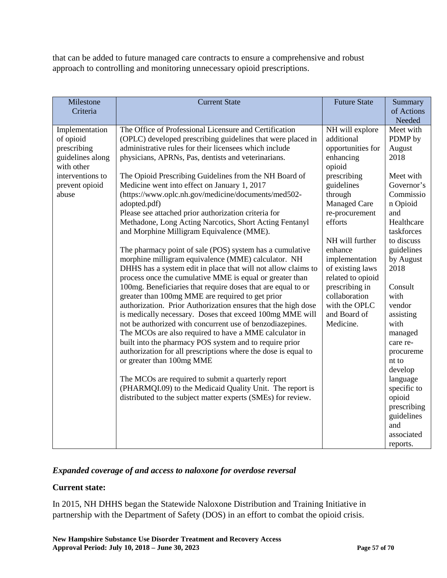that can be added to future managed care contracts to ensure a comprehensive and robust approach to controlling and monitoring unnecessary opioid prescriptions.

| Milestone<br>Criteria                                                                                                       | <b>Current State</b>                                                                                                                                                                                                                                                                                                                                                                                                                                                                                                                                                                                                                                                                                                                                                                                                                                                                                                                                                                                                                                                                                                                                                                                                                                                                                                                                                                                                                                                                                                                                        | <b>Future State</b>                                                                                                                                                                                                                                                                                                                      | Summary<br>of Actions                                                                                                                                                                                                                                                                                                                                                           |
|-----------------------------------------------------------------------------------------------------------------------------|-------------------------------------------------------------------------------------------------------------------------------------------------------------------------------------------------------------------------------------------------------------------------------------------------------------------------------------------------------------------------------------------------------------------------------------------------------------------------------------------------------------------------------------------------------------------------------------------------------------------------------------------------------------------------------------------------------------------------------------------------------------------------------------------------------------------------------------------------------------------------------------------------------------------------------------------------------------------------------------------------------------------------------------------------------------------------------------------------------------------------------------------------------------------------------------------------------------------------------------------------------------------------------------------------------------------------------------------------------------------------------------------------------------------------------------------------------------------------------------------------------------------------------------------------------------|------------------------------------------------------------------------------------------------------------------------------------------------------------------------------------------------------------------------------------------------------------------------------------------------------------------------------------------|---------------------------------------------------------------------------------------------------------------------------------------------------------------------------------------------------------------------------------------------------------------------------------------------------------------------------------------------------------------------------------|
|                                                                                                                             |                                                                                                                                                                                                                                                                                                                                                                                                                                                                                                                                                                                                                                                                                                                                                                                                                                                                                                                                                                                                                                                                                                                                                                                                                                                                                                                                                                                                                                                                                                                                                             |                                                                                                                                                                                                                                                                                                                                          | Needed                                                                                                                                                                                                                                                                                                                                                                          |
| Implementation<br>of opioid<br>prescribing<br>guidelines along<br>with other<br>interventions to<br>prevent opioid<br>abuse | The Office of Professional Licensure and Certification<br>(OPLC) developed prescribing guidelines that were placed in<br>administrative rules for their licensees which include<br>physicians, APRNs, Pas, dentists and veterinarians.<br>The Opioid Prescribing Guidelines from the NH Board of<br>Medicine went into effect on January 1, 2017<br>(https://www.oplc.nh.gov/medicine/documents/med502-<br>adopted.pdf)<br>Please see attached prior authorization criteria for<br>Methadone, Long Acting Narcotics, Short Acting Fentanyl<br>and Morphine Milligram Equivalence (MME).<br>The pharmacy point of sale (POS) system has a cumulative<br>morphine milligram equivalence (MME) calculator. NH<br>DHHS has a system edit in place that will not allow claims to<br>process once the cumulative MME is equal or greater than<br>100mg. Beneficiaries that require doses that are equal to or<br>greater than 100mg MME are required to get prior<br>authorization. Prior Authorization ensures that the high dose<br>is medically necessary. Doses that exceed 100mg MME will<br>not be authorized with concurrent use of benzodiazepines.<br>The MCOs are also required to have a MME calculator in<br>built into the pharmacy POS system and to require prior<br>authorization for all prescriptions where the dose is equal to<br>or greater than 100mg MME<br>The MCOs are required to submit a quarterly report<br>(PHARMQI.09) to the Medicaid Quality Unit. The report is<br>distributed to the subject matter experts (SMEs) for review. | NH will explore<br>additional<br>opportunities for<br>enhancing<br>opioid<br>prescribing<br>guidelines<br>through<br>Managed Care<br>re-procurement<br>efforts<br>NH will further<br>enhance<br>implementation<br>of existing laws<br>related to opioid<br>prescribing in<br>collaboration<br>with the OPLC<br>and Board of<br>Medicine. | Meet with<br>PDMP by<br>August<br>2018<br>Meet with<br>Governor's<br>Commissio<br>n Opioid<br>and<br>Healthcare<br>taskforces<br>to discuss<br>guidelines<br>by August<br>2018<br>Consult<br>with<br>vendor<br>assisting<br>with<br>managed<br>care re-<br>procureme<br>nt to<br>develop<br>language<br>specific to<br>opioid<br>prescribing<br>guidelines<br>and<br>associated |
|                                                                                                                             |                                                                                                                                                                                                                                                                                                                                                                                                                                                                                                                                                                                                                                                                                                                                                                                                                                                                                                                                                                                                                                                                                                                                                                                                                                                                                                                                                                                                                                                                                                                                                             |                                                                                                                                                                                                                                                                                                                                          | reports.                                                                                                                                                                                                                                                                                                                                                                        |

## *Expanded coverage of and access to naloxone for overdose reversal*

## **Current state:**

In 2015, NH DHHS began the Statewide Naloxone Distribution and Training Initiative in partnership with the Department of Safety (DOS) in an effort to combat the opioid crisis.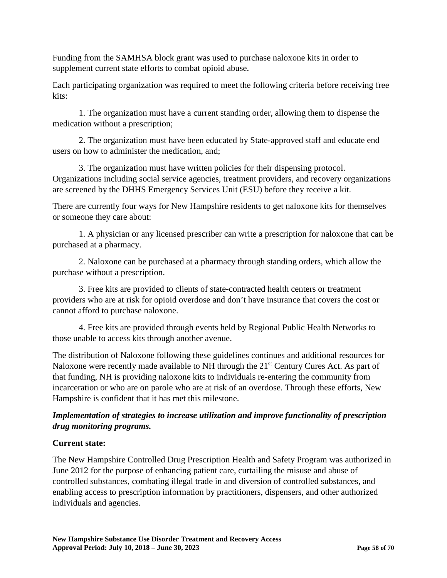Funding from the SAMHSA block grant was used to purchase naloxone kits in order to supplement current state efforts to combat opioid abuse.

Each participating organization was required to meet the following criteria before receiving free kits:

1. The organization must have a current standing order, allowing them to dispense the medication without a prescription;

2. The organization must have been educated by State-approved staff and educate end users on how to administer the medication, and;

3. The organization must have written policies for their dispensing protocol. Organizations including social service agencies, treatment providers, and recovery organizations are screened by the DHHS Emergency Services Unit (ESU) before they receive a kit.

There are currently four ways for New Hampshire residents to get naloxone kits for themselves or someone they care about:

1. A physician or any licensed prescriber can write a prescription for naloxone that can be purchased at a pharmacy.

2. Naloxone can be purchased at a pharmacy through standing orders, which allow the purchase without a prescription.

3. Free kits are provided to clients of state-contracted health centers or treatment providers who are at risk for opioid overdose and don't have insurance that covers the cost or cannot afford to purchase naloxone.

4. Free kits are provided through events held by Regional Public Health Networks to those unable to access kits through another avenue.

The distribution of Naloxone following these guidelines continues and additional resources for Naloxone were recently made available to NH through the 21<sup>st</sup> Century Cures Act. As part of that funding, NH is providing naloxone kits to individuals re-entering the community from incarceration or who are on parole who are at risk of an overdose. Through these efforts, New Hampshire is confident that it has met this milestone.

## *Implementation of strategies to increase utilization and improve functionality of prescription drug monitoring programs.*

## **Current state:**

The New Hampshire Controlled Drug Prescription Health and Safety Program was authorized in June 2012 for the purpose of enhancing patient care, curtailing the misuse and abuse of controlled substances, combating illegal trade in and diversion of controlled substances, and enabling access to prescription information by practitioners, dispensers, and other authorized individuals and agencies.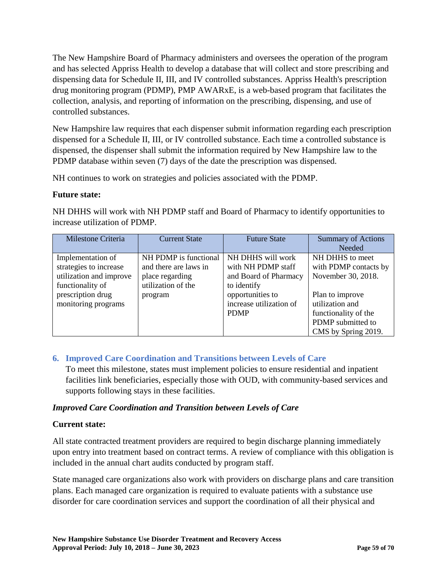The New Hampshire Board of Pharmacy administers and oversees the operation of the program and has selected Appriss Health to develop a database that will collect and store prescribing and dispensing data for Schedule II, III, and IV controlled substances. Appriss Health's prescription drug monitoring program (PDMP), PMP AWARxE, is a web-based program that facilitates the collection, analysis, and reporting of information on the prescribing, dispensing, and use of controlled substances.

New Hampshire law requires that each dispenser submit information regarding each prescription dispensed for a Schedule II, III, or IV controlled substance. Each time a controlled substance is dispensed, the dispenser shall submit the information required by New Hampshire law to the PDMP database within seven (7) days of the date the prescription was dispensed.

NH continues to work on strategies and policies associated with the PDMP.

### **Future state:**

NH DHHS will work with NH PDMP staff and Board of Pharmacy to identify opportunities to increase utilization of PDMP.

| Milestone Criteria      | <b>Current State</b>  | <b>Future State</b>     | <b>Summary of Actions</b> |
|-------------------------|-----------------------|-------------------------|---------------------------|
|                         |                       |                         | <b>Needed</b>             |
| Implementation of       | NH PDMP is functional | NH DHHS will work       | NH DHHS to meet           |
| strategies to increase  | and there are laws in | with NH PDMP staff      | with PDMP contacts by     |
| utilization and improve | place regarding       | and Board of Pharmacy   | November 30, 2018.        |
| functionality of        | utilization of the    | to identify             |                           |
| prescription drug       | program               | opportunities to        | Plan to improve           |
| monitoring programs     |                       | increase utilization of | utilization and           |
|                         |                       | <b>PDMP</b>             | functionality of the      |
|                         |                       |                         | PDMP submitted to         |
|                         |                       |                         | CMS by Spring 2019.       |

## **6. Improved Care Coordination and Transitions between Levels of Care**

To meet this milestone, states must implement policies to ensure residential and inpatient facilities link beneficiaries, especially those with OUD, with community-based services and supports following stays in these facilities.

## *Improved Care Coordination and Transition between Levels of Care*

## **Current state:**

All state contracted treatment providers are required to begin discharge planning immediately upon entry into treatment based on contract terms. A review of compliance with this obligation is included in the annual chart audits conducted by program staff.

State managed care organizations also work with providers on discharge plans and care transition plans. Each managed care organization is required to evaluate patients with a substance use disorder for care coordination services and support the coordination of all their physical and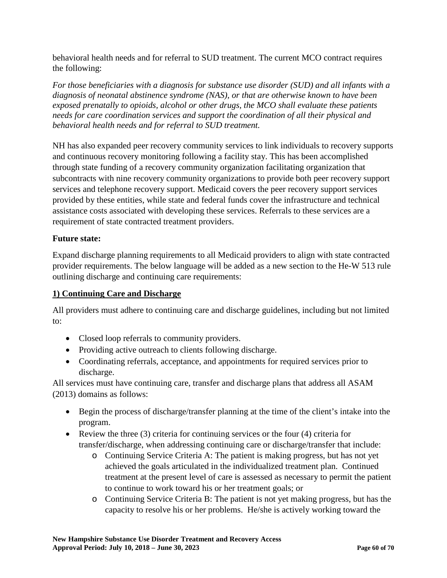behavioral health needs and for referral to SUD treatment. The current MCO contract requires the following:

*For those beneficiaries with a diagnosis for substance use disorder (SUD) and all infants with a diagnosis of neonatal abstinence syndrome (NAS), or that are otherwise known to have been exposed prenatally to opioids, alcohol or other drugs, the MCO shall evaluate these patients needs for care coordination services and support the coordination of all their physical and behavioral health needs and for referral to SUD treatment.*

NH has also expanded peer recovery community services to link individuals to recovery supports and continuous recovery monitoring following a facility stay. This has been accomplished through state funding of a recovery community organization facilitating organization that subcontracts with nine recovery community organizations to provide both peer recovery support services and telephone recovery support. Medicaid covers the peer recovery support services provided by these entities, while state and federal funds cover the infrastructure and technical assistance costs associated with developing these services. Referrals to these services are a requirement of state contracted treatment providers.

## **Future state:**

Expand discharge planning requirements to all Medicaid providers to align with state contracted provider requirements. The below language will be added as a new section to the He-W 513 rule outlining discharge and continuing care requirements:

### **1) Continuing Care and Discharge**

All providers must adhere to continuing care and discharge guidelines, including but not limited to:

- Closed loop referrals to community providers.
- Providing active outreach to clients following discharge.
- Coordinating referrals, acceptance, and appointments for required services prior to discharge.

All services must have continuing care, transfer and discharge plans that address all ASAM (2013) domains as follows:

- Begin the process of discharge/transfer planning at the time of the client's intake into the program.
- Review the three  $(3)$  criteria for continuing services or the four  $(4)$  criteria for transfer/discharge, when addressing continuing care or discharge/transfer that include:
	- o Continuing Service Criteria A: The patient is making progress, but has not yet achieved the goals articulated in the individualized treatment plan. Continued treatment at the present level of care is assessed as necessary to permit the patient to continue to work toward his or her treatment goals; or
	- o Continuing Service Criteria B: The patient is not yet making progress, but has the capacity to resolve his or her problems. He/she is actively working toward the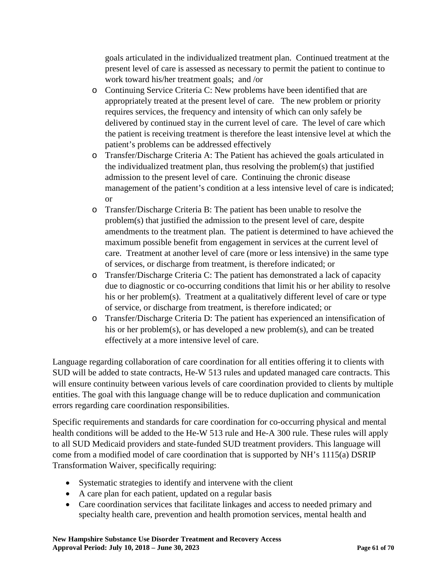goals articulated in the individualized treatment plan. Continued treatment at the present level of care is assessed as necessary to permit the patient to continue to work toward his/her treatment goals; and /or

- o Continuing Service Criteria C: New problems have been identified that are appropriately treated at the present level of care. The new problem or priority requires services, the frequency and intensity of which can only safely be delivered by continued stay in the current level of care. The level of care which the patient is receiving treatment is therefore the least intensive level at which the patient's problems can be addressed effectively
- o Transfer/Discharge Criteria A: The Patient has achieved the goals articulated in the individualized treatment plan, thus resolving the problem(s) that justified admission to the present level of care. Continuing the chronic disease management of the patient's condition at a less intensive level of care is indicated; or
- o Transfer/Discharge Criteria B: The patient has been unable to resolve the problem(s) that justified the admission to the present level of care, despite amendments to the treatment plan. The patient is determined to have achieved the maximum possible benefit from engagement in services at the current level of care. Treatment at another level of care (more or less intensive) in the same type of services, or discharge from treatment, is therefore indicated; or
- o Transfer/Discharge Criteria C: The patient has demonstrated a lack of capacity due to diagnostic or co-occurring conditions that limit his or her ability to resolve his or her problem(s). Treatment at a qualitatively different level of care or type of service, or discharge from treatment, is therefore indicated; or
- o Transfer/Discharge Criteria D: The patient has experienced an intensification of his or her problem(s), or has developed a new problem(s), and can be treated effectively at a more intensive level of care.

Language regarding collaboration of care coordination for all entities offering it to clients with SUD will be added to state contracts, He-W 513 rules and updated managed care contracts. This will ensure continuity between various levels of care coordination provided to clients by multiple entities. The goal with this language change will be to reduce duplication and communication errors regarding care coordination responsibilities.

Specific requirements and standards for care coordination for co-occurring physical and mental health conditions will be added to the He-W 513 rule and He-A 300 rule. These rules will apply to all SUD Medicaid providers and state-funded SUD treatment providers. This language will come from a modified model of care coordination that is supported by NH's 1115(a) DSRIP Transformation Waiver, specifically requiring:

- Systematic strategies to identify and intervene with the client
- A care plan for each patient, updated on a regular basis
- Care coordination services that facilitate linkages and access to needed primary and specialty health care, prevention and health promotion services, mental health and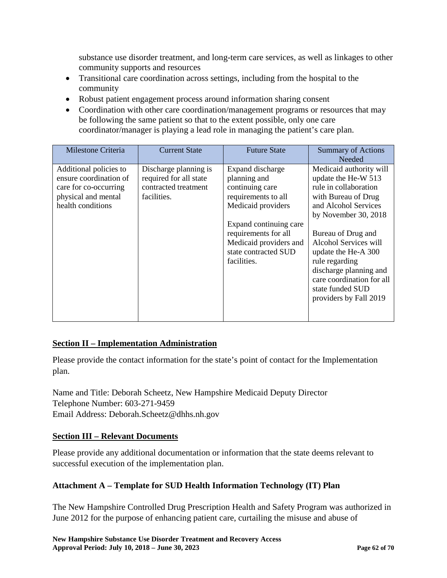substance use disorder treatment, and long-term care services, as well as linkages to other community supports and resources

- Transitional care coordination across settings, including from the hospital to the community
- Robust patient engagement process around information sharing consent
- Coordination with other care coordination/management programs or resources that may be following the same patient so that to the extent possible, only one care coordinator/manager is playing a lead role in managing the patient's care plan.

| Milestone Criteria                                                                                                    | <b>Current State</b>                                                                   | <b>Future State</b>                                                                                                                                                                                                 | <b>Summary of Actions</b><br>Needed                                                                                                                                                                                                                                                                                                         |
|-----------------------------------------------------------------------------------------------------------------------|----------------------------------------------------------------------------------------|---------------------------------------------------------------------------------------------------------------------------------------------------------------------------------------------------------------------|---------------------------------------------------------------------------------------------------------------------------------------------------------------------------------------------------------------------------------------------------------------------------------------------------------------------------------------------|
| Additional policies to<br>ensure coordination of<br>care for co-occurring<br>physical and mental<br>health conditions | Discharge planning is<br>required for all state<br>contracted treatment<br>facilities. | Expand discharge<br>planning and<br>continuing care<br>requirements to all<br>Medicaid providers<br>Expand continuing care<br>requirements for all<br>Medicaid providers and<br>state contracted SUD<br>facilities. | Medicaid authority will<br>update the He-W 513<br>rule in collaboration<br>with Bureau of Drug<br>and Alcohol Services<br>by November 30, 2018<br>Bureau of Drug and<br>Alcohol Services will<br>update the He-A 300<br>rule regarding<br>discharge planning and<br>care coordination for all<br>state funded SUD<br>providers by Fall 2019 |

## **Section II – Implementation Administration**

Please provide the contact information for the state's point of contact for the Implementation plan.

Name and Title: Deborah Scheetz, New Hampshire Medicaid Deputy Director Telephone Number: 603-271-9459 Email Address: Deborah.Scheetz@dhhs.nh.gov

## **Section III – Relevant Documents**

Please provide any additional documentation or information that the state deems relevant to successful execution of the implementation plan.

## **Attachment A – Template for SUD Health Information Technology (IT) Plan**

The New Hampshire Controlled Drug Prescription Health and Safety Program was authorized in June 2012 for the purpose of enhancing patient care, curtailing the misuse and abuse of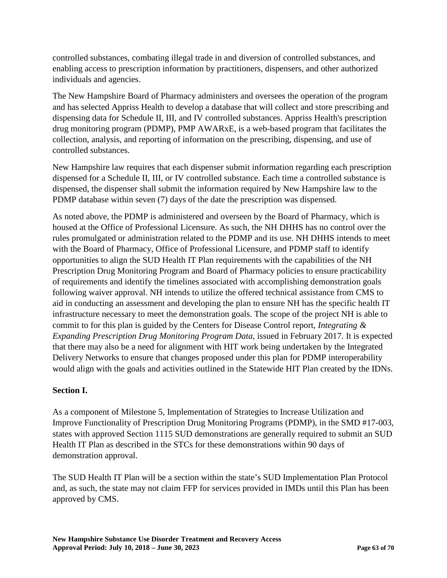controlled substances, combating illegal trade in and diversion of controlled substances, and enabling access to prescription information by practitioners, dispensers, and other authorized individuals and agencies.

The New Hampshire Board of Pharmacy administers and oversees the operation of the program and has selected Appriss Health to develop a database that will collect and store prescribing and dispensing data for Schedule II, III, and IV controlled substances. Appriss Health's prescription drug monitoring program (PDMP), PMP AWARxE, is a web-based program that facilitates the collection, analysis, and reporting of information on the prescribing, dispensing, and use of controlled substances.

New Hampshire law requires that each dispenser submit information regarding each prescription dispensed for a Schedule II, III, or IV controlled substance. Each time a controlled substance is dispensed, the dispenser shall submit the information required by New Hampshire law to the PDMP database within seven (7) days of the date the prescription was dispensed.

As noted above, the PDMP is administered and overseen by the Board of Pharmacy, which is housed at the Office of Professional Licensure. As such, the NH DHHS has no control over the rules promulgated or administration related to the PDMP and its use. NH DHHS intends to meet with the Board of Pharmacy, Office of Professional Licensure, and PDMP staff to identify opportunities to align the SUD Health IT Plan requirements with the capabilities of the NH Prescription Drug Monitoring Program and Board of Pharmacy policies to ensure practicability of requirements and identify the timelines associated with accomplishing demonstration goals following waiver approval. NH intends to utilize the offered technical assistance from CMS to aid in conducting an assessment and developing the plan to ensure NH has the specific health IT infrastructure necessary to meet the demonstration goals. The scope of the project NH is able to commit to for this plan is guided by the Centers for Disease Control report, *Integrating & Expanding Prescription Drug Monitoring Program Data,* issued in February 2017. It is expected that there may also be a need for alignment with HIT work being undertaken by the Integrated Delivery Networks to ensure that changes proposed under this plan for PDMP interoperability would align with the goals and activities outlined in the Statewide HIT Plan created by the IDNs.

## **Section I.**

As a component of Milestone 5, Implementation of Strategies to Increase Utilization and Improve Functionality of Prescription Drug Monitoring Programs (PDMP), in the SMD #17-003, states with approved Section 1115 SUD demonstrations are generally required to submit an SUD Health IT Plan as described in the STCs for these demonstrations within 90 days of demonstration approval.

The SUD Health IT Plan will be a section within the state's SUD Implementation Plan Protocol and, as such, the state may not claim FFP for services provided in IMDs until this Plan has been approved by CMS.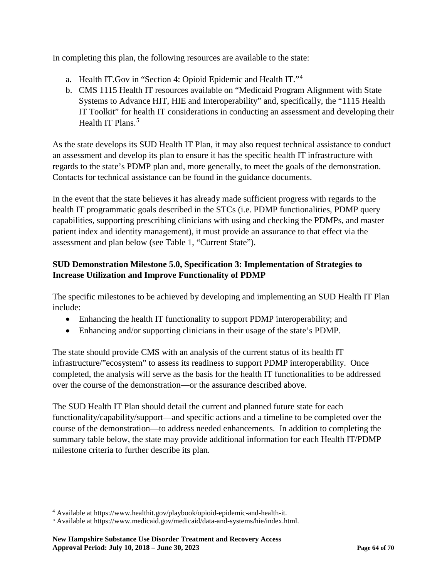In completing this plan, the following resources are available to the state:

- a. Health IT.Gov in "Section 4: Opioid Epidemic and Health IT."[4](#page-64-0)
- b. CMS 1115 Health IT resources available on "Medicaid Program Alignment with State Systems to Advance HIT, HIE and Interoperability" and, specifically, the "1115 Health IT Toolkit" for health IT considerations in conducting an assessment and developing their Health IT Plans.<sup>[5](#page-64-1)</sup>

As the state develops its SUD Health IT Plan, it may also request technical assistance to conduct an assessment and develop its plan to ensure it has the specific health IT infrastructure with regards to the state's PDMP plan and, more generally, to meet the goals of the demonstration. Contacts for technical assistance can be found in the guidance documents.

In the event that the state believes it has already made sufficient progress with regards to the health IT programmatic goals described in the STCs (i.e. PDMP functionalities, PDMP query capabilities, supporting prescribing clinicians with using and checking the PDMPs, and master patient index and identity management), it must provide an assurance to that effect via the assessment and plan below (see Table 1, "Current State").

## **SUD Demonstration Milestone 5.0, Specification 3: Implementation of Strategies to Increase Utilization and Improve Functionality of PDMP**

The specific milestones to be achieved by developing and implementing an SUD Health IT Plan include:

- Enhancing the health IT functionality to support PDMP interoperability; and
- Enhancing and/or supporting clinicians in their usage of the state's PDMP.

The state should provide CMS with an analysis of the current status of its health IT infrastructure/"ecosystem" to assess its readiness to support PDMP interoperability. Once completed, the analysis will serve as the basis for the health IT functionalities to be addressed over the course of the demonstration—or the assurance described above.

The SUD Health IT Plan should detail the current and planned future state for each functionality/capability/support—and specific actions and a timeline to be completed over the course of the demonstration—to address needed enhancements. In addition to completing the summary table below, the state may provide additional information for each Health IT/PDMP milestone criteria to further describe its plan.

<span id="page-64-0"></span> <sup>4</sup> Available at https://www.healthit.gov/playbook/opioid-epidemic-and-health-it.

<span id="page-64-1"></span><sup>5</sup> Available at https://www.medicaid.gov/medicaid/data-and-systems/hie/index.html.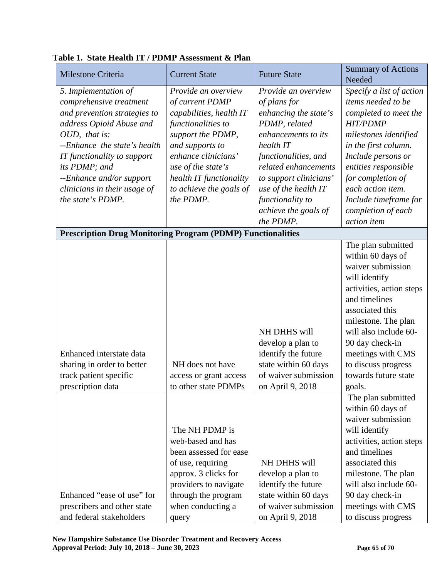| Milestone Criteria                                                                                                                                                                                                                                                                            | <b>Current State</b>                                                                                                                                                                                                                            | <b>Future State</b>                                                                                                                                                                                                                                                          | <b>Summary of Actions</b><br>Needed                                                                                                                                                                                                                                                               |
|-----------------------------------------------------------------------------------------------------------------------------------------------------------------------------------------------------------------------------------------------------------------------------------------------|-------------------------------------------------------------------------------------------------------------------------------------------------------------------------------------------------------------------------------------------------|------------------------------------------------------------------------------------------------------------------------------------------------------------------------------------------------------------------------------------------------------------------------------|---------------------------------------------------------------------------------------------------------------------------------------------------------------------------------------------------------------------------------------------------------------------------------------------------|
| 5. Implementation of<br>comprehensive treatment<br>and prevention strategies to<br>address Opioid Abuse and<br>OUD, that is:<br>--Enhance the state's health<br>IT functionality to support<br>its PDMP; and<br>--Enhance and/or support<br>clinicians in their usage of<br>the state's PDMP. | Provide an overview<br>of current PDMP<br>capabilities, health IT<br>functionalities to<br>support the PDMP,<br>and supports to<br>enhance clinicians'<br>use of the state's<br>health IT functionality<br>to achieve the goals of<br>the PDMP. | Provide an overview<br>of plans for<br>enhancing the state's<br>PDMP, related<br>enhancements to its<br>health IT<br>functionalities, and<br>related enhancements<br>to support clinicians'<br>use of the health IT<br>functionality to<br>achieve the goals of<br>the PDMP. | Specify a list of action<br>items needed to be<br>completed to meet the<br><b>HIT/PDMP</b><br>milestones identified<br>in the first column.<br>Include persons or<br>entities responsible<br>for completion of<br>each action item.<br>Include timeframe for<br>completion of each<br>action item |
| <b>Prescription Drug Monitoring Program (PDMP) Functionalities</b>                                                                                                                                                                                                                            |                                                                                                                                                                                                                                                 |                                                                                                                                                                                                                                                                              |                                                                                                                                                                                                                                                                                                   |
| Enhanced interstate data<br>sharing in order to better<br>track patient specific<br>prescription data                                                                                                                                                                                         | NH does not have<br>access or grant access<br>to other state PDMPs                                                                                                                                                                              | NH DHHS will<br>develop a plan to<br>identify the future<br>state within 60 days<br>of waiver submission<br>on April 9, 2018                                                                                                                                                 | The plan submitted<br>within 60 days of<br>waiver submission<br>will identify<br>activities, action steps<br>and timelines<br>associated this<br>milestone. The plan<br>will also include 60-<br>90 day check-in<br>meetings with CMS<br>to discuss progress<br>towards future state<br>goals.    |
| Enhanced "ease of use" for<br>prescribers and other state<br>and federal stakeholders                                                                                                                                                                                                         | The NH PDMP is<br>web-based and has<br>been assessed for ease<br>of use, requiring<br>approx. 3 clicks for<br>providers to navigate<br>through the program<br>when conducting a<br>query                                                        | NH DHHS will<br>develop a plan to<br>identify the future<br>state within 60 days<br>of waiver submission<br>on April 9, 2018                                                                                                                                                 | The plan submitted<br>within 60 days of<br>waiver submission<br>will identify<br>activities, action steps<br>and timelines<br>associated this<br>milestone. The plan<br>will also include 60-<br>90 day check-in<br>meetings with CMS<br>to discuss progress                                      |

**Table 1. State Health IT / PDMP Assessment & Plan**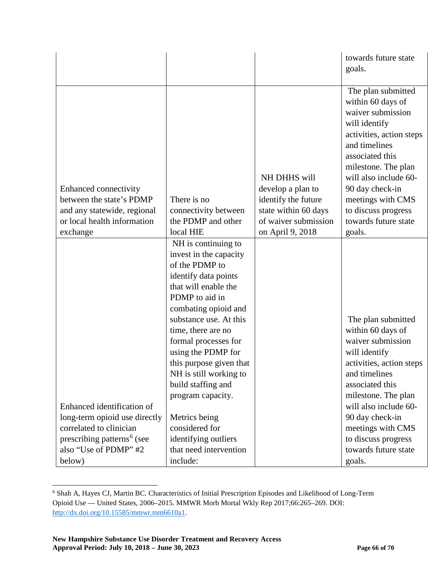|                                                                                                                                                                     |                                                                                                                                                                                                                                                                                                                                                         |                                                                                                                              | towards future state<br>goals.                                                                                                                                                                                                                                                                 |
|---------------------------------------------------------------------------------------------------------------------------------------------------------------------|---------------------------------------------------------------------------------------------------------------------------------------------------------------------------------------------------------------------------------------------------------------------------------------------------------------------------------------------------------|------------------------------------------------------------------------------------------------------------------------------|------------------------------------------------------------------------------------------------------------------------------------------------------------------------------------------------------------------------------------------------------------------------------------------------|
| Enhanced connectivity<br>between the state's PDMP<br>and any statewide, regional<br>or local health information<br>exchange                                         | There is no<br>connectivity between<br>the PDMP and other<br>local HIE                                                                                                                                                                                                                                                                                  | NH DHHS will<br>develop a plan to<br>identify the future<br>state within 60 days<br>of waiver submission<br>on April 9, 2018 | The plan submitted<br>within 60 days of<br>waiver submission<br>will identify<br>activities, action steps<br>and timelines<br>associated this<br>milestone. The plan<br>will also include 60-<br>90 day check-in<br>meetings with CMS<br>to discuss progress<br>towards future state<br>goals. |
|                                                                                                                                                                     | NH is continuing to<br>invest in the capacity<br>of the PDMP to<br>identify data points<br>that will enable the<br>PDMP to aid in<br>combating opioid and<br>substance use. At this<br>time, there are no<br>formal processes for<br>using the PDMP for<br>this purpose given that<br>NH is still working to<br>build staffing and<br>program capacity. |                                                                                                                              | The plan submitted<br>within 60 days of<br>waiver submission<br>will identify<br>activities, action steps<br>and timelines<br>associated this                                                                                                                                                  |
| Enhanced identification of<br>long-term opioid use directly<br>correlated to clinician<br>prescribing patterns <sup>6</sup> (see<br>also "Use of PDMP" #2<br>below) | Metrics being<br>considered for<br>identifying outliers<br>that need intervention<br>include:                                                                                                                                                                                                                                                           |                                                                                                                              | milestone. The plan<br>will also include 60-<br>90 day check-in<br>meetings with CMS<br>to discuss progress<br>towards future state<br>goals.                                                                                                                                                  |

<span id="page-66-0"></span> <sup>6</sup> Shah A, Hayes CJ, Martin BC. Characteristics of Initial Prescription Episodes and Likelihood of Long-Term Opioid Use — United States, 2006–2015. MMWR Morb Mortal Wkly Rep 2017;66:265–269. DOI: [http://dx.doi.org/10.15585/mmwr.mm6610a1.](http://dx.doi.org/10.15585/mmwr.mm6610a1)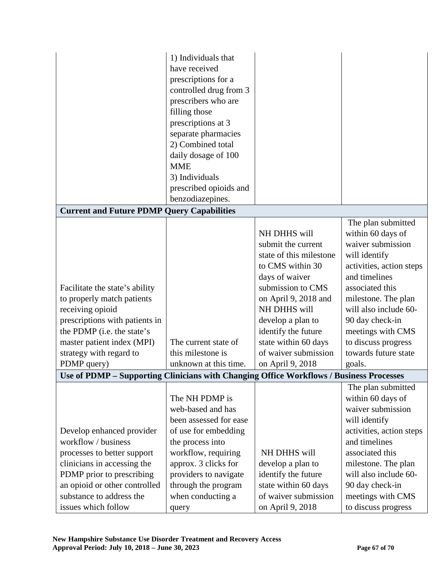|                                                                                         | 1) Individuals that<br>have received<br>prescriptions for a<br>controlled drug from 3<br>prescribers who are<br>filling those<br>prescriptions at 3<br>separate pharmacies<br>2) Combined total<br>daily dosage of 100 |                                          |                                              |
|-----------------------------------------------------------------------------------------|------------------------------------------------------------------------------------------------------------------------------------------------------------------------------------------------------------------------|------------------------------------------|----------------------------------------------|
|                                                                                         | <b>MME</b>                                                                                                                                                                                                             |                                          |                                              |
|                                                                                         | 3) Individuals                                                                                                                                                                                                         |                                          |                                              |
|                                                                                         | prescribed opioids and                                                                                                                                                                                                 |                                          |                                              |
|                                                                                         | benzodiazepines.                                                                                                                                                                                                       |                                          |                                              |
| <b>Current and Future PDMP Query Capabilities</b>                                       |                                                                                                                                                                                                                        |                                          |                                              |
|                                                                                         |                                                                                                                                                                                                                        |                                          | The plan submitted                           |
|                                                                                         |                                                                                                                                                                                                                        | NH DHHS will                             | within 60 days of                            |
|                                                                                         |                                                                                                                                                                                                                        | submit the current                       | waiver submission                            |
|                                                                                         |                                                                                                                                                                                                                        | state of this milestone                  | will identify                                |
|                                                                                         |                                                                                                                                                                                                                        | to CMS within 30<br>days of waiver       | activities, action steps<br>and timelines    |
| Facilitate the state's ability                                                          |                                                                                                                                                                                                                        | submission to CMS                        | associated this                              |
| to properly match patients                                                              |                                                                                                                                                                                                                        | on April 9, 2018 and                     | milestone. The plan                          |
| receiving opioid                                                                        |                                                                                                                                                                                                                        | NH DHHS will                             | will also include 60-                        |
| prescriptions with patients in                                                          |                                                                                                                                                                                                                        | develop a plan to                        | 90 day check-in                              |
| the PDMP (i.e. the state's                                                              |                                                                                                                                                                                                                        | identify the future                      | meetings with CMS                            |
| master patient index (MPI)                                                              | The current state of                                                                                                                                                                                                   | state within 60 days                     | to discuss progress                          |
| strategy with regard to                                                                 | this milestone is                                                                                                                                                                                                      | of waiver submission                     | towards future state                         |
| PDMP query)                                                                             | unknown at this time.                                                                                                                                                                                                  | on April 9, 2018                         | goals.                                       |
| Use of PDMP - Supporting Clinicians with Changing Office Workflows / Business Processes |                                                                                                                                                                                                                        |                                          |                                              |
|                                                                                         |                                                                                                                                                                                                                        |                                          | The plan submitted                           |
|                                                                                         | The NH PDMP is                                                                                                                                                                                                         |                                          | within 60 days of                            |
|                                                                                         | web-based and has                                                                                                                                                                                                      |                                          | waiver submission                            |
|                                                                                         | been assessed for ease                                                                                                                                                                                                 |                                          | will identify                                |
| Develop enhanced provider<br>workflow / business                                        | of use for embedding                                                                                                                                                                                                   |                                          | activities, action steps                     |
|                                                                                         | the process into                                                                                                                                                                                                       |                                          | and timelines<br>associated this             |
| processes to better support                                                             | workflow, requiring                                                                                                                                                                                                    | NH DHHS will                             |                                              |
| clinicians in accessing the<br>PDMP prior to prescribing                                | approx. 3 clicks for<br>providers to navigate                                                                                                                                                                          | develop a plan to<br>identify the future | milestone. The plan<br>will also include 60- |
| an opioid or other controlled                                                           | through the program                                                                                                                                                                                                    | state within 60 days                     | 90 day check-in                              |
| substance to address the                                                                | when conducting a                                                                                                                                                                                                      | of waiver submission                     | meetings with CMS                            |
| issues which follow                                                                     | query                                                                                                                                                                                                                  | on April 9, 2018                         | to discuss progress                          |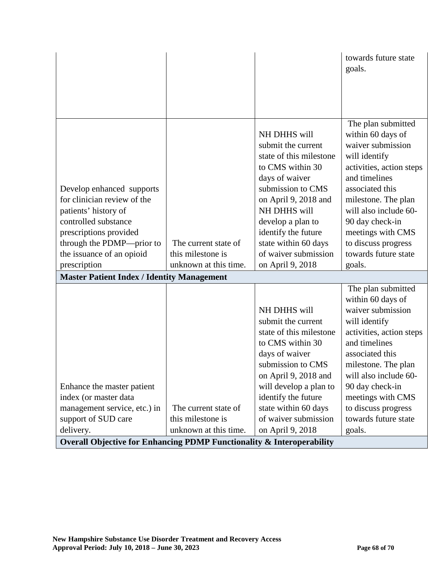|                                                                                  |                       |                                                                                   | towards future state<br>goals.                                                                            |
|----------------------------------------------------------------------------------|-----------------------|-----------------------------------------------------------------------------------|-----------------------------------------------------------------------------------------------------------|
|                                                                                  |                       |                                                                                   |                                                                                                           |
|                                                                                  |                       |                                                                                   |                                                                                                           |
|                                                                                  |                       | NH DHHS will<br>submit the current<br>state of this milestone<br>to CMS within 30 | The plan submitted<br>within 60 days of<br>waiver submission<br>will identify<br>activities, action steps |
| Develop enhanced supports<br>for clinician review of the                         |                       | days of waiver<br>submission to CMS<br>on April 9, 2018 and                       | and timelines<br>associated this<br>milestone. The plan                                                   |
| patients' history of                                                             |                       | NH DHHS will                                                                      | will also include 60-                                                                                     |
| controlled substance                                                             |                       | develop a plan to                                                                 | 90 day check-in                                                                                           |
| prescriptions provided                                                           |                       | identify the future                                                               | meetings with CMS                                                                                         |
| through the PDMP—prior to                                                        | The current state of  | state within 60 days                                                              | to discuss progress                                                                                       |
| the issuance of an opioid                                                        | this milestone is     | of waiver submission                                                              | towards future state                                                                                      |
| prescription                                                                     | unknown at this time. | on April 9, 2018                                                                  | goals.                                                                                                    |
| <b>Master Patient Index / Identity Management</b>                                |                       |                                                                                   |                                                                                                           |
|                                                                                  |                       |                                                                                   | The plan submitted<br>within 60 days of                                                                   |
|                                                                                  |                       | NH DHHS will                                                                      | waiver submission                                                                                         |
|                                                                                  |                       | submit the current                                                                | will identify                                                                                             |
|                                                                                  |                       | state of this milestone                                                           | activities, action steps                                                                                  |
|                                                                                  |                       | to CMS within 30                                                                  | and timelines                                                                                             |
|                                                                                  |                       | days of waiver                                                                    | associated this                                                                                           |
|                                                                                  |                       | submission to CMS                                                                 | milestone. The plan                                                                                       |
|                                                                                  |                       | on April 9, 2018 and                                                              | will also include 60-                                                                                     |
| Enhance the master patient<br>index (or master data                              |                       | will develop a plan to<br>identify the future                                     | 90 day check-in<br>meetings with CMS                                                                      |
| management service, etc.) in                                                     | The current state of  | state within 60 days                                                              | to discuss progress                                                                                       |
| support of SUD care                                                              | this milestone is     | of waiver submission                                                              | towards future state                                                                                      |
| delivery.                                                                        | unknown at this time. | on April 9, 2018                                                                  | goals.                                                                                                    |
| <b>Overall Objective for Enhancing PDMP Functionality &amp; Interoperability</b> |                       |                                                                                   |                                                                                                           |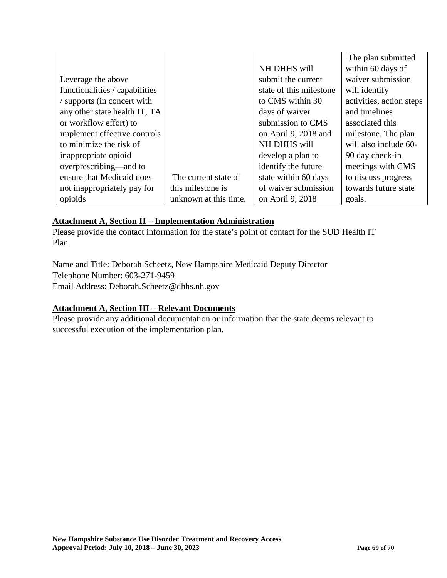|                                |                       |                         | The plan submitted       |
|--------------------------------|-----------------------|-------------------------|--------------------------|
|                                |                       | NH DHHS will            | within 60 days of        |
| Leverage the above             |                       | submit the current      | waiver submission        |
| functionalities / capabilities |                       | state of this milestone | will identify            |
| supports (in concert with      |                       | to CMS within 30        | activities, action steps |
| any other state health IT, TA  |                       | days of waiver          | and timelines            |
| or workflow effort) to         |                       | submission to CMS       | associated this          |
| implement effective controls   |                       | on April 9, 2018 and    | milestone. The plan      |
| to minimize the risk of        |                       | NH DHHS will            | will also include 60-    |
| inappropriate opioid           |                       | develop a plan to       | 90 day check-in          |
| overprescribing—and to         |                       | identify the future     | meetings with CMS        |
| ensure that Medicaid does      | The current state of  | state within 60 days    | to discuss progress      |
| not inappropriately pay for    | this milestone is     | of waiver submission    | towards future state     |
| opioids                        | unknown at this time. | on April 9, 2018        | goals.                   |

### **Attachment A, Section II – Implementation Administration**

Please provide the contact information for the state's point of contact for the SUD Health IT Plan.

Name and Title: Deborah Scheetz, New Hampshire Medicaid Deputy Director Telephone Number: 603-271-9459 Email Address: Deborah.Scheetz@dhhs.nh.gov

### **Attachment A, Section III – Relevant Documents**

Please provide any additional documentation or information that the state deems relevant to successful execution of the implementation plan.